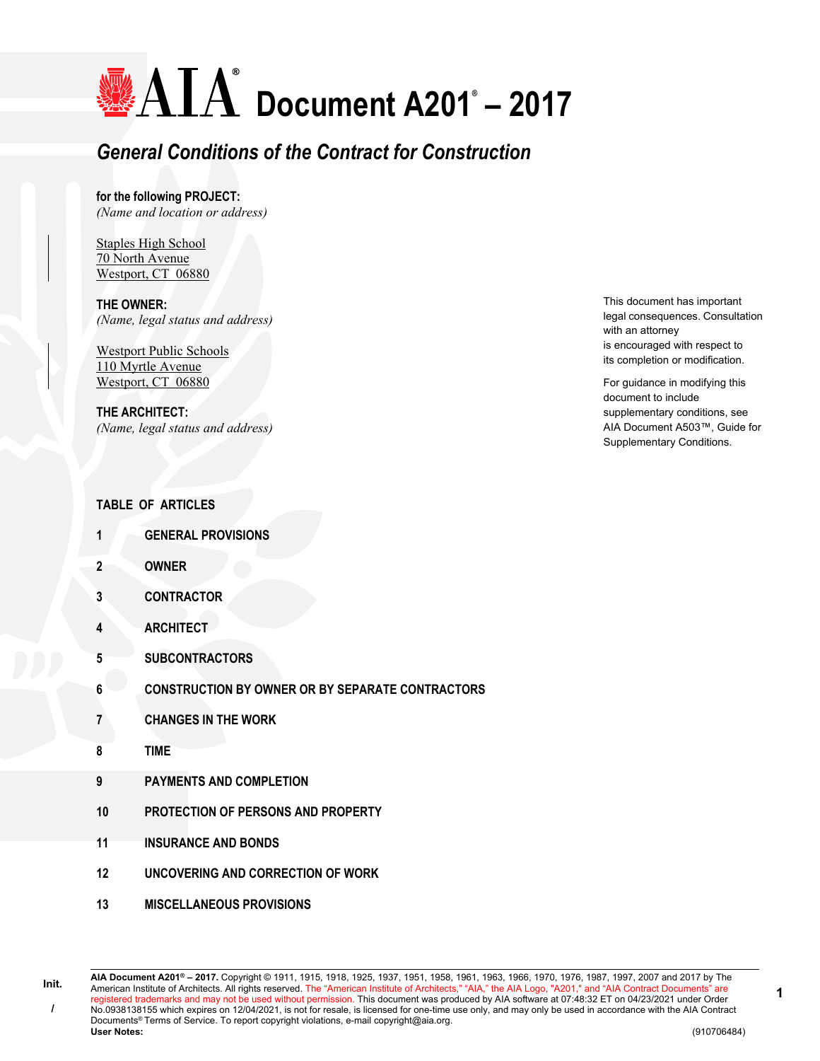# **Document A201® – 2017**

# *General Conditions of the Contract for Construction*

# **for the following PROJECT:**

*(Name and location or address)*

Staples High School 70 North Avenue Westport, CT 06880

**THE OWNER:** *(Name, legal status and address)*

Westport Public Schools 110 Myrtle Avenue Westport, CT 06880

**THE ARCHITECT:** *(Name, legal status and address)*

# **TABLE OF ARTICLES**

- **1 GENERAL PROVISIONS**
- **2 OWNER**
- **3 CONTRACTOR**
- **4 ARCHITECT**
- **5 SUBCONTRACTORS**
- **6 CONSTRUCTION BY OWNER OR BY SEPARATE CONTRACTORS**
- **7 CHANGES IN THE WORK**
- **8 TIME**
- **9 PAYMENTS AND COMPLETION**
- **10 PROTECTION OF PERSONS AND PROPERTY**
- **11 INSURANCE AND BONDS**
- **12 UNCOVERING AND CORRECTION OF WORK**
- **13 MISCELLANEOUS PROVISIONS**

**Init. /**

**AIA Document A201® – 2017.** Copyright © 1911, 1915, 1918, 1925, 1937, 1951, 1958, 1961, 1963, 1966, 1970, 1976, 1987, 1997, 2007 and 2017 by The American Institute of Architects. All rights reserved. The "American Institute of Architects," "AIA," the AIA Logo, "A201," and "AIA Contract Documents" are registered trademarks and may not be used without permission. This document was produced by AIA software at 07:48:32 ET on 04/23/2021 under Order No.0938138155 which expires on 12/04/2021, is not for resale, is licensed for one-time use only, and may only be used in accordance with the AIA Contract Documents® Terms of Service. To report copyright violations, e-mail copyright@aia.org.<br>User Notes: **User Notes:** (910706484)

This document has important legal consequences. Consultation with an attorney is encouraged with respect to its completion or modification.

For guidance in modifying this document to include supplementary conditions, see AIA Document A503™, Guide for Supplementary Conditions.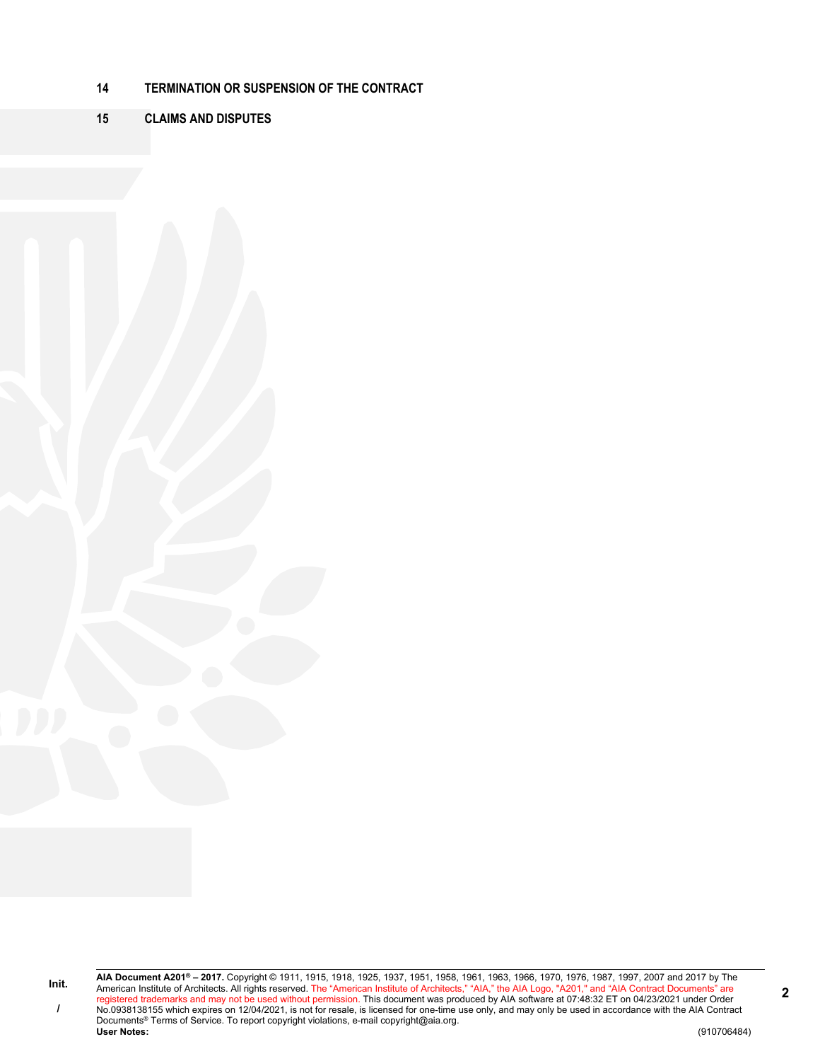# **14 TERMINATION OR SUSPENSION OF THE CONTRACT**

**15 CLAIMS AND DISPUTES**

**AIA Document A201® – 2017.** Copyright © 1911, 1915, 1918, 1925, 1937, 1951, 1958, 1961, 1963, 1966, 1970, 1976, 1987, 1997, 2007 and 2017 by The American Institute of Architects. All rights reserved. The "American Institute of Architects," "AIA," the AIA Logo, "A201," and "AIA Contract Documents" are registered trademarks and may not be used without permission. This document was produced by AIA software at 07:48:32 ET on 04/23/2021 under Order No.0938138155 which expires on 12/04/2021, is not for resale, is licensed for one-time use only, and may only be used in accordance with the AIA Contract<br>Documents® Terms of Service. To report copyright violations, e-mail **User Notes:** (910706484)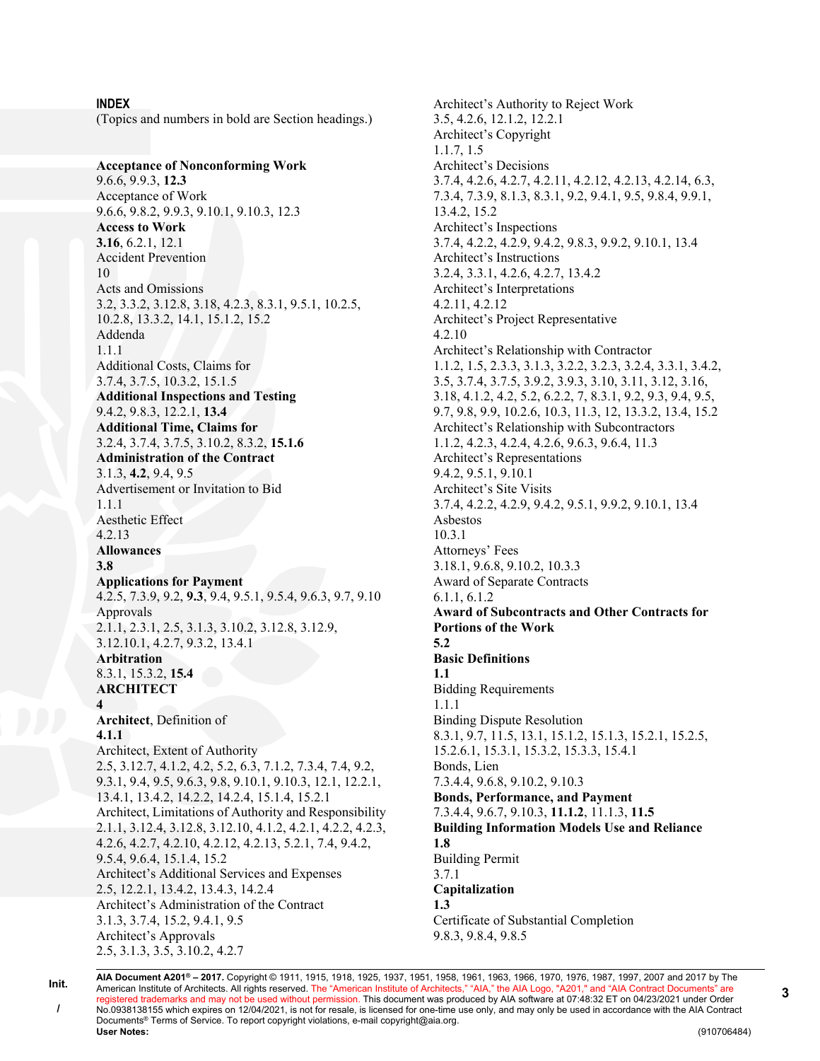**INDEX**

(Topics and numbers in bold are Section headings.)

**Acceptance of Nonconforming Work** 9.6.6, 9.9.3, **12.3** Acceptance of Work 9.6.6, 9.8.2, 9.9.3, 9.10.1, 9.10.3, 12.3 **Access to Work 3.16**, 6.2.1, 12.1 Accident Prevention 10 Acts and Omissions 3.2, 3.3.2, 3.12.8, 3.18, 4.2.3, 8.3.1, 9.5.1, 10.2.5, 10.2.8, 13.3.2, 14.1, 15.1.2, 15.2 Addenda 1.1.1 Additional Costs, Claims for 3.7.4, 3.7.5, 10.3.2, 15.1.5 **Additional Inspections and Testing** 9.4.2, 9.8.3, 12.2.1, **13.4 Additional Time, Claims for** 3.2.4, 3.7.4, 3.7.5, 3.10.2, 8.3.2, **15.1.6 Administration of the Contract** 3.1.3, **4.2**, 9.4, 9.5 Advertisement or Invitation to Bid 1.1.1 Aesthetic Effect 4.2.13 **Allowances 3.8 Applications for Payment** 4.2.5, 7.3.9, 9.2, **9.3**, 9.4, 9.5.1, 9.5.4, 9.6.3, 9.7, 9.10 Approvals 2.1.1, 2.3.1, 2.5, 3.1.3, 3.10.2, 3.12.8, 3.12.9, 3.12.10.1, 4.2.7, 9.3.2, 13.4.1 **Arbitration** 8.3.1, 15.3.2, **15.4 ARCHITECT 4 Architect**, Definition of **4.1.1** Architect, Extent of Authority 2.5, 3.12.7, 4.1.2, 4.2, 5.2, 6.3, 7.1.2, 7.3.4, 7.4, 9.2, 9.3.1, 9.4, 9.5, 9.6.3, 9.8, 9.10.1, 9.10.3, 12.1, 12.2.1, 13.4.1, 13.4.2, 14.2.2, 14.2.4, 15.1.4, 15.2.1 Architect, Limitations of Authority and Responsibility 2.1.1, 3.12.4, 3.12.8, 3.12.10, 4.1.2, 4.2.1, 4.2.2, 4.2.3, 4.2.6, 4.2.7, 4.2.10, 4.2.12, 4.2.13, 5.2.1, 7.4, 9.4.2, 9.5.4, 9.6.4, 15.1.4, 15.2 Architect's Additional Services and Expenses 2.5, 12.2.1, 13.4.2, 13.4.3, 14.2.4 Architect's Administration of the Contract 3.1.3, 3.7.4, 15.2, 9.4.1, 9.5 Architect's Approvals 2.5, 3.1.3, 3.5, 3.10.2, 4.2.7

Architect's Authority to Reject Work 3.5, 4.2.6, 12.1.2, 12.2.1 Architect's Copyright 1.1.7, 1.5 Architect's Decisions 3.7.4, 4.2.6, 4.2.7, 4.2.11, 4.2.12, 4.2.13, 4.2.14, 6.3, 7.3.4, 7.3.9, 8.1.3, 8.3.1, 9.2, 9.4.1, 9.5, 9.8.4, 9.9.1, 13.4.2, 15.2 Architect's Inspections 3.7.4, 4.2.2, 4.2.9, 9.4.2, 9.8.3, 9.9.2, 9.10.1, 13.4 Architect's Instructions 3.2.4, 3.3.1, 4.2.6, 4.2.7, 13.4.2 Architect's Interpretations 4.2.11, 4.2.12 Architect's Project Representative 4.2.10 Architect's Relationship with Contractor 1.1.2, 1.5, 2.3.3, 3.1.3, 3.2.2, 3.2.3, 3.2.4, 3.3.1, 3.4.2, 3.5, 3.7.4, 3.7.5, 3.9.2, 3.9.3, 3.10, 3.11, 3.12, 3.16, 3.18, 4.1.2, 4.2, 5.2, 6.2.2, 7, 8.3.1, 9.2, 9.3, 9.4, 9.5, 9.7, 9.8, 9.9, 10.2.6, 10.3, 11.3, 12, 13.3.2, 13.4, 15.2 Architect's Relationship with Subcontractors 1.1.2, 4.2.3, 4.2.4, 4.2.6, 9.6.3, 9.6.4, 11.3 Architect's Representations 9.4.2, 9.5.1, 9.10.1 Architect's Site Visits 3.7.4, 4.2.2, 4.2.9, 9.4.2, 9.5.1, 9.9.2, 9.10.1, 13.4 Asbestos 10.3.1 Attorneys' Fees 3.18.1, 9.6.8, 9.10.2, 10.3.3 Award of Separate Contracts 6.1.1, 6.1.2 **Award of Subcontracts and Other Contracts for Portions of the Work 5.2 Basic Definitions 1.1** Bidding Requirements 1.1.1 Binding Dispute Resolution 8.3.1, 9.7, 11.5, 13.1, 15.1.2, 15.1.3, 15.2.1, 15.2.5, 15.2.6.1, 15.3.1, 15.3.2, 15.3.3, 15.4.1 Bonds, Lien 7.3.4.4, 9.6.8, 9.10.2, 9.10.3 **Bonds, Performance, and Payment** 7.3.4.4, 9.6.7, 9.10.3, **11.1.2**, 11.1.3, **11.5 Building Information Models Use and Reliance 1.8** Building Permit 3.7.1 **Capitalization 1.3** Certificate of Substantial Completion

**Init. /**

**AIA Document A201® – 2017.** Copyright © 1911, 1915, 1918, 1925, 1937, 1951, 1958, 1961, 1963, 1966, 1970, 1976, 1987, 1997, 2007 and 2017 by The American Institute of Architects. All rights reserved. The "American Institute of Architects," "AIA," the AIA Logo, "A201," and "AIA Contract Documents" are registered trademarks and may not be used without permission. This document was produced by AIA software at 07:48:32 ET on 04/23/2021 under Order No.0938138155 which expires on 12/04/2021, is not for resale, is licensed for one-time use only, and may only be used in accordance with the AIA Contract Documents<sup>®</sup> Terms of Service. To report copyright violations, e-mail copyright@aia.org.<br>User Notes: **User Notes:** (910706484)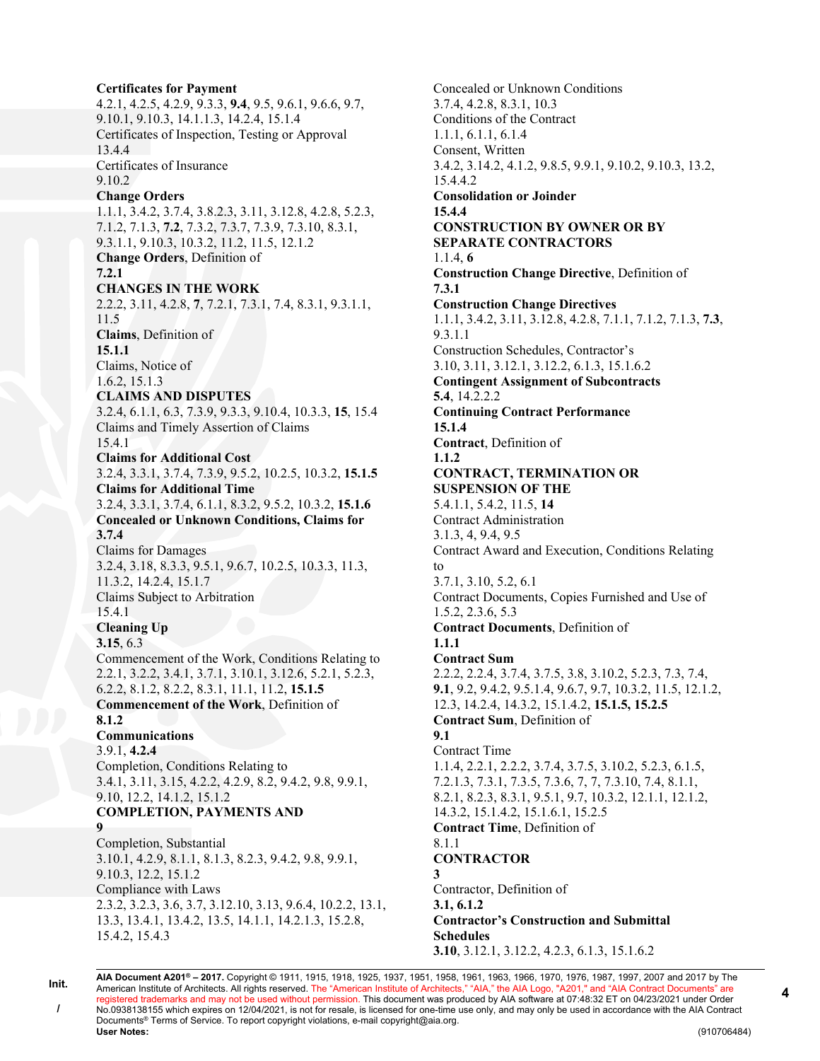**Certificates for Payment** 4.2.1, 4.2.5, 4.2.9, 9.3.3, **9.4**, 9.5, 9.6.1, 9.6.6, 9.7, 9.10.1, 9.10.3, 14.1.1.3, 14.2.4, 15.1.4 Certificates of Inspection, Testing or Approval 13.4.4 Certificates of Insurance 9.10.2 **Change Orders** 1.1.1, 3.4.2, 3.7.4, 3.8.2.3, 3.11, 3.12.8, 4.2.8, 5.2.3, 7.1.2, 7.1.3, **7.2**, 7.3.2, 7.3.7, 7.3.9, 7.3.10, 8.3.1, 9.3.1.1, 9.10.3, 10.3.2, 11.2, 11.5, 12.1.2 **Change Orders**, Definition of **7.2.1 CHANGES IN THE WORK** 2.2.2, 3.11, 4.2.8, **7**, 7.2.1, 7.3.1, 7.4, 8.3.1, 9.3.1.1, 11.5 **Claims**, Definition of **15.1.1** Claims, Notice of 1.6.2, 15.1.3 **CLAIMS AND DISPUTES** 3.2.4, 6.1.1, 6.3, 7.3.9, 9.3.3, 9.10.4, 10.3.3, **15**, 15.4 Claims and Timely Assertion of Claims 15.4.1 **Claims for Additional Cost** 3.2.4, 3.3.1, 3.7.4, 7.3.9, 9.5.2, 10.2.5, 10.3.2, **15.1.5 Claims for Additional Time** 3.2.4, 3.3.1, 3.7.4, 6.1.1, 8.3.2, 9.5.2, 10.3.2, **15.1.6 Concealed or Unknown Conditions, Claims for 3.7.4** Claims for Damages 3.2.4, 3.18, 8.3.3, 9.5.1, 9.6.7, 10.2.5, 10.3.3, 11.3, 11.3.2, 14.2.4, 15.1.7 Claims Subject to Arbitration 15.4.1 **Cleaning Up 3.15**, 6.3 Commencement of the Work, Conditions Relating to 2.2.1, 3.2.2, 3.4.1, 3.7.1, 3.10.1, 3.12.6, 5.2.1, 5.2.3, 6.2.2, 8.1.2, 8.2.2, 8.3.1, 11.1, 11.2, **15.1.5 Commencement of the Work**, Definition of **8.1.2 Communications** 3.9.1, **4.2.4** Completion, Conditions Relating to 3.4.1, 3.11, 3.15, 4.2.2, 4.2.9, 8.2, 9.4.2, 9.8, 9.9.1, 9.10, 12.2, 14.1.2, 15.1.2 **COMPLETION, PAYMENTS AND 9** Completion, Substantial 3.10.1, 4.2.9, 8.1.1, 8.1.3, 8.2.3, 9.4.2, 9.8, 9.9.1, 9.10.3, 12.2, 15.1.2 Compliance with Laws 2.3.2, 3.2.3, 3.6, 3.7, 3.12.10, 3.13, 9.6.4, 10.2.2, 13.1, 13.3, 13.4.1, 13.4.2, 13.5, 14.1.1, 14.2.1.3, 15.2.8, 15.4.2, 15.4.3

Concealed or Unknown Conditions 3.7.4, 4.2.8, 8.3.1, 10.3 Conditions of the Contract 1.1.1, 6.1.1, 6.1.4 Consent, Written 3.4.2, 3.14.2, 4.1.2, 9.8.5, 9.9.1, 9.10.2, 9.10.3, 13.2, 15.4.4.2 **Consolidation or Joinder 15.4.4 CONSTRUCTION BY OWNER OR BY SEPARATE CONTRACTORS** 1.1.4, **6 Construction Change Directive**, Definition of **7.3.1 Construction Change Directives** 1.1.1, 3.4.2, 3.11, 3.12.8, 4.2.8, 7.1.1, 7.1.2, 7.1.3, **7.3**, 9.3.1.1 Construction Schedules, Contractor's 3.10, 3.11, 3.12.1, 3.12.2, 6.1.3, 15.1.6.2 **Contingent Assignment of Subcontracts 5.4**, 14.2.2.2 **Continuing Contract Performance 15.1.4 Contract**, Definition of **1.1.2 CONTRACT, TERMINATION OR SUSPENSION OF THE** 5.4.1.1, 5.4.2, 11.5, **14** Contract Administration 3.1.3, 4, 9.4, 9.5 Contract Award and Execution, Conditions Relating to 3.7.1, 3.10, 5.2, 6.1 Contract Documents, Copies Furnished and Use of 1.5.2, 2.3.6, 5.3 **Contract Documents**, Definition of **1.1.1 Contract Sum** 2.2.2, 2.2.4, 3.7.4, 3.7.5, 3.8, 3.10.2, 5.2.3, 7.3, 7.4, **9.1**, 9.2, 9.4.2, 9.5.1.4, 9.6.7, 9.7, 10.3.2, 11.5, 12.1.2, 12.3, 14.2.4, 14.3.2, 15.1.4.2, **15.1.5, 15.2.5 Contract Sum**, Definition of **9.1** Contract Time 1.1.4, 2.2.1, 2.2.2, 3.7.4, 3.7.5, 3.10.2, 5.2.3, 6.1.5, 7.2.1.3, 7.3.1, 7.3.5, 7.3.6, 7, 7, 7.3.10, 7.4, 8.1.1, 8.2.1, 8.2.3, 8.3.1, 9.5.1, 9.7, 10.3.2, 12.1.1, 12.1.2, 14.3.2, 15.1.4.2, 15.1.6.1, 15.2.5 **Contract Time**, Definition of 8.1.1 **CONTRACTOR 3** Contractor, Definition of **3.1, 6.1.2 Contractor's Construction and Submittal Schedules 3.10**, 3.12.1, 3.12.2, 4.2.3, 6.1.3, 15.1.6.2

**AIA Document A201® – 2017.** Copyright © 1911, 1915, 1918, 1925, 1937, 1951, 1958, 1961, 1963, 1966, 1970, 1976, 1987, 1997, 2007 and 2017 by The American Institute of Architects. All rights reserved. The "American Institute of Architects," "AIA," the AIA Logo, "A201," and "AIA Contract Documents" are registered trademarks and may not be used without permission. This document was produced by AIA software at 07:48:32 ET on 04/23/2021 under Order No.0938138155 which expires on 12/04/2021, is not for resale, is licensed for one-time use only, and may only be used in accordance with the AIA Contract Documents<sup>®</sup> Terms of Service. To report copyright violations, e-mail copyright@aia.org.<br>User Notes: **User Notes:** (910706484)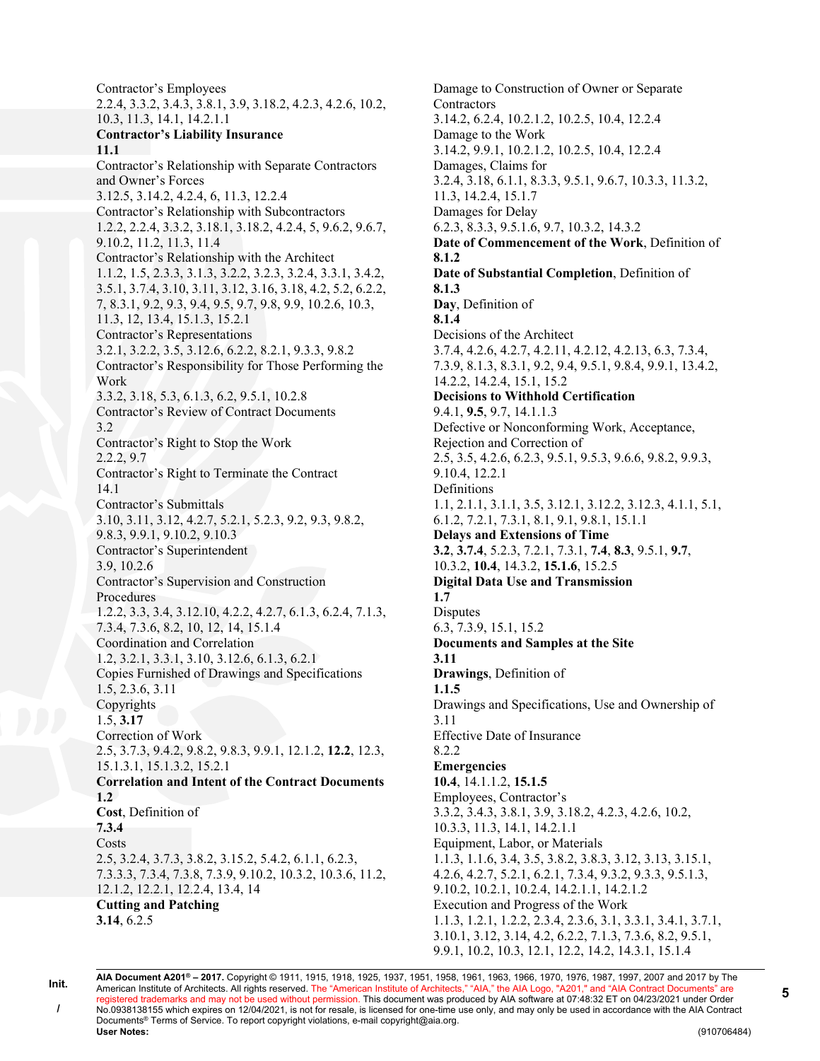Contractor's Employees 2.2.4, 3.3.2, 3.4.3, 3.8.1, 3.9, 3.18.2, 4.2.3, 4.2.6, 10.2, 10.3, 11.3, 14.1, 14.2.1.1 **Contractor's Liability Insurance 11.1** Contractor's Relationship with Separate Contractors and Owner's Forces 3.12.5, 3.14.2, 4.2.4, 6, 11.3, 12.2.4 Contractor's Relationship with Subcontractors 1.2.2, 2.2.4, 3.3.2, 3.18.1, 3.18.2, 4.2.4, 5, 9.6.2, 9.6.7, 9.10.2, 11.2, 11.3, 11.4 Contractor's Relationship with the Architect 1.1.2, 1.5, 2.3.3, 3.1.3, 3.2.2, 3.2.3, 3.2.4, 3.3.1, 3.4.2, 3.5.1, 3.7.4, 3.10, 3.11, 3.12, 3.16, 3.18, 4.2, 5.2, 6.2.2, 7, 8.3.1, 9.2, 9.3, 9.4, 9.5, 9.7, 9.8, 9.9, 10.2.6, 10.3, 11.3, 12, 13.4, 15.1.3, 15.2.1 Contractor's Representations 3.2.1, 3.2.2, 3.5, 3.12.6, 6.2.2, 8.2.1, 9.3.3, 9.8.2 Contractor's Responsibility for Those Performing the Work 3.3.2, 3.18, 5.3, 6.1.3, 6.2, 9.5.1, 10.2.8 Contractor's Review of Contract Documents 3.2 Contractor's Right to Stop the Work 2.2.2, 9.7 Contractor's Right to Terminate the Contract 14.1 Contractor's Submittals 3.10, 3.11, 3.12, 4.2.7, 5.2.1, 5.2.3, 9.2, 9.3, 9.8.2, 9.8.3, 9.9.1, 9.10.2, 9.10.3 Contractor's Superintendent 3.9, 10.2.6 Contractor's Supervision and Construction Procedures 1.2.2, 3.3, 3.4, 3.12.10, 4.2.2, 4.2.7, 6.1.3, 6.2.4, 7.1.3, 7.3.4, 7.3.6, 8.2, 10, 12, 14, 15.1.4 Coordination and Correlation 1.2, 3.2.1, 3.3.1, 3.10, 3.12.6, 6.1.3, 6.2.1 Copies Furnished of Drawings and Specifications 1.5, 2.3.6, 3.11 Copyrights 1.5, **3.17** Correction of Work 2.5, 3.7.3, 9.4.2, 9.8.2, 9.8.3, 9.9.1, 12.1.2, **12.2**, 12.3, 15.1.3.1, 15.1.3.2, 15.2.1 **Correlation and Intent of the Contract Documents 1.2 Cost**, Definition of **7.3.4** Costs 2.5, 3.2.4, 3.7.3, 3.8.2, 3.15.2, 5.4.2, 6.1.1, 6.2.3, 7.3.3.3, 7.3.4, 7.3.8, 7.3.9, 9.10.2, 10.3.2, 10.3.6, 11.2, 12.1.2, 12.2.1, 12.2.4, 13.4, 14 **Cutting and Patching 3.14**, 6.2.5

Damage to Construction of Owner or Separate **Contractors** 3.14.2, 6.2.4, 10.2.1.2, 10.2.5, 10.4, 12.2.4 Damage to the Work 3.14.2, 9.9.1, 10.2.1.2, 10.2.5, 10.4, 12.2.4 Damages, Claims for 3.2.4, 3.18, 6.1.1, 8.3.3, 9.5.1, 9.6.7, 10.3.3, 11.3.2, 11.3, 14.2.4, 15.1.7 Damages for Delay 6.2.3, 8.3.3, 9.5.1.6, 9.7, 10.3.2, 14.3.2 **Date of Commencement of the Work**, Definition of **8.1.2 Date of Substantial Completion**, Definition of **8.1.3 Day**, Definition of **8.1.4** Decisions of the Architect 3.7.4, 4.2.6, 4.2.7, 4.2.11, 4.2.12, 4.2.13, 6.3, 7.3.4, 7.3.9, 8.1.3, 8.3.1, 9.2, 9.4, 9.5.1, 9.8.4, 9.9.1, 13.4.2, 14.2.2, 14.2.4, 15.1, 15.2 **Decisions to Withhold Certification** 9.4.1, **9.5**, 9.7, 14.1.1.3 Defective or Nonconforming Work, Acceptance, Rejection and Correction of 2.5, 3.5, 4.2.6, 6.2.3, 9.5.1, 9.5.3, 9.6.6, 9.8.2, 9.9.3, 9.10.4, 12.2.1 Definitions 1.1, 2.1.1, 3.1.1, 3.5, 3.12.1, 3.12.2, 3.12.3, 4.1.1, 5.1, 6.1.2, 7.2.1, 7.3.1, 8.1, 9.1, 9.8.1, 15.1.1 **Delays and Extensions of Time 3.2**, **3.7.4**, 5.2.3, 7.2.1, 7.3.1, **7.4**, **8.3**, 9.5.1, **9.7**, 10.3.2, **10.4**, 14.3.2, **15.1.6**, 15.2.5 **Digital Data Use and Transmission 1.7 Disputes** 6.3, 7.3.9, 15.1, 15.2 **Documents and Samples at the Site 3.11 Drawings**, Definition of **1.1.5** Drawings and Specifications, Use and Ownership of 3.11 Effective Date of Insurance 8.2.2 **Emergencies 10.4**, 14.1.1.2, **15.1.5** Employees, Contractor's 3.3.2, 3.4.3, 3.8.1, 3.9, 3.18.2, 4.2.3, 4.2.6, 10.2, 10.3.3, 11.3, 14.1, 14.2.1.1 Equipment, Labor, or Materials 1.1.3, 1.1.6, 3.4, 3.5, 3.8.2, 3.8.3, 3.12, 3.13, 3.15.1, 4.2.6, 4.2.7, 5.2.1, 6.2.1, 7.3.4, 9.3.2, 9.3.3, 9.5.1.3, 9.10.2, 10.2.1, 10.2.4, 14.2.1.1, 14.2.1.2 Execution and Progress of the Work 1.1.3, 1.2.1, 1.2.2, 2.3.4, 2.3.6, 3.1, 3.3.1, 3.4.1, 3.7.1, 3.10.1, 3.12, 3.14, 4.2, 6.2.2, 7.1.3, 7.3.6, 8.2, 9.5.1, 9.9.1, 10.2, 10.3, 12.1, 12.2, 14.2, 14.3.1, 15.1.4

**Init. /**

**AIA Document A201® – 2017.** Copyright © 1911, 1915, 1918, 1925, 1937, 1951, 1958, 1961, 1963, 1966, 1970, 1976, 1987, 1997, 2007 and 2017 by The American Institute of Architects. All rights reserved. The "American Institute of Architects," "AIA," the AIA Logo, "A201," and "AIA Contract Documents" are registered trademarks and may not be used without permission. This document was produced by AIA software at 07:48:32 ET on 04/23/2021 under Order No.0938138155 which expires on 12/04/2021, is not for resale, is licensed for one-time use only, and may only be used in accordance with the AIA Contract Documents<sup>®</sup> Terms of Service. To report copyright violations, e-mail copyright@aia.org.<br>User Notes: **User Notes:** (910706484)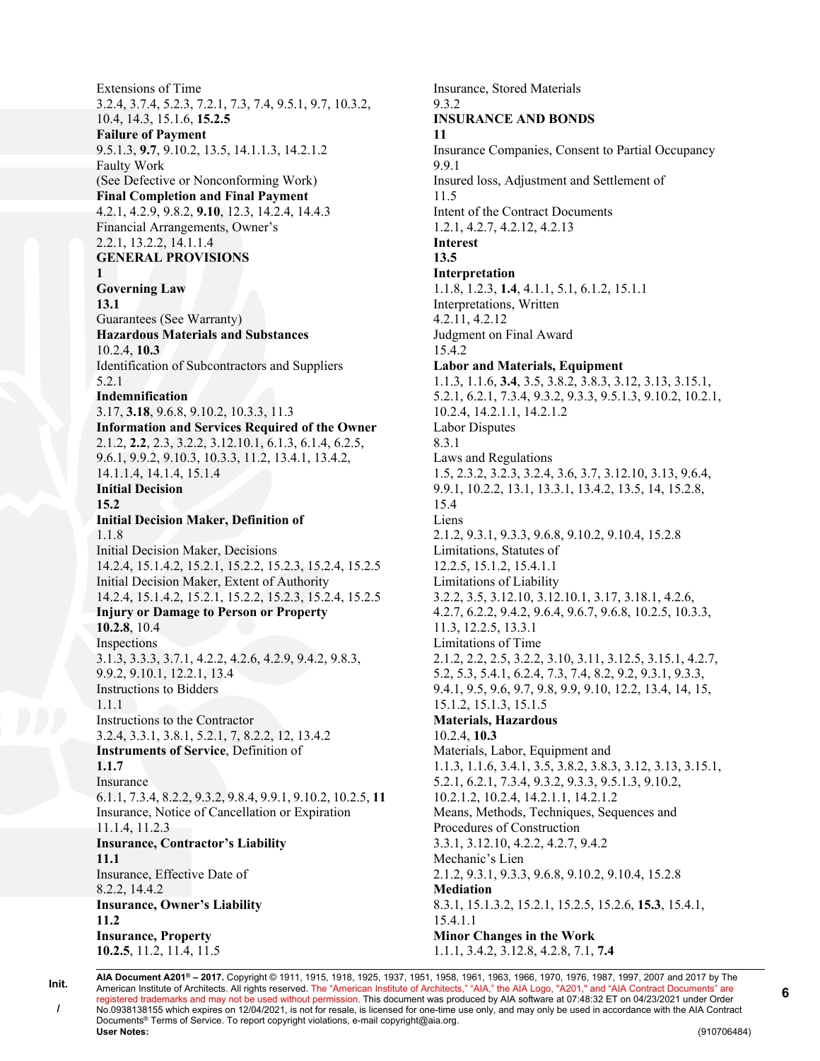Extensions of Time 3.2.4, 3.7.4, 5.2.3, 7.2.1, 7.3, 7.4, 9.5.1, 9.7, 10.3.2, 10.4, 14.3, 15.1.6, **15.2.5 Failure of Payment** 9.5.1.3, **9.7**, 9.10.2, 13.5, 14.1.1.3, 14.2.1.2 Faulty Work (See Defective or Nonconforming Work) **Final Completion and Final Payment** 4.2.1, 4.2.9, 9.8.2, **9.10**, 12.3, 14.2.4, 14.4.3 Financial Arrangements, Owner's 2.2.1, 13.2.2, 14.1.1.4 **GENERAL PROVISIONS 1 Governing Law 13.1** Guarantees (See Warranty) **Hazardous Materials and Substances** 10.2.4, **10.3** Identification of Subcontractors and Suppliers 5.2.1 **Indemnification** 3.17, **3.18**, 9.6.8, 9.10.2, 10.3.3, 11.3 **Information and Services Required of the Owner** 2.1.2, **2.2**, 2.3, 3.2.2, 3.12.10.1, 6.1.3, 6.1.4, 6.2.5, 9.6.1, 9.9.2, 9.10.3, 10.3.3, 11.2, 13.4.1, 13.4.2, 14.1.1.4, 14.1.4, 15.1.4 **Initial Decision 15.2 Initial Decision Maker, Definition of** 1.1.8 Initial Decision Maker, Decisions 14.2.4, 15.1.4.2, 15.2.1, 15.2.2, 15.2.3, 15.2.4, 15.2.5 Initial Decision Maker, Extent of Authority 14.2.4, 15.1.4.2, 15.2.1, 15.2.2, 15.2.3, 15.2.4, 15.2.5 **Injury or Damage to Person or Property 10.2.8**, 10.4 Inspections 3.1.3, 3.3.3, 3.7.1, 4.2.2, 4.2.6, 4.2.9, 9.4.2, 9.8.3, 9.9.2, 9.10.1, 12.2.1, 13.4 Instructions to Bidders 1.1.1 Instructions to the Contractor 3.2.4, 3.3.1, 3.8.1, 5.2.1, 7, 8.2.2, 12, 13.4.2 **Instruments of Service**, Definition of **1.1.7** Insurance 6.1.1, 7.3.4, 8.2.2, 9.3.2, 9.8.4, 9.9.1, 9.10.2, 10.2.5, **11** Insurance, Notice of Cancellation or Expiration 11.1.4, 11.2.3 **Insurance, Contractor's Liability 11.1** Insurance, Effective Date of 8.2.2, 14.4.2 **Insurance, Owner's Liability 11.2 Insurance, Property 10.2.5**, 11.2, 11.4, 11.5

Insurance, Stored Materials 9.3.2 **INSURANCE AND BONDS 11** Insurance Companies, Consent to Partial Occupancy 9.9.1 Insured loss, Adjustment and Settlement of 11.5 Intent of the Contract Documents 1.2.1, 4.2.7, 4.2.12, 4.2.13 **Interest 13.5 Interpretation** 1.1.8, 1.2.3, **1.4**, 4.1.1, 5.1, 6.1.2, 15.1.1 Interpretations, Written 4.2.11, 4.2.12 Judgment on Final Award 15.4.2 **Labor and Materials, Equipment** 1.1.3, 1.1.6, **3.4**, 3.5, 3.8.2, 3.8.3, 3.12, 3.13, 3.15.1, 5.2.1, 6.2.1, 7.3.4, 9.3.2, 9.3.3, 9.5.1.3, 9.10.2, 10.2.1, 10.2.4, 14.2.1.1, 14.2.1.2 Labor Disputes 8.3.1 Laws and Regulations 1.5, 2.3.2, 3.2.3, 3.2.4, 3.6, 3.7, 3.12.10, 3.13, 9.6.4, 9.9.1, 10.2.2, 13.1, 13.3.1, 13.4.2, 13.5, 14, 15.2.8, 15.4 Liens 2.1.2, 9.3.1, 9.3.3, 9.6.8, 9.10.2, 9.10.4, 15.2.8 Limitations, Statutes of 12.2.5, 15.1.2, 15.4.1.1 Limitations of Liability 3.2.2, 3.5, 3.12.10, 3.12.10.1, 3.17, 3.18.1, 4.2.6, 4.2.7, 6.2.2, 9.4.2, 9.6.4, 9.6.7, 9.6.8, 10.2.5, 10.3.3, 11.3, 12.2.5, 13.3.1 Limitations of Time 2.1.2, 2.2, 2.5, 3.2.2, 3.10, 3.11, 3.12.5, 3.15.1, 4.2.7, 5.2, 5.3, 5.4.1, 6.2.4, 7.3, 7.4, 8.2, 9.2, 9.3.1, 9.3.3, 9.4.1, 9.5, 9.6, 9.7, 9.8, 9.9, 9.10, 12.2, 13.4, 14, 15, 15.1.2, 15.1.3, 15.1.5 **Materials, Hazardous** 10.2.4, **10.3** Materials, Labor, Equipment and 1.1.3, 1.1.6, 3.4.1, 3.5, 3.8.2, 3.8.3, 3.12, 3.13, 3.15.1, 5.2.1, 6.2.1, 7.3.4, 9.3.2, 9.3.3, 9.5.1.3, 9.10.2, 10.2.1.2, 10.2.4, 14.2.1.1, 14.2.1.2 Means, Methods, Techniques, Sequences and Procedures of Construction 3.3.1, 3.12.10, 4.2.2, 4.2.7, 9.4.2 Mechanic's Lien 2.1.2, 9.3.1, 9.3.3, 9.6.8, 9.10.2, 9.10.4, 15.2.8 **Mediation** 8.3.1, 15.1.3.2, 15.2.1, 15.2.5, 15.2.6, **15.3**, 15.4.1, 15.4.1.1 **Minor Changes in the Work** 1.1.1, 3.4.2, 3.12.8, 4.2.8, 7.1, **7.4**

**AIA Document A201® – 2017.** Copyright © 1911, 1915, 1918, 1925, 1937, 1951, 1958, 1961, 1963, 1966, 1970, 1976, 1987, 1997, 2007 and 2017 by The American Institute of Architects. All rights reserved. The "American Institute of Architects," "AIA," the AIA Logo, "A201," and "AIA Contract Documents" are registered trademarks and may not be used without permission. This document was produced by AIA software at 07:48:32 ET on 04/23/2021 under Order No.0938138155 which expires on 12/04/2021, is not for resale, is licensed for one-time use only, and may only be used in accordance with the AIA Contract Documents<sup>®</sup> Terms of Service. To report copyright violations, e-mail copyright@aia.org.<br>User Notes: **User Notes:** (910706484)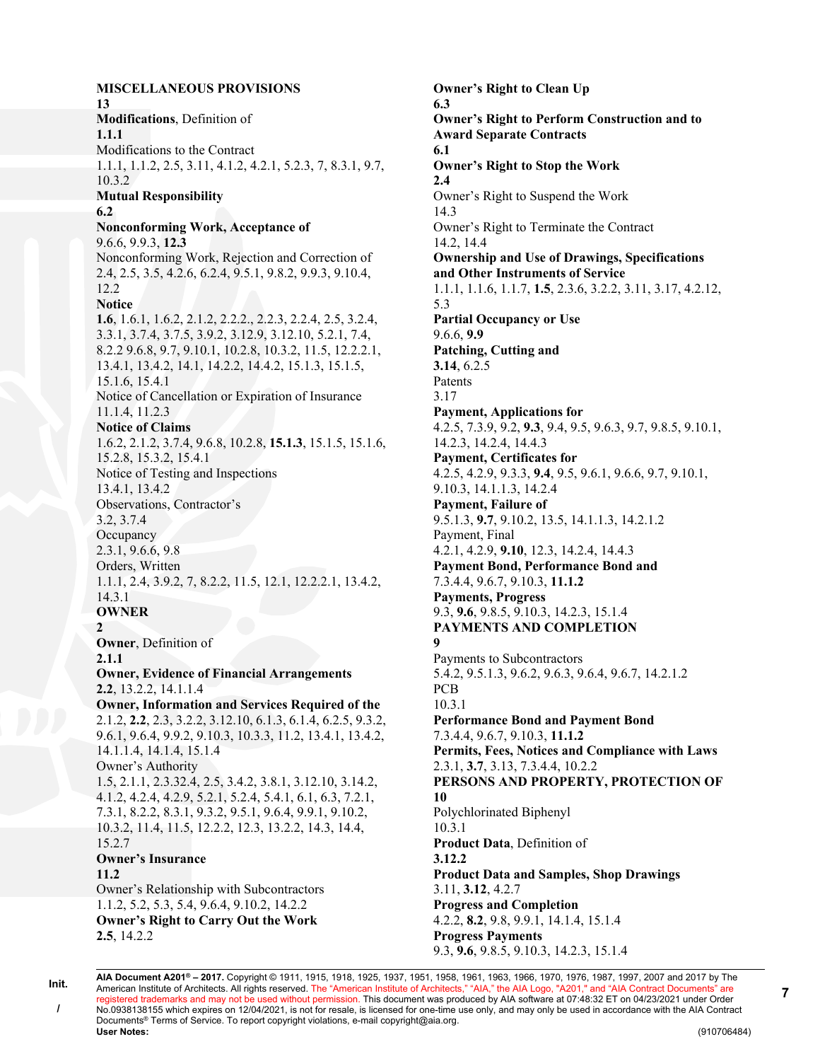## **MISCELLANEOUS PROVISIONS 13 Modifications**, Definition of **1.1.1** Modifications to the Contract 1.1.1, 1.1.2, 2.5, 3.11, 4.1.2, 4.2.1, 5.2.3, 7, 8.3.1, 9.7, 10.3.2 **Mutual Responsibility 6.2 Nonconforming Work, Acceptance of** 9.6.6, 9.9.3, **12.3** Nonconforming Work, Rejection and Correction of 2.4, 2.5, 3.5, 4.2.6, 6.2.4, 9.5.1, 9.8.2, 9.9.3, 9.10.4, 12.2 **Notice 1.6**, 1.6.1, 1.6.2, 2.1.2, 2.2.2., 2.2.3, 2.2.4, 2.5, 3.2.4, 3.3.1, 3.7.4, 3.7.5, 3.9.2, 3.12.9, 3.12.10, 5.2.1, 7.4, 8.2.2 9.6.8, 9.7, 9.10.1, 10.2.8, 10.3.2, 11.5, 12.2.2.1, 13.4.1, 13.4.2, 14.1, 14.2.2, 14.4.2, 15.1.3, 15.1.5, 15.1.6, 15.4.1 Notice of Cancellation or Expiration of Insurance 11.1.4, 11.2.3 **Notice of Claims** 1.6.2, 2.1.2, 3.7.4, 9.6.8, 10.2.8, **15.1.3**, 15.1.5, 15.1.6, 15.2.8, 15.3.2, 15.4.1 Notice of Testing and Inspections 13.4.1, 13.4.2 Observations, Contractor's 3.2, 3.7.4 **Occupancy** 2.3.1, 9.6.6, 9.8 Orders, Written 1.1.1, 2.4, 3.9.2, 7, 8.2.2, 11.5, 12.1, 12.2.2.1, 13.4.2, 14.3.1 **OWNER 2 Owner**, Definition of **2.1.1 Owner, Evidence of Financial Arrangements 2.2**, 13.2.2, 14.1.1.4 **Owner, Information and Services Required of the** 2.1.2, **2.2**, 2.3, 3.2.2, 3.12.10, 6.1.3, 6.1.4, 6.2.5, 9.3.2, 9.6.1, 9.6.4, 9.9.2, 9.10.3, 10.3.3, 11.2, 13.4.1, 13.4.2, 14.1.1.4, 14.1.4, 15.1.4 Owner's Authority 1.5, 2.1.1, 2.3.32.4, 2.5, 3.4.2, 3.8.1, 3.12.10, 3.14.2, 4.1.2, 4.2.4, 4.2.9, 5.2.1, 5.2.4, 5.4.1, 6.1, 6.3, 7.2.1, 7.3.1, 8.2.2, 8.3.1, 9.3.2, 9.5.1, 9.6.4, 9.9.1, 9.10.2, 10.3.2, 11.4, 11.5, 12.2.2, 12.3, 13.2.2, 14.3, 14.4, 15.2.7 **Owner's Insurance 11.2** Owner's Relationship with Subcontractors 1.1.2, 5.2, 5.3, 5.4, 9.6.4, 9.10.2, 14.2.2 **Owner's Right to Carry Out the Work 2.5**, 14.2.2

**AIA Document A201® – 2017.** Copyright © 1911, 1915, 1918, 1925, 1937, 1951, 1958, 1961, 1963, 1966, 1970, 1976, 1987, 1997, 2007 and 2017 by The American Institute of Architects. All rights reserved. The "American Institute of Architects," "AIA," the AIA Logo, "A201," and "AIA Contract Documents" are registered trademarks and may not be used without permission. This document was produced by AIA software at 07:48:32 ET on 04/23/2021 under Order No.0938138155 which expires on 12/04/2021, is not for resale, is licensed for one-time use only, and may only be used in accordance with the AIA Contract Documents<sup>®</sup> Terms of Service. To report copyright violations, e-mail copyright@aia.org.<br>User Notes: **User Notes:** (910706484) **7** 7.3.4.4, 9.6.7, 9.10.3, **11.1.2 Permits, Fees, Notices and Compliance with Laws** 2.3.1, **3.7**, 3.13, 7.3.4.4, 10.2.2 **PERSONS AND PROPERTY, PROTECTION OF 10** Polychlorinated Biphenyl 10.3.1 **Product Data**, Definition of **3.12.2 Product Data and Samples, Shop Drawings** 3.11, **3.12**, 4.2.7 **Progress and Completion** 4.2.2, **8.2**, 9.8, 9.9.1, 14.1.4, 15.1.4 **Progress Payments** 9.3, **9.6**, 9.8.5, 9.10.3, 14.2.3, 15.1.4

**Owner's Right to Clean Up**

**Award Separate Contracts**

**Owner's Right to Stop the Work**

Owner's Right to Suspend the Work

**and Other Instruments of Service**

**Partial Occupancy or Use**

**Payment, Applications for**

14.2.3, 14.2.4, 14.4.3 **Payment, Certificates for**

9.10.3, 14.1.1.3, 14.2.4 **Payment, Failure of**

Payment, Final

**9**

PCB 10.3.1

**Patching, Cutting and**

Owner's Right to Terminate the Contract

**Owner's Right to Perform Construction and to** 

**Ownership and Use of Drawings, Specifications** 

1.1.1, 1.1.6, 1.1.7, **1.5**, 2.3.6, 3.2.2, 3.11, 3.17, 4.2.12,

4.2.5, 7.3.9, 9.2, **9.3**, 9.4, 9.5, 9.6.3, 9.7, 9.8.5, 9.10.1,

4.2.5, 4.2.9, 9.3.3, **9.4**, 9.5, 9.6.1, 9.6.6, 9.7, 9.10.1,

9.5.1.3, **9.7**, 9.10.2, 13.5, 14.1.1.3, 14.2.1.2

4.2.1, 4.2.9, **9.10**, 12.3, 14.2.4, 14.4.3 **Payment Bond, Performance Bond and**

9.3, **9.6**, 9.8.5, 9.10.3, 14.2.3, 15.1.4 **PAYMENTS AND COMPLETION**

5.4.2, 9.5.1.3, 9.6.2, 9.6.3, 9.6.4, 9.6.7, 14.2.1.2

**Performance Bond and Payment Bond**

7.3.4.4, 9.6.7, 9.10.3, **11.1.2 Payments, Progress**

Payments to Subcontractors

**6.3**

**6.1**

**2.4**

14.3

5.3

14.2, 14.4

9.6.6, **9.9**

**3.14**, 6.2.5 Patents 3.17

**Init. /**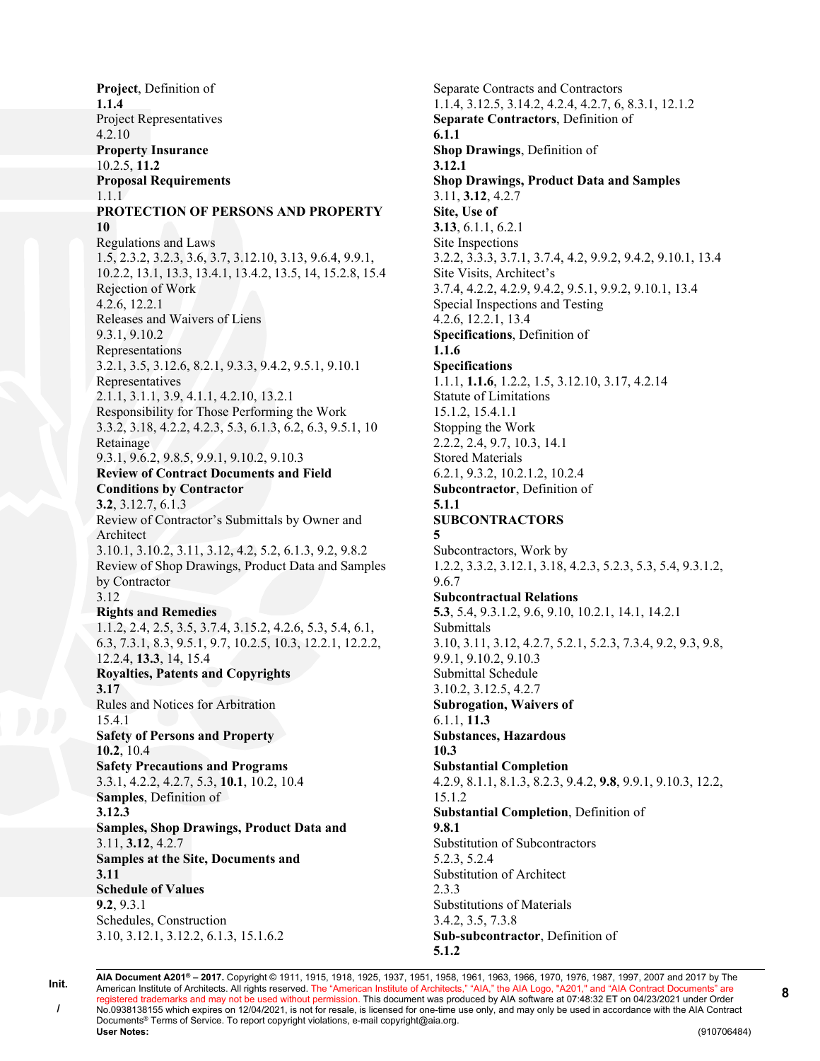**Project**, Definition of **1.1.4** Project Representatives 4.2.10 **Property Insurance** 10.2.5, **11.2 Proposal Requirements** 1.1.1 **PROTECTION OF PERSONS AND PROPERTY 10** Regulations and Laws 1.5, 2.3.2, 3.2.3, 3.6, 3.7, 3.12.10, 3.13, 9.6.4, 9.9.1, 10.2.2, 13.1, 13.3, 13.4.1, 13.4.2, 13.5, 14, 15.2.8, 15.4 Rejection of Work 4.2.6, 12.2.1 Releases and Waivers of Liens 9.3.1, 9.10.2 Representations 3.2.1, 3.5, 3.12.6, 8.2.1, 9.3.3, 9.4.2, 9.5.1, 9.10.1 Representatives 2.1.1, 3.1.1, 3.9, 4.1.1, 4.2.10, 13.2.1 Responsibility for Those Performing the Work 3.3.2, 3.18, 4.2.2, 4.2.3, 5.3, 6.1.3, 6.2, 6.3, 9.5.1, 10 Retainage 9.3.1, 9.6.2, 9.8.5, 9.9.1, 9.10.2, 9.10.3 **Review of Contract Documents and Field Conditions by Contractor 3.2**, 3.12.7, 6.1.3 Review of Contractor's Submittals by Owner and Architect 3.10.1, 3.10.2, 3.11, 3.12, 4.2, 5.2, 6.1.3, 9.2, 9.8.2 Review of Shop Drawings, Product Data and Samples by Contractor 3.12 **Rights and Remedies** 1.1.2, 2.4, 2.5, 3.5, 3.7.4, 3.15.2, 4.2.6, 5.3, 5.4, 6.1, 6.3, 7.3.1, 8.3, 9.5.1, 9.7, 10.2.5, 10.3, 12.2.1, 12.2.2, 12.2.4, **13.3**, 14, 15.4 **Royalties, Patents and Copyrights 3.17** Rules and Notices for Arbitration 15.4.1 **Safety of Persons and Property 10.2**, 10.4 **Safety Precautions and Programs** 3.3.1, 4.2.2, 4.2.7, 5.3, **10.1**, 10.2, 10.4 **Samples**, Definition of **3.12.3 Samples, Shop Drawings, Product Data and** 3.11, **3.12**, 4.2.7 **Samples at the Site, Documents and 3.11 Schedule of Values 9.2**, 9.3.1 Schedules, Construction 3.10, 3.12.1, 3.12.2, 6.1.3, 15.1.6.2

Separate Contracts and Contractors 1.1.4, 3.12.5, 3.14.2, 4.2.4, 4.2.7, 6, 8.3.1, 12.1.2 **Separate Contractors**, Definition of **6.1.1 Shop Drawings**, Definition of **3.12.1 Shop Drawings, Product Data and Samples** 3.11, **3.12**, 4.2.7 **Site, Use of 3.13**, 6.1.1, 6.2.1 Site Inspections 3.2.2, 3.3.3, 3.7.1, 3.7.4, 4.2, 9.9.2, 9.4.2, 9.10.1, 13.4 Site Visits, Architect's 3.7.4, 4.2.2, 4.2.9, 9.4.2, 9.5.1, 9.9.2, 9.10.1, 13.4 Special Inspections and Testing 4.2.6, 12.2.1, 13.4 **Specifications**, Definition of **1.1.6 Specifications** 1.1.1, **1.1.6**, 1.2.2, 1.5, 3.12.10, 3.17, 4.2.14 Statute of Limitations 15.1.2, 15.4.1.1 Stopping the Work 2.2.2, 2.4, 9.7, 10.3, 14.1 Stored Materials 6.2.1, 9.3.2, 10.2.1.2, 10.2.4 **Subcontractor**, Definition of **5.1.1 SUBCONTRACTORS 5** Subcontractors, Work by 1.2.2, 3.3.2, 3.12.1, 3.18, 4.2.3, 5.2.3, 5.3, 5.4, 9.3.1.2, 9.6.7 **Subcontractual Relations 5.3**, 5.4, 9.3.1.2, 9.6, 9.10, 10.2.1, 14.1, 14.2.1 Submittals 3.10, 3.11, 3.12, 4.2.7, 5.2.1, 5.2.3, 7.3.4, 9.2, 9.3, 9.8, 9.9.1, 9.10.2, 9.10.3 Submittal Schedule 3.10.2, 3.12.5, 4.2.7 **Subrogation, Waivers of** 6.1.1, **11.3 Substances, Hazardous 10.3 Substantial Completion** 4.2.9, 8.1.1, 8.1.3, 8.2.3, 9.4.2, **9.8**, 9.9.1, 9.10.3, 12.2, 15.1.2 **Substantial Completion**, Definition of **9.8.1** Substitution of Subcontractors 5.2.3, 5.2.4 Substitution of Architect 2.3.3 Substitutions of Materials 3.4.2, 3.5, 7.3.8 **Sub-subcontractor**, Definition of **5.1.2**

**Init. /**

**AIA Document A201® – 2017.** Copyright © 1911, 1915, 1918, 1925, 1937, 1951, 1958, 1961, 1963, 1966, 1970, 1976, 1987, 1997, 2007 and 2017 by The American Institute of Architects. All rights reserved. The "American Institute of Architects," "AIA," the AIA Logo, "A201," and "AIA Contract Documents" are registered trademarks and may not be used without permission. This document was produced by AIA software at 07:48:32 ET on 04/23/2021 under Order No.0938138155 which expires on 12/04/2021, is not for resale, is licensed for one-time use only, and may only be used in accordance with the AIA Contract Documents<sup>®</sup> Terms of Service. To report copyright violations, e-mail copyright@aia.org.<br>User Notes: **User Notes:** (910706484)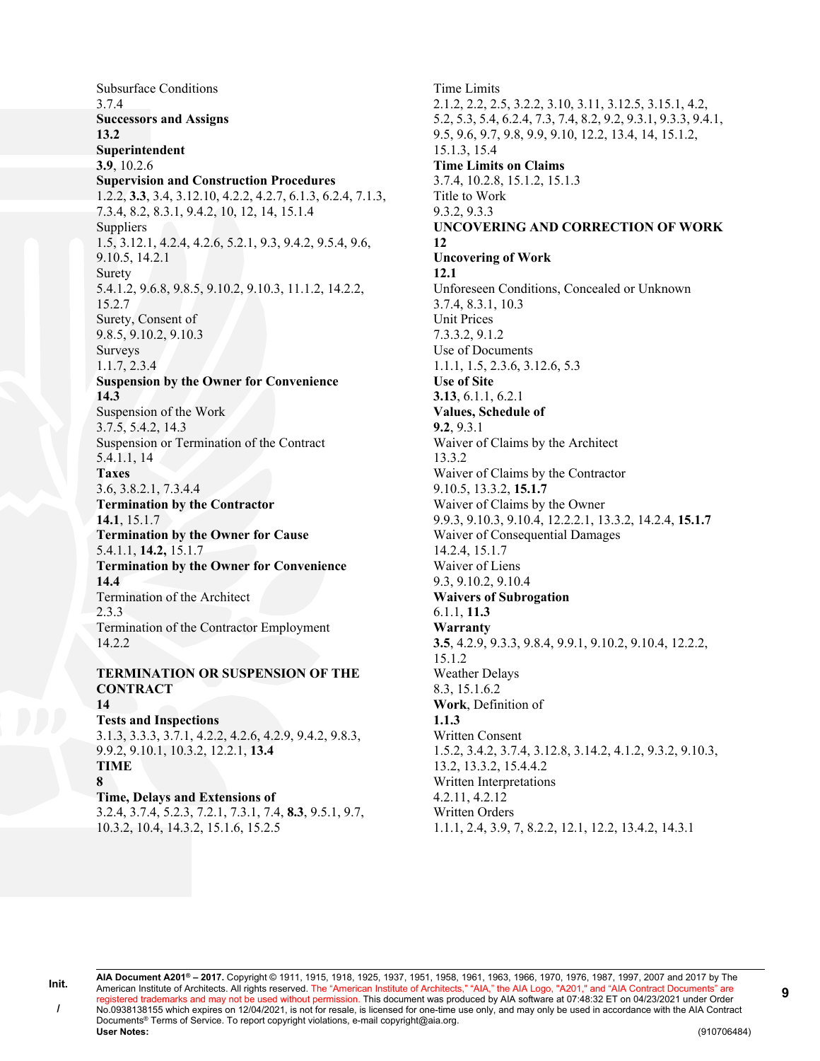Subsurface Conditions 3.7.4 **Successors and Assigns 13.2 Superintendent 3.9**, 10.2.6 **Supervision and Construction Procedures** 1.2.2, **3.3**, 3.4, 3.12.10, 4.2.2, 4.2.7, 6.1.3, 6.2.4, 7.1.3, 7.3.4, 8.2, 8.3.1, 9.4.2, 10, 12, 14, 15.1.4 Suppliers 1.5, 3.12.1, 4.2.4, 4.2.6, 5.2.1, 9.3, 9.4.2, 9.5.4, 9.6, 9.10.5, 14.2.1 Surety 5.4.1.2, 9.6.8, 9.8.5, 9.10.2, 9.10.3, 11.1.2, 14.2.2, 15.2.7 Surety, Consent of 9.8.5, 9.10.2, 9.10.3 Surveys 1.1.7, 2.3.4 **Suspension by the Owner for Convenience 14.3** Suspension of the Work 3.7.5, 5.4.2, 14.3 Suspension or Termination of the Contract 5.4.1.1, 14 **Taxes** 3.6, 3.8.2.1, 7.3.4.4 **Termination by the Contractor 14.1**, 15.1.7 **Termination by the Owner for Cause** 5.4.1.1, **14.2,** 15.1.7 **Termination by the Owner for Convenience 14.4** Termination of the Architect 2.3.3 Termination of the Contractor Employment 14.2.2

# **TERMINATION OR SUSPENSION OF THE CONTRACT**

**14 Tests and Inspections** 3.1.3, 3.3.3, 3.7.1, 4.2.2, 4.2.6, 4.2.9, 9.4.2, 9.8.3, 9.9.2, 9.10.1, 10.3.2, 12.2.1, **13.4 TIME 8 Time, Delays and Extensions of** 3.2.4, 3.7.4, 5.2.3, 7.2.1, 7.3.1, 7.4, **8.3**, 9.5.1, 9.7,

10.3.2, 10.4, 14.3.2, 15.1.6, 15.2.5

Time Limits 2.1.2, 2.2, 2.5, 3.2.2, 3.10, 3.11, 3.12.5, 3.15.1, 4.2, 5.2, 5.3, 5.4, 6.2.4, 7.3, 7.4, 8.2, 9.2, 9.3.1, 9.3.3, 9.4.1, 9.5, 9.6, 9.7, 9.8, 9.9, 9.10, 12.2, 13.4, 14, 15.1.2, 15.1.3, 15.4 **Time Limits on Claims** 3.7.4, 10.2.8, 15.1.2, 15.1.3 Title to Work 9.3.2, 9.3.3 **UNCOVERING AND CORRECTION OF WORK 12 Uncovering of Work 12.1** Unforeseen Conditions, Concealed or Unknown 3.7.4, 8.3.1, 10.3 Unit Prices 7.3.3.2, 9.1.2 Use of Documents 1.1.1, 1.5, 2.3.6, 3.12.6, 5.3 **Use of Site 3.13**, 6.1.1, 6.2.1 **Values, Schedule of 9.2**, 9.3.1 Waiver of Claims by the Architect 13.3.2 Waiver of Claims by the Contractor 9.10.5, 13.3.2, **15.1.7** Waiver of Claims by the Owner 9.9.3, 9.10.3, 9.10.4, 12.2.2.1, 13.3.2, 14.2.4, **15.1.7** Waiver of Consequential Damages 14.2.4, 15.1.7 Waiver of Liens 9.3, 9.10.2, 9.10.4 **Waivers of Subrogation** 6.1.1, **11.3 Warranty 3.5**, 4.2.9, 9.3.3, 9.8.4, 9.9.1, 9.10.2, 9.10.4, 12.2.2, 15.1.2 Weather Delays 8.3, 15.1.6.2 **Work**, Definition of **1.1.3** Written Consent 1.5.2, 3.4.2, 3.7.4, 3.12.8, 3.14.2, 4.1.2, 9.3.2, 9.10.3, 13.2, 13.3.2, 15.4.4.2 Written Interpretations 4.2.11, 4.2.12 Written Orders 1.1.1, 2.4, 3.9, 7, 8.2.2, 12.1, 12.2, 13.4.2, 14.3.1

**AIA Document A201® – 2017.** Copyright © 1911, 1915, 1918, 1925, 1937, 1951, 1958, 1961, 1963, 1966, 1970, 1976, 1987, 1997, 2007 and 2017 by The American Institute of Architects. All rights reserved. The "American Institute of Architects," "AIA," the AIA Logo, "A201," and "AIA Contract Documents" are registered trademarks and may not be used without permission. This document was produced by AIA software at 07:48:32 ET on 04/23/2021 under Order No.0938138155 which expires on 12/04/2021, is not for resale, is licensed for one-time use only, and may only be used in accordance with the AIA Contract Documents<sup>®</sup> Terms of Service. To report copyright violations, e-mail copyright@aia.org.<br>User Notes: **User Notes:** (910706484)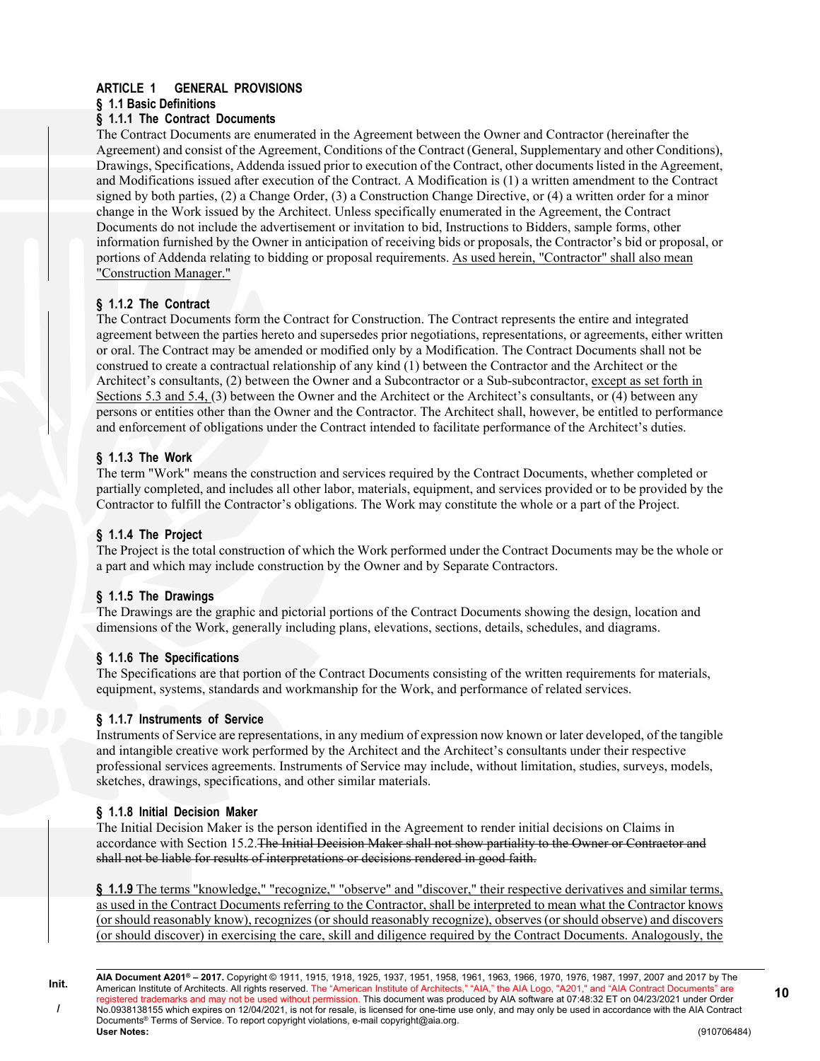# **ARTICLE 1 GENERAL PROVISIONS**

#### **§ 1.1 Basic Definitions**

# **§ 1.1.1 The Contract Documents**

The Contract Documents are enumerated in the Agreement between the Owner and Contractor (hereinafter the Agreement) and consist of the Agreement, Conditions of the Contract (General, Supplementary and other Conditions), Drawings, Specifications, Addenda issued prior to execution of the Contract, other documents listed in the Agreement, and Modifications issued after execution of the Contract. A Modification is (1) a written amendment to the Contract signed by both parties, (2) a Change Order, (3) a Construction Change Directive, or (4) a written order for a minor change in the Work issued by the Architect. Unless specifically enumerated in the Agreement, the Contract Documents do not include the advertisement or invitation to bid, Instructions to Bidders, sample forms, other information furnished by the Owner in anticipation of receiving bids or proposals, the Contractor's bid or proposal, or portions of Addenda relating to bidding or proposal requirements. As used herein, "Contractor" shall also mean "Construction Manager."

# **§ 1.1.2 The Contract**

The Contract Documents form the Contract for Construction. The Contract represents the entire and integrated agreement between the parties hereto and supersedes prior negotiations, representations, or agreements, either written or oral. The Contract may be amended or modified only by a Modification. The Contract Documents shall not be construed to create a contractual relationship of any kind (1) between the Contractor and the Architect or the Architect's consultants, (2) between the Owner and a Subcontractor or a Sub-subcontractor, except as set forth in Sections 5.3 and 5.4, (3) between the Owner and the Architect or the Architect's consultants, or (4) between any persons or entities other than the Owner and the Contractor. The Architect shall, however, be entitled to performance and enforcement of obligations under the Contract intended to facilitate performance of the Architect's duties.

# **§ 1.1.3 The Work**

The term "Work" means the construction and services required by the Contract Documents, whether completed or partially completed, and includes all other labor, materials, equipment, and services provided or to be provided by the Contractor to fulfill the Contractor's obligations. The Work may constitute the whole or a part of the Project.

# **§ 1.1.4 The Project**

The Project is the total construction of which the Work performed under the Contract Documents may be the whole or a part and which may include construction by the Owner and by Separate Contractors.

# **§ 1.1.5 The Drawings**

The Drawings are the graphic and pictorial portions of the Contract Documents showing the design, location and dimensions of the Work, generally including plans, elevations, sections, details, schedules, and diagrams.

## **§ 1.1.6 The Specifications**

The Specifications are that portion of the Contract Documents consisting of the written requirements for materials, equipment, systems, standards and workmanship for the Work, and performance of related services.

#### **§ 1.1.7 Instruments of Service**

Instruments of Service are representations, in any medium of expression now known or later developed, of the tangible and intangible creative work performed by the Architect and the Architect's consultants under their respective professional services agreements. Instruments of Service may include, without limitation, studies, surveys, models, sketches, drawings, specifications, and other similar materials.

#### **§ 1.1.8 Initial Decision Maker**

The Initial Decision Maker is the person identified in the Agreement to render initial decisions on Claims in accordance with Section 15.2.The Initial Decision Maker shall not show partiality to the Owner or Contractor and shall not be liable for results of interpretations or decisions rendered in good faith.

**§ 1.1.9** The terms "knowledge," "recognize," "observe" and "discover," their respective derivatives and similar terms, as used in the Contract Documents referring to the Contractor, shall be interpreted to mean what the Contractor knows (or should reasonably know), recognizes (or should reasonably recognize), observes (or should observe) and discovers (or should discover) in exercising the care, skill and diligence required by the Contract Documents. Analogously, the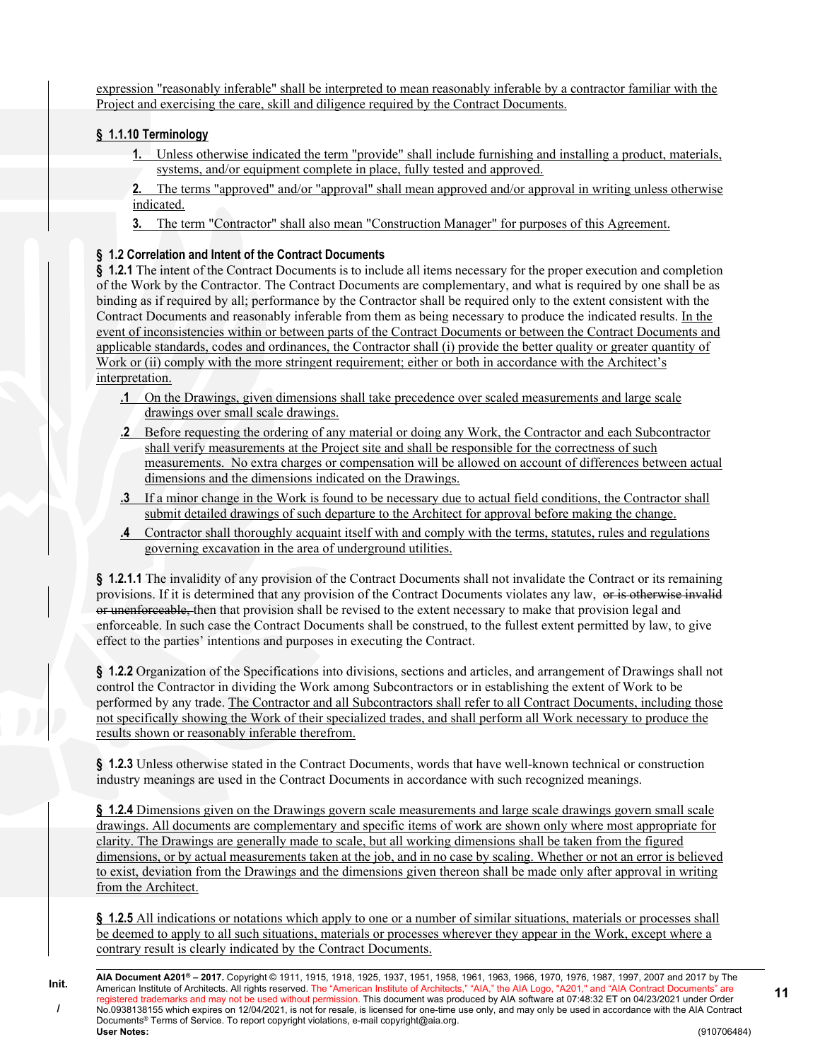expression "reasonably inferable" shall be interpreted to mean reasonably inferable by a contractor familiar with the Project and exercising the care, skill and diligence required by the Contract Documents.

# **§ 1.1.10 Terminology**

**Init. /**

**1.** Unless otherwise indicated the term "provide" shall include furnishing and installing a product, materials, systems, and/or equipment complete in place, fully tested and approved.

**2.** The terms "approved" and/or "approval" shall mean approved and/or approval in writing unless otherwise indicated.

**3.** The term "Contractor" shall also mean "Construction Manager" for purposes of this Agreement.

# **§ 1.2 Correlation and Intent of the Contract Documents**

**§ 1.2.1** The intent of the Contract Documents is to include all items necessary for the proper execution and completion of the Work by the Contractor. The Contract Documents are complementary, and what is required by one shall be as binding as if required by all; performance by the Contractor shall be required only to the extent consistent with the Contract Documents and reasonably inferable from them as being necessary to produce the indicated results. In the event of inconsistencies within or between parts of the Contract Documents or between the Contract Documents and applicable standards, codes and ordinances, the Contractor shall (i) provide the better quality or greater quantity of Work or (ii) comply with the more stringent requirement; either or both in accordance with the Architect's interpretation.

- **.1** On the Drawings, given dimensions shall take precedence over scaled measurements and large scale drawings over small scale drawings.
- **.2** Before requesting the ordering of any material or doing any Work, the Contractor and each Subcontractor shall verify measurements at the Project site and shall be responsible for the correctness of such measurements. No extra charges or compensation will be allowed on account of differences between actual dimensions and the dimensions indicated on the Drawings.
- **.3** If a minor change in the Work is found to be necessary due to actual field conditions, the Contractor shall submit detailed drawings of such departure to the Architect for approval before making the change.
- **.4** Contractor shall thoroughly acquaint itself with and comply with the terms, statutes, rules and regulations governing excavation in the area of underground utilities.

**§ 1.2.1.1** The invalidity of any provision of the Contract Documents shall not invalidate the Contract or its remaining provisions. If it is determined that any provision of the Contract Documents violates any law, or is otherwise invalid or unenforceable, then that provision shall be revised to the extent necessary to make that provision legal and enforceable. In such case the Contract Documents shall be construed, to the fullest extent permitted by law, to give effect to the parties' intentions and purposes in executing the Contract.

**§ 1.2.2** Organization of the Specifications into divisions, sections and articles, and arrangement of Drawings shall not control the Contractor in dividing the Work among Subcontractors or in establishing the extent of Work to be performed by any trade. The Contractor and all Subcontractors shall refer to all Contract Documents, including those not specifically showing the Work of their specialized trades, and shall perform all Work necessary to produce the results shown or reasonably inferable therefrom.

**§ 1.2.3** Unless otherwise stated in the Contract Documents, words that have well-known technical or construction industry meanings are used in the Contract Documents in accordance with such recognized meanings.

**§ 1.2.4** Dimensions given on the Drawings govern scale measurements and large scale drawings govern small scale drawings. All documents are complementary and specific items of work are shown only where most appropriate for clarity. The Drawings are generally made to scale, but all working dimensions shall be taken from the figured dimensions, or by actual measurements taken at the job, and in no case by scaling. Whether or not an error is believed to exist, deviation from the Drawings and the dimensions given thereon shall be made only after approval in writing from the Architect.

**§ 1.2.5** All indications or notations which apply to one or a number of similar situations, materials or processes shall be deemed to apply to all such situations, materials or processes wherever they appear in the Work, except where a contrary result is clearly indicated by the Contract Documents.

**AIA Document A201® – 2017.** Copyright © 1911, 1915, 1918, 1925, 1937, 1951, 1958, 1961, 1963, 1966, 1970, 1976, 1987, 1997, 2007 and 2017 by The American Institute of Architects. All rights reserved. The "American Institute of Architects," "AIA," the AIA Logo, "A201," and "AIA Contract Documents" are registered trademarks and may not be used without permission. This document was produced by AIA software at 07:48:32 ET on 04/23/2021 under Order No.0938138155 which expires on 12/04/2021, is not for resale, is licensed for one-time use only, and may only be used in accordance with the AIA Contract Documents<sup>®</sup> Terms of Service. To report copyright violations, e-mail copyright@aia.org.<br>User Notes: **User Notes:** (910706484)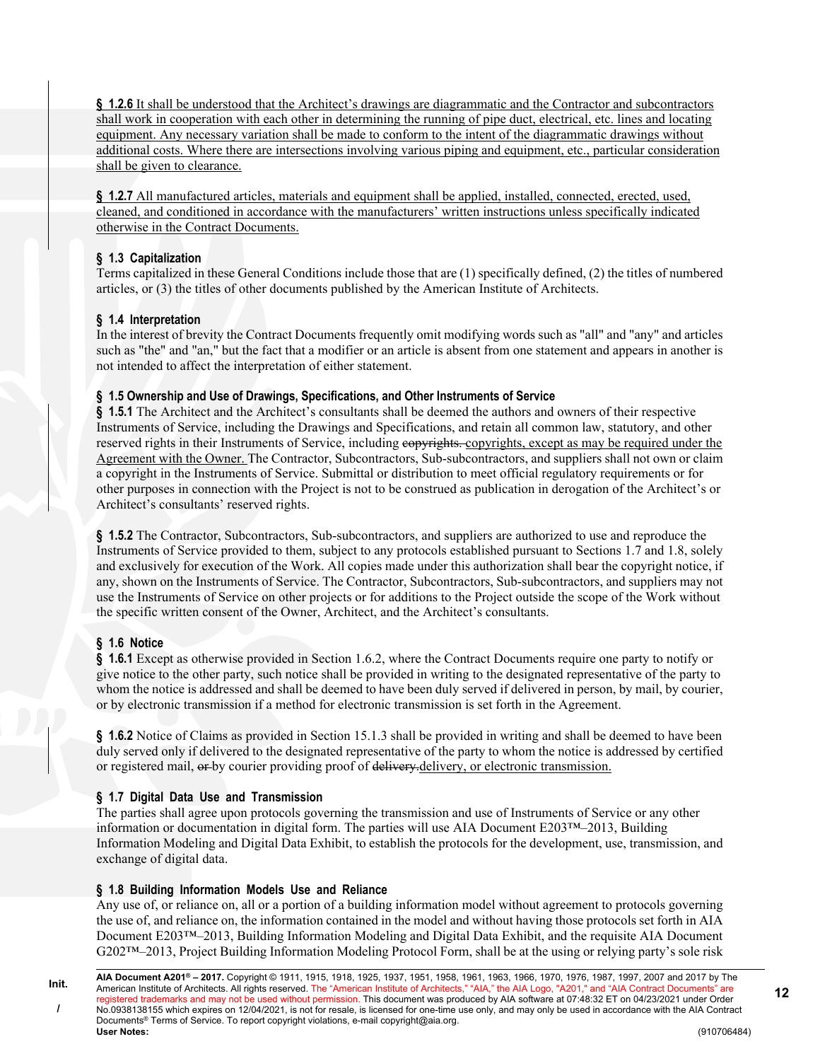**§ 1.2.6** It shall be understood that the Architect's drawings are diagrammatic and the Contractor and subcontractors shall work in cooperation with each other in determining the running of pipe duct, electrical, etc. lines and locating equipment. Any necessary variation shall be made to conform to the intent of the diagrammatic drawings without additional costs. Where there are intersections involving various piping and equipment, etc., particular consideration shall be given to clearance.

**§ 1.2.7** All manufactured articles, materials and equipment shall be applied, installed, connected, erected, used, cleaned, and conditioned in accordance with the manufacturers' written instructions unless specifically indicated otherwise in the Contract Documents.

# **§ 1.3 Capitalization**

Terms capitalized in these General Conditions include those that are (1) specifically defined, (2) the titles of numbered articles, or (3) the titles of other documents published by the American Institute of Architects.

# **§ 1.4 Interpretation**

In the interest of brevity the Contract Documents frequently omit modifying words such as "all" and "any" and articles such as "the" and "an," but the fact that a modifier or an article is absent from one statement and appears in another is not intended to affect the interpretation of either statement.

# **§ 1.5 Ownership and Use of Drawings, Specifications, and Other Instruments of Service**

**§ 1.5.1** The Architect and the Architect's consultants shall be deemed the authors and owners of their respective Instruments of Service, including the Drawings and Specifications, and retain all common law, statutory, and other reserved rights in their Instruments of Service, including copyrights. copyrights, except as may be required under the Agreement with the Owner. The Contractor, Subcontractors, Sub-subcontractors, and suppliers shall not own or claim a copyright in the Instruments of Service. Submittal or distribution to meet official regulatory requirements or for other purposes in connection with the Project is not to be construed as publication in derogation of the Architect's or Architect's consultants' reserved rights.

§ 1.5.2 The Contractor, Subcontractors, Sub-subcontractors, and suppliers are authorized to use and reproduce the Instruments of Service provided to them, subject to any protocols established pursuant to Sections 1.7 and 1.8, solely and exclusively for execution of the Work. All copies made under this authorization shall bear the copyright notice, if any, shown on the Instruments of Service. The Contractor, Subcontractors, Sub-subcontractors, and suppliers may not use the Instruments of Service on other projects or for additions to the Project outside the scope of the Work without the specific written consent of the Owner, Architect, and the Architect's consultants.

# **§ 1.6 Notice**

**Init. /**

**§ 1.6.1** Except as otherwise provided in Section 1.6.2, where the Contract Documents require one party to notify or give notice to the other party, such notice shall be provided in writing to the designated representative of the party to whom the notice is addressed and shall be deemed to have been duly served if delivered in person, by mail, by courier, or by electronic transmission if a method for electronic transmission is set forth in the Agreement.

§ **1.6.2** Notice of Claims as provided in Section 15.1.3 shall be provided in writing and shall be deemed to have been duly served only if delivered to the designated representative of the party to whom the notice is addressed by certified or registered mail, or by courier providing proof of delivery.delivery, or electronic transmission.

# **§ 1.7 Digital Data Use and Transmission**

The parties shall agree upon protocols governing the transmission and use of Instruments of Service or any other information or documentation in digital form. The parties will use AIA Document E203™–2013, Building Information Modeling and Digital Data Exhibit, to establish the protocols for the development, use, transmission, and exchange of digital data.

#### **§ 1.8 Building Information Models Use and Reliance**

Any use of, or reliance on, all or a portion of a building information model without agreement to protocols governing the use of, and reliance on, the information contained in the model and without having those protocols set forth in AIA Document E203™–2013, Building Information Modeling and Digital Data Exhibit, and the requisite AIA Document G202™–2013, Project Building Information Modeling Protocol Form, shall be at the using or relying party's sole risk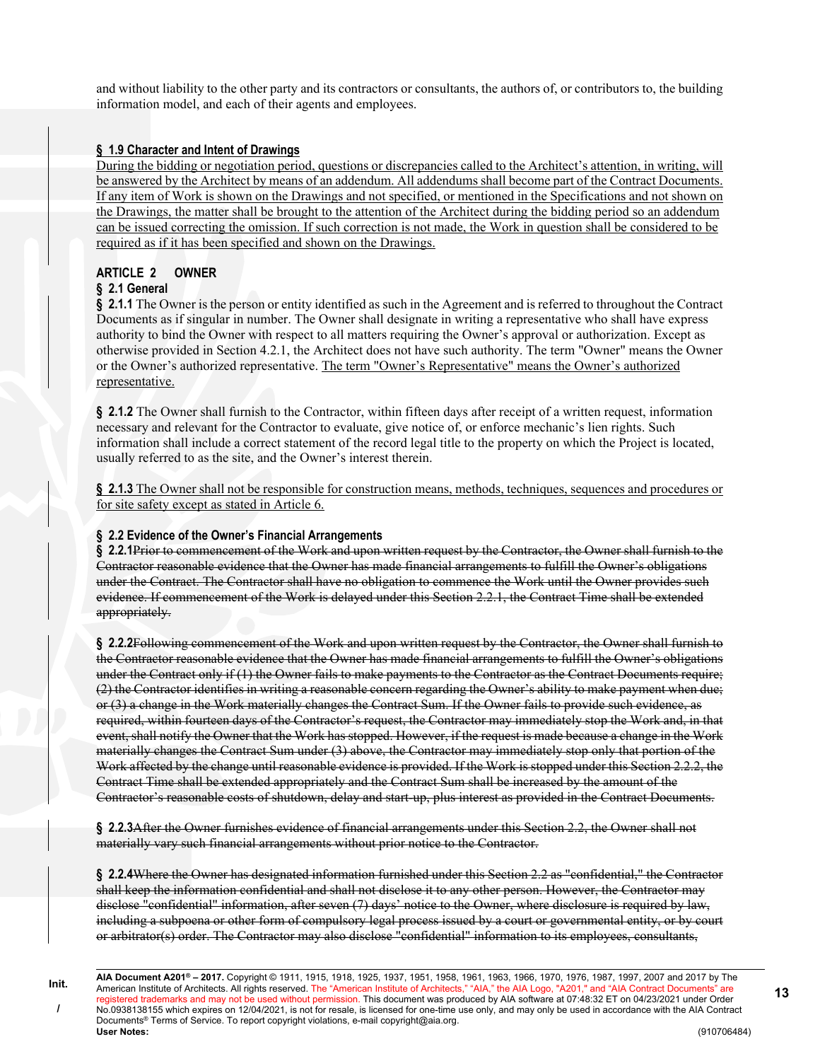and without liability to the other party and its contractors or consultants, the authors of, or contributors to, the building information model, and each of their agents and employees.

#### **§ 1.9 Character and Intent of Drawings**

During the bidding or negotiation period, questions or discrepancies called to the Architect's attention, in writing, will be answered by the Architect by means of an addendum. All addendums shall become part of the Contract Documents. If any item of Work is shown on the Drawings and not specified, or mentioned in the Specifications and not shown on the Drawings, the matter shall be brought to the attention of the Architect during the bidding period so an addendum can be issued correcting the omission. If such correction is not made, the Work in question shall be considered to be required as if it has been specified and shown on the Drawings.

#### **ARTICLE 2 OWNER**

# **§ 2.1 General**

**§ 2.1.1** The Owner is the person or entity identified as such in the Agreement and is referred to throughout the Contract Documents as if singular in number. The Owner shall designate in writing a representative who shall have express authority to bind the Owner with respect to all matters requiring the Owner's approval or authorization. Except as otherwise provided in Section 4.2.1, the Architect does not have such authority. The term "Owner" means the Owner or the Owner's authorized representative. The term "Owner's Representative" means the Owner's authorized representative.

**§ 2.1.2** The Owner shall furnish to the Contractor, within fifteen days after receipt of a written request, information necessary and relevant for the Contractor to evaluate, give notice of, or enforce mechanic's lien rights. Such information shall include a correct statement of the record legal title to the property on which the Project is located, usually referred to as the site, and the Owner's interest therein.

**§ 2.1.3** The Owner shall not be responsible for construction means, methods, techniques, sequences and procedures or for site safety except as stated in Article 6.

## **§ 2.2 Evidence of the Owner's Financial Arrangements**

**§ 2.2.1**Prior to commencement of the Work and upon written request by the Contractor, the Owner shall furnish to the Contractor reasonable evidence that the Owner has made financial arrangements to fulfill the Owner's obligations under the Contract. The Contractor shall have no obligation to commence the Work until the Owner provides such evidence. If commencement of the Work is delayed under this Section 2.2.1, the Contract Time shall be extended appropriately.

**§ 2.2.2**Following commencement of the Work and upon written request by the Contractor, the Owner shall furnish to the Contractor reasonable evidence that the Owner has made financial arrangements to fulfill the Owner's obligations under the Contract only if (1) the Owner fails to make payments to the Contractor as the Contract Documents require; (2) the Contractor identifies in writing a reasonable concern regarding the Owner's ability to make payment when due; or (3) a change in the Work materially changes the Contract Sum. If the Owner fails to provide such evidence, as required, within fourteen days of the Contractor's request, the Contractor may immediately stop the Work and, in that event, shall notify the Owner that the Work has stopped. However, if the request is made because a change in the Work materially changes the Contract Sum under (3) above, the Contractor may immediately stop only that portion of the Work affected by the change until reasonable evidence is provided. If the Work is stopped under this Section 2.2.2, the Contract Time shall be extended appropriately and the Contract Sum shall be increased by the amount of the Contractor's reasonable costs of shutdown, delay and start-up, plus interest as provided in the Contract Documents.

**§ 2.2.3**After the Owner furnishes evidence of financial arrangements under this Section 2.2, the Owner shall not materially vary such financial arrangements without prior notice to the Contractor.

**§ 2.2.4**Where the Owner has designated information furnished under this Section 2.2 as "confidential," the Contractor shall keep the information confidential and shall not disclose it to any other person. However, the Contractor may disclose "confidential" information, after seven (7) days' notice to the Owner, where disclosure is required by law, including a subpoena or other form of compulsory legal process issued by a court or governmental entity, or by court or arbitrator(s) order. The Contractor may also disclose "confidential" information to its employees, consultants,

**/**

**AIA Document A201® – 2017.** Copyright © 1911, 1915, 1918, 1925, 1937, 1951, 1958, 1961, 1963, 1966, 1970, 1976, 1987, 1997, 2007 and 2017 by The American Institute of Architects. All rights reserved. The "American Institute of Architects," "AIA," the AIA Logo, "A201," and "AIA Contract Documents" are registered trademarks and may not be used without permission. This document was produced by AIA software at 07:48:32 ET on 04/23/2021 under Order No.0938138155 which expires on 12/04/2021, is not for resale, is licensed for one-time use only, and may only be used in accordance with the AIA Contract Documents<sup>®</sup> Terms of Service. To report copyright violations, e-mail copyright@aia.org.<br>User Notes: **User Notes:** (910706484)

**Init.**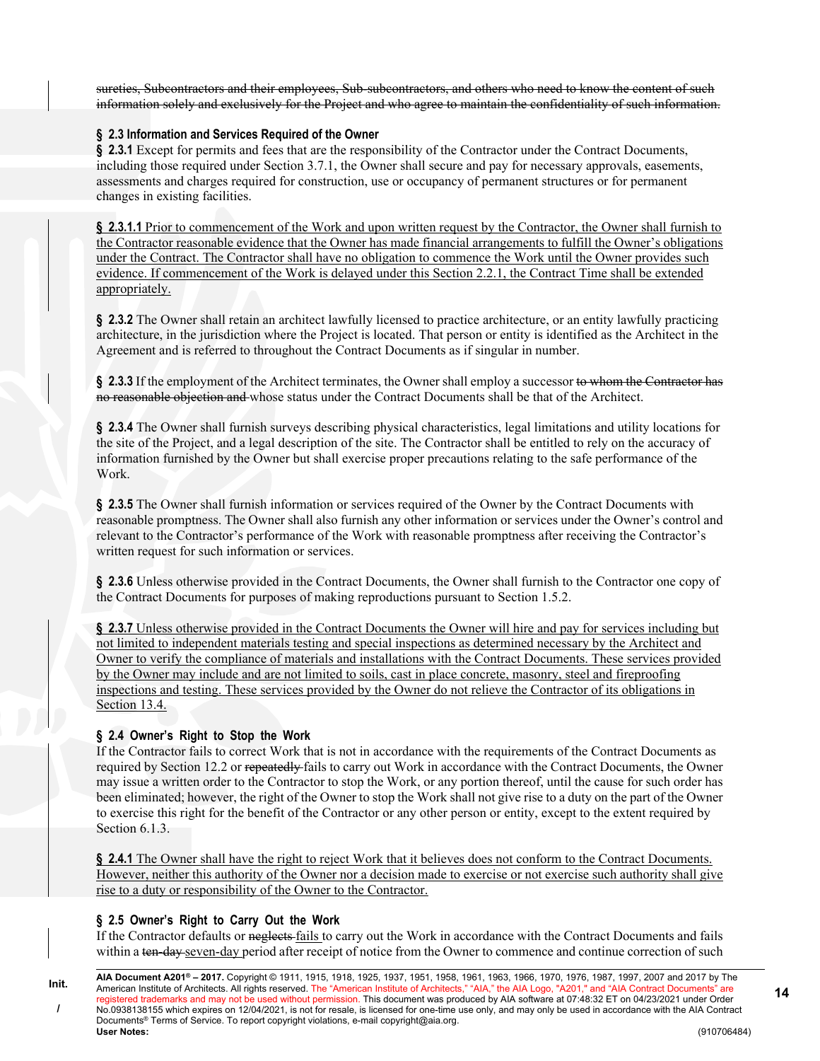sureties, Subcontractors and their employees, Sub-subcontractors, and others who need to know the content of such information solely and exclusively for the Project and who agree to maintain the confidentiality of such information.

#### **§ 2.3 Information and Services Required of the Owner**

§ 2.3.1 Except for permits and fees that are the responsibility of the Contractor under the Contract Documents, including those required under Section 3.7.1, the Owner shall secure and pay for necessary approvals, easements, assessments and charges required for construction, use or occupancy of permanent structures or for permanent changes in existing facilities.

**§ 2.3.1.1** Prior to commencement of the Work and upon written request by the Contractor, the Owner shall furnish to the Contractor reasonable evidence that the Owner has made financial arrangements to fulfill the Owner's obligations under the Contract. The Contractor shall have no obligation to commence the Work until the Owner provides such evidence. If commencement of the Work is delayed under this Section 2.2.1, the Contract Time shall be extended appropriately.

**§ 2.3.2** The Owner shall retain an architect lawfully licensed to practice architecture, or an entity lawfully practicing architecture, in the jurisdiction where the Project is located. That person or entity is identified as the Architect in the Agreement and is referred to throughout the Contract Documents as if singular in number.

**§ 2.3.3** If the employment of the Architect terminates, the Owner shall employ a successor to whom the Contractor has no reasonable objection and whose status under the Contract Documents shall be that of the Architect.

**§ 2.3.4** The Owner shall furnish surveys describing physical characteristics, legal limitations and utility locations for the site of the Project, and a legal description of the site. The Contractor shall be entitled to rely on the accuracy of information furnished by the Owner but shall exercise proper precautions relating to the safe performance of the Work.

**§ 2.3.5** The Owner shall furnish information or services required of the Owner by the Contract Documents with reasonable promptness. The Owner shall also furnish any other information or services under the Owner's control and relevant to the Contractor's performance of the Work with reasonable promptness after receiving the Contractor's written request for such information or services.

**§ 2.3.6** Unless otherwise provided in the Contract Documents, the Owner shall furnish to the Contractor one copy of the Contract Documents for purposes of making reproductions pursuant to Section 1.5.2.

**§ 2.3.7** Unless otherwise provided in the Contract Documents the Owner will hire and pay for services including but not limited to independent materials testing and special inspections as determined necessary by the Architect and Owner to verify the compliance of materials and installations with the Contract Documents. These services provided by the Owner may include and are not limited to soils, cast in place concrete, masonry, steel and fireproofing inspections and testing. These services provided by the Owner do not relieve the Contractor of its obligations in Section 13.4.

#### **§ 2.4 Owner's Right to Stop the Work**

If the Contractor fails to correct Work that is not in accordance with the requirements of the Contract Documents as required by Section 12.2 or repeatedly fails to carry out Work in accordance with the Contract Documents, the Owner may issue a written order to the Contractor to stop the Work, or any portion thereof, until the cause for such order has been eliminated; however, the right of the Owner to stop the Work shall not give rise to a duty on the part of the Owner to exercise this right for the benefit of the Contractor or any other person or entity, except to the extent required by Section 6.1.3.

**§ 2.4.1** The Owner shall have the right to reject Work that it believes does not conform to the Contract Documents. However, neither this authority of the Owner nor a decision made to exercise or not exercise such authority shall give rise to a duty or responsibility of the Owner to the Contractor.

#### **§ 2.5 Owner's Right to Carry Out the Work**

**Init. /**

If the Contractor defaults or neglects fails to carry out the Work in accordance with the Contract Documents and fails within a ten-day-seven-day period after receipt of notice from the Owner to commence and continue correction of such

**AIA Document A201® – 2017.** Copyright © 1911, 1915, 1918, 1925, 1937, 1951, 1958, 1961, 1963, 1966, 1970, 1976, 1987, 1997, 2007 and 2017 by The American Institute of Architects. All rights reserved. The "American Institute of Architects," "AIA," the AIA Logo, "A201," and "AIA Contract Documents" are registered trademarks and may not be used without permission. This document was produced by AIA software at 07:48:32 ET on 04/23/2021 under Order No.0938138155 which expires on 12/04/2021, is not for resale, is licensed for one-time use only, and may only be used in accordance with the AIA Contract Documents<sup>®</sup> Terms of Service. To report copyright violations, e-mail copyright@aia.org.<br>User Notes: **User Notes:** (910706484)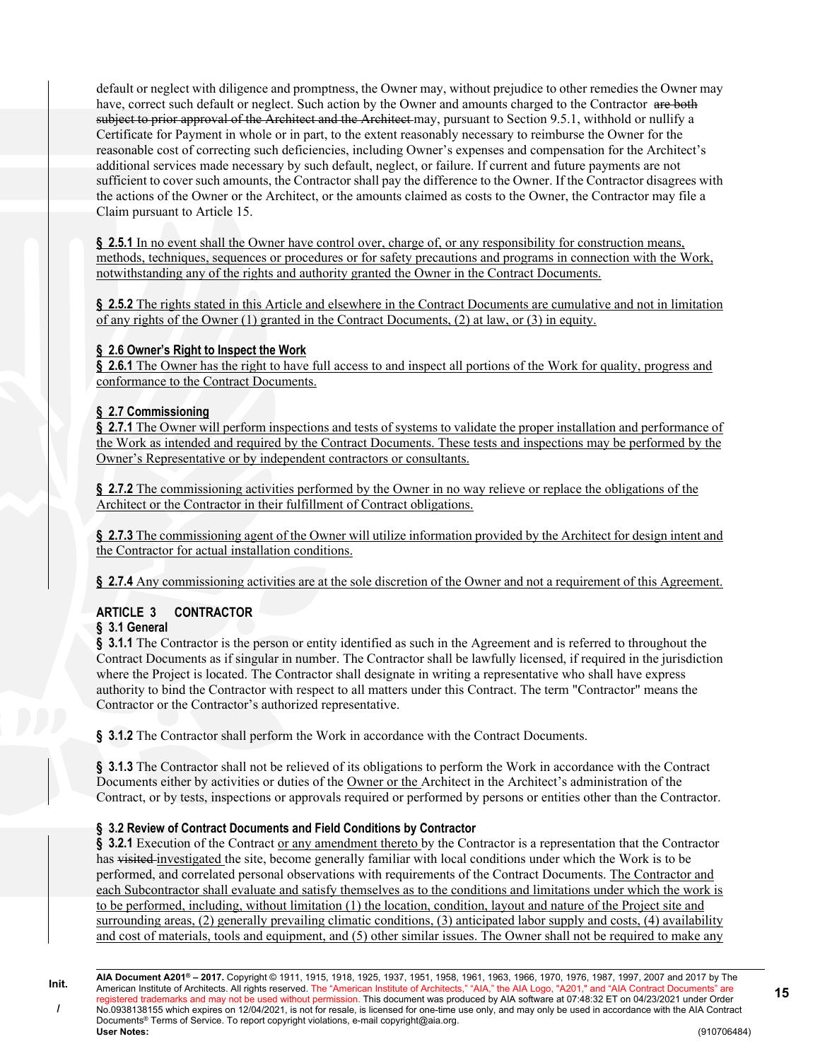default or neglect with diligence and promptness, the Owner may, without prejudice to other remedies the Owner may have, correct such default or neglect. Such action by the Owner and amounts charged to the Contractor are both subject to prior approval of the Architect and the Architect may, pursuant to Section 9.5.1, withhold or nullify a Certificate for Payment in whole or in part, to the extent reasonably necessary to reimburse the Owner for the reasonable cost of correcting such deficiencies, including Owner's expenses and compensation for the Architect's additional services made necessary by such default, neglect, or failure. If current and future payments are not sufficient to cover such amounts, the Contractor shall pay the difference to the Owner. If the Contractor disagrees with the actions of the Owner or the Architect, or the amounts claimed as costs to the Owner, the Contractor may file a Claim pursuant to Article 15.

**§ 2.5.1** In no event shall the Owner have control over, charge of, or any responsibility for construction means, methods, techniques, sequences or procedures or for safety precautions and programs in connection with the Work, notwithstanding any of the rights and authority granted the Owner in the Contract Documents.

**§ 2.5.2** The rights stated in this Article and elsewhere in the Contract Documents are cumulative and not in limitation of any rights of the Owner (1) granted in the Contract Documents, (2) at law, or (3) in equity.

#### **§ 2.6 Owner's Right to Inspect the Work**

**§ 2.6.1** The Owner has the right to have full access to and inspect all portions of the Work for quality, progress and conformance to the Contract Documents.

# **§ 2.7 Commissioning**

**§ 2.7.1** The Owner will perform inspections and tests of systems to validate the proper installation and performance of the Work as intended and required by the Contract Documents. These tests and inspections may be performed by the Owner's Representative or by independent contractors or consultants.

**§ 2.7.2** The commissioning activities performed by the Owner in no way relieve or replace the obligations of the Architect or the Contractor in their fulfillment of Contract obligations.

**§ 2.7.3** The commissioning agent of the Owner will utilize information provided by the Architect for design intent and the Contractor for actual installation conditions.

**§ 2.7.4** Any commissioning activities are at the sole discretion of the Owner and not a requirement of this Agreement.

# **ARTICLE 3 CONTRACTOR**

# **§ 3.1 General**

§ 3.1.1 The Contractor is the person or entity identified as such in the Agreement and is referred to throughout the Contract Documents as if singular in number. The Contractor shall be lawfully licensed, if required in the jurisdiction where the Project is located. The Contractor shall designate in writing a representative who shall have express authority to bind the Contractor with respect to all matters under this Contract. The term "Contractor" means the Contractor or the Contractor's authorized representative.

§ 3.1.2 The Contractor shall perform the Work in accordance with the Contract Documents.

**§ 3.1.3** The Contractor shall not be relieved of its obligations to perform the Work in accordance with the Contract Documents either by activities or duties of the Owner or the Architect in the Architect's administration of the Contract, or by tests, inspections or approvals required or performed by persons or entities other than the Contractor.

# **§ 3.2 Review of Contract Documents and Field Conditions by Contractor**

§ 3.2.1 Execution of the Contract <u>or any amendment thereto</u> by the Contractor is a representation that the Contractor has visited investigated the site, become generally familiar with local conditions under which the Work is to be performed, and correlated personal observations with requirements of the Contract Documents. The Contractor and each Subcontractor shall evaluate and satisfy themselves as to the conditions and limitations under which the work is to be performed, including, without limitation (1) the location, condition, layout and nature of the Project site and surrounding areas, (2) generally prevailing climatic conditions, (3) anticipated labor supply and costs, (4) availability and cost of materials, tools and equipment, and (5) other similar issues. The Owner shall not be required to make any

**Init. /**

**AIA Document A201® – 2017.** Copyright © 1911, 1915, 1918, 1925, 1937, 1951, 1958, 1961, 1963, 1966, 1970, 1976, 1987, 1997, 2007 and 2017 by The American Institute of Architects. All rights reserved. The "American Institute of Architects," "AIA," the AIA Logo, "A201," and "AIA Contract Documents" are registered trademarks and may not be used without permission. This document was produced by AIA software at 07:48:32 ET on 04/23/2021 under Order No.0938138155 which expires on 12/04/2021, is not for resale, is licensed for one-time use only, and may only be used in accordance with the AIA Contract Documents<sup>®</sup> Terms of Service. To report copyright violations, e-mail copyright@aia.org.<br>User Notes: **User Notes:** (910706484)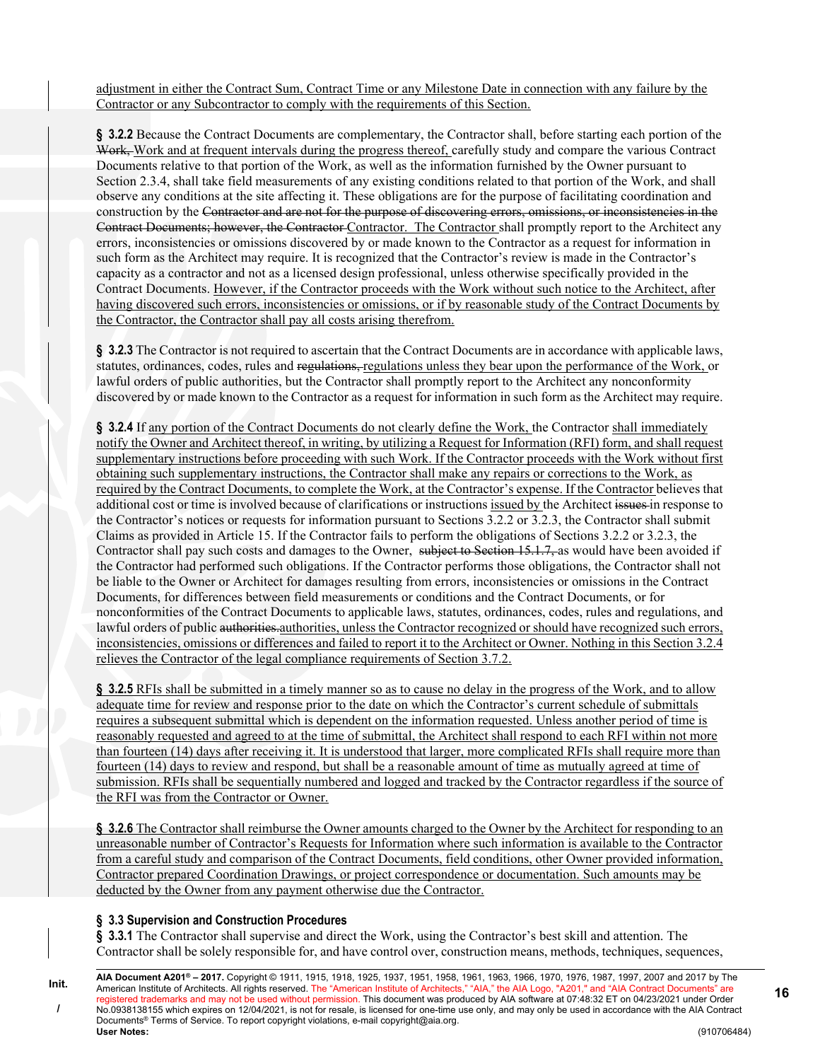adjustment in either the Contract Sum, Contract Time or any Milestone Date in connection with any failure by the Contractor or any Subcontractor to comply with the requirements of this Section.

**§ 3.2.2** Because the Contract Documents are complementary, the Contractor shall, before starting each portion of the Work, Work and at frequent intervals during the progress thereof, carefully study and compare the various Contract Documents relative to that portion of the Work, as well as the information furnished by the Owner pursuant to Section 2.3.4, shall take field measurements of any existing conditions related to that portion of the Work, and shall observe any conditions at the site affecting it. These obligations are for the purpose of facilitating coordination and construction by the Contractor and are not for the purpose of discovering errors, omissions, or inconsistencies in the Contract Documents; however, the Contractor Contractor. The Contractor shall promptly report to the Architect any errors, inconsistencies or omissions discovered by or made known to the Contractor as a request for information in such form as the Architect may require. It is recognized that the Contractor's review is made in the Contractor's capacity as a contractor and not as a licensed design professional, unless otherwise specifically provided in the Contract Documents. However, if the Contractor proceeds with the Work without such notice to the Architect, after having discovered such errors, inconsistencies or omissions, or if by reasonable study of the Contract Documents by the Contractor, the Contractor shall pay all costs arising therefrom.

**§ 3.2.3** The Contractor is not required to ascertain that the Contract Documents are in accordance with applicable laws, statutes, ordinances, codes, rules and regulations, regulations unless they bear upon the performance of the Work, or lawful orders of public authorities, but the Contractor shall promptly report to the Architect any nonconformity discovered by or made known to the Contractor as a request for information in such form as the Architect may require.

**§ 3.2.4** If any portion of the Contract Documents do not clearly define the Work, the Contractor shall immediately notify the Owner and Architect thereof, in writing, by utilizing a Request for Information (RFI) form, and shall request supplementary instructions before proceeding with such Work. If the Contractor proceeds with the Work without first obtaining such supplementary instructions, the Contractor shall make any repairs or corrections to the Work, as required by the Contract Documents, to complete the Work, at the Contractor's expense. If the Contractor believes that additional cost or time is involved because of clarifications or instructions issued by the Architect issues in response to the Contractor's notices or requests for information pursuant to Sections 3.2.2 or 3.2.3, the Contractor shall submit Claims as provided in Article 15. If the Contractor fails to perform the obligations of Sections 3.2.2 or 3.2.3, the Contractor shall pay such costs and damages to the Owner, subject to Section 15.1.7, as would have been avoided if the Contractor had performed such obligations. If the Contractor performs those obligations, the Contractor shall not be liable to the Owner or Architect for damages resulting from errors, inconsistencies or omissions in the Contract Documents, for differences between field measurements or conditions and the Contract Documents, or for nonconformities of the Contract Documents to applicable laws, statutes, ordinances, codes, rules and regulations, and lawful orders of public authorities, authorities, unless the Contractor recognized or should have recognized such errors, inconsistencies, omissions or differences and failed to report it to the Architect or Owner. Nothing in this Section 3.2.4 relieves the Contractor of the legal compliance requirements of Section 3.7.2.

**§ 3.2.5** RFIs shall be submitted in a timely manner so as to cause no delay in the progress of the Work, and to allow adequate time for review and response prior to the date on which the Contractor's current schedule of submittals requires a subsequent submittal which is dependent on the information requested. Unless another period of time is reasonably requested and agreed to at the time of submittal, the Architect shall respond to each RFI within not more than fourteen (14) days after receiving it. It is understood that larger, more complicated RFIs shall require more than fourteen (14) days to review and respond, but shall be a reasonable amount of time as mutually agreed at time of submission. RFIs shall be sequentially numbered and logged and tracked by the Contractor regardless if the source of the RFI was from the Contractor or Owner.

**§ 3.2.6** The Contractor shall reimburse the Owner amounts charged to the Owner by the Architect for responding to an unreasonable number of Contractor's Requests for Information where such information is available to the Contractor from a careful study and comparison of the Contract Documents, field conditions, other Owner provided information, Contractor prepared Coordination Drawings, or project correspondence or documentation. Such amounts may be deducted by the Owner from any payment otherwise due the Contractor.

#### **§ 3.3 Supervision and Construction Procedures**

**§ 3.3.1** The Contractor shall supervise and direct the Work, using the Contractor's best skill and attention. The Contractor shall be solely responsible for, and have control over, construction means, methods, techniques, sequences,

**16**

**Init.**

**/**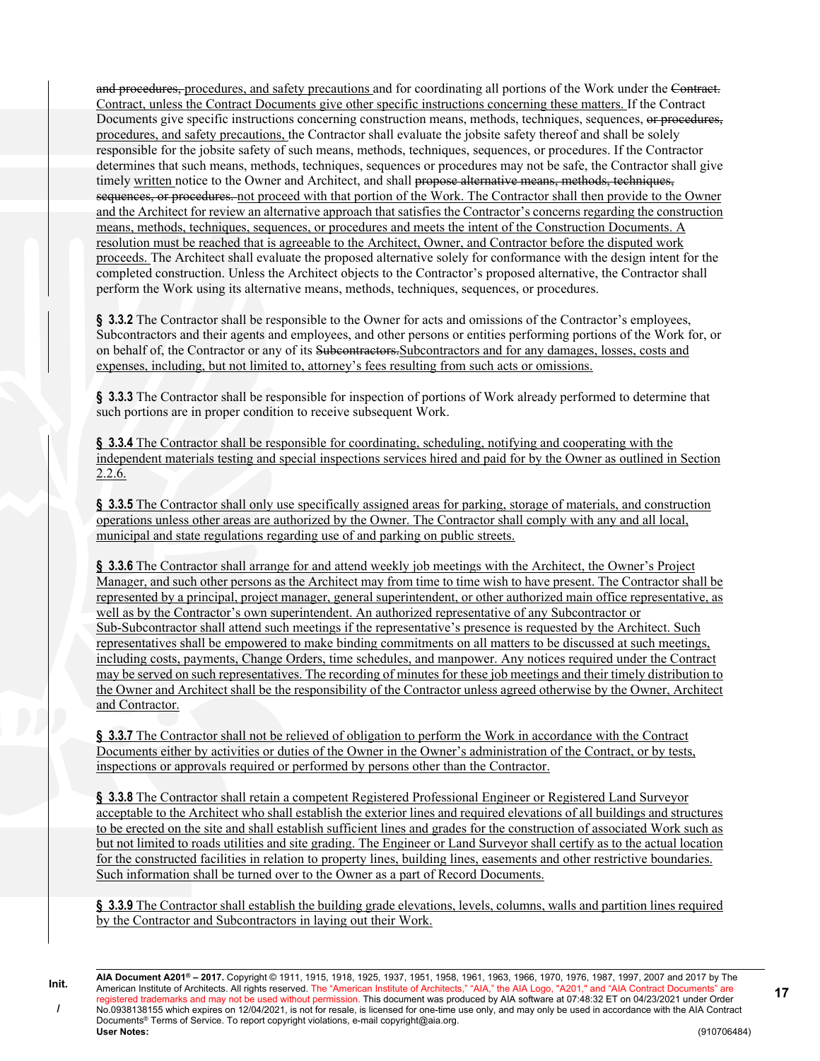and procedures, procedures, and safety precautions and for coordinating all portions of the Work under the Contract. Contract, unless the Contract Documents give other specific instructions concerning these matters. If the Contract Documents give specific instructions concerning construction means, methods, techniques, sequences, or procedures, procedures, and safety precautions, the Contractor shall evaluate the jobsite safety thereof and shall be solely responsible for the jobsite safety of such means, methods, techniques, sequences, or procedures. If the Contractor determines that such means, methods, techniques, sequences or procedures may not be safe, the Contractor shall give timely written notice to the Owner and Architect, and shall propose alternative means, methods, techniques, sequences, or procedures. not proceed with that portion of the Work. The Contractor shall then provide to the Owner and the Architect for review an alternative approach that satisfies the Contractor's concerns regarding the construction means, methods, techniques, sequences, or procedures and meets the intent of the Construction Documents. A resolution must be reached that is agreeable to the Architect, Owner, and Contractor before the disputed work proceeds. The Architect shall evaluate the proposed alternative solely for conformance with the design intent for the completed construction. Unless the Architect objects to the Contractor's proposed alternative, the Contractor shall perform the Work using its alternative means, methods, techniques, sequences, or procedures.

§ 3.3.2 The Contractor shall be responsible to the Owner for acts and omissions of the Contractor's employees, Subcontractors and their agents and employees, and other persons or entities performing portions of the Work for, or on behalf of, the Contractor or any of its Subcontractors.Subcontractors and for any damages, losses, costs and expenses, including, but not limited to, attorney's fees resulting from such acts or omissions.

**§ 3.3.3** The Contractor shall be responsible for inspection of portions of Work already performed to determine that such portions are in proper condition to receive subsequent Work.

**§ 3.3.4** The Contractor shall be responsible for coordinating, scheduling, notifying and cooperating with the independent materials testing and special inspections services hired and paid for by the Owner as outlined in Section 2.2.6.

**§ 3.3.5** The Contractor shall only use specifically assigned areas for parking, storage of materials, and construction operations unless other areas are authorized by the Owner. The Contractor shall comply with any and all local, municipal and state regulations regarding use of and parking on public streets.

**§ 3.3.6** The Contractor shall arrange for and attend weekly job meetings with the Architect, the Owner's Project Manager, and such other persons as the Architect may from time to time wish to have present. The Contractor shall be represented by a principal, project manager, general superintendent, or other authorized main office representative, as well as by the Contractor's own superintendent. An authorized representative of any Subcontractor or Sub-Subcontractor shall attend such meetings if the representative's presence is requested by the Architect. Such representatives shall be empowered to make binding commitments on all matters to be discussed at such meetings, including costs, payments, Change Orders, time schedules, and manpower. Any notices required under the Contract may be served on such representatives. The recording of minutes for these job meetings and their timely distribution to the Owner and Architect shall be the responsibility of the Contractor unless agreed otherwise by the Owner, Architect and Contractor.

§ 3.3.7 The Contractor shall not be relieved of obligation to perform the Work in accordance with the Contract Documents either by activities or duties of the Owner in the Owner's administration of the Contract, or by tests, inspections or approvals required or performed by persons other than the Contractor.

**§ 3.3.8** The Contractor shall retain a competent Registered Professional Engineer or Registered Land Surveyor acceptable to the Architect who shall establish the exterior lines and required elevations of all buildings and structures to be erected on the site and shall establish sufficient lines and grades for the construction of associated Work such as but not limited to roads utilities and site grading. The Engineer or Land Surveyor shall certify as to the actual location for the constructed facilities in relation to property lines, building lines, easements and other restrictive boundaries. Such information shall be turned over to the Owner as a part of Record Documents.

**§ 3.3.9** The Contractor shall establish the building grade elevations, levels, columns, walls and partition lines required by the Contractor and Subcontractors in laying out their Work.

**Init. /**

**AIA Document A201® – 2017.** Copyright © 1911, 1915, 1918, 1925, 1937, 1951, 1958, 1961, 1963, 1966, 1970, 1976, 1987, 1997, 2007 and 2017 by The American Institute of Architects. All rights reserved. The "American Institute of Architects," "AIA," the AIA Logo, "A201," and "AIA Contract Documents" are registered trademarks and may not be used without permission. This document was produced by AIA software at 07:48:32 ET on 04/23/2021 under Order No.0938138155 which expires on 12/04/2021, is not for resale, is licensed for one-time use only, and may only be used in accordance with the AIA Contract Documents<sup>®</sup> Terms of Service. To report copyright violations, e-mail copyright@aia.org.<br>User Notes: **User Notes:** (910706484)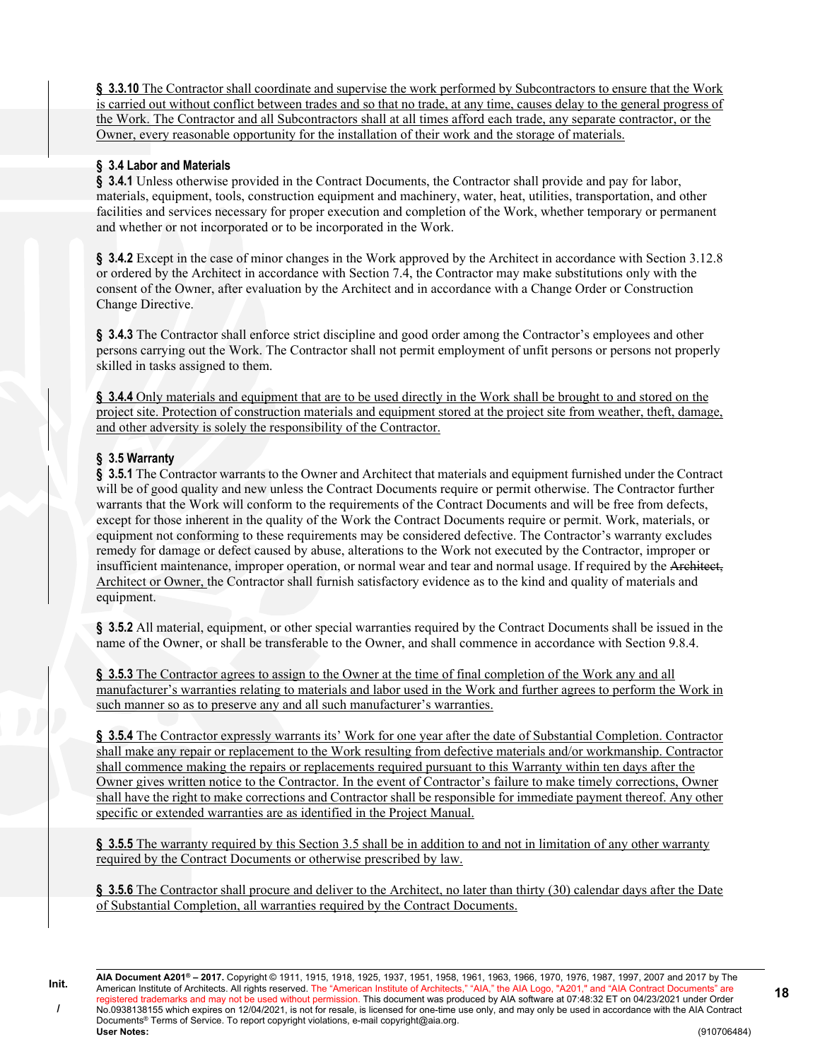**§ 3.3.10** The Contractor shall coordinate and supervise the work performed by Subcontractors to ensure that the Work is carried out without conflict between trades and so that no trade, at any time, causes delay to the general progress of the Work. The Contractor and all Subcontractors shall at all times afford each trade, any separate contractor, or the Owner, every reasonable opportunity for the installation of their work and the storage of materials.

# **§ 3.4 Labor and Materials**

**§ 3.4.1** Unless otherwise provided in the Contract Documents, the Contractor shall provide and pay for labor, materials, equipment, tools, construction equipment and machinery, water, heat, utilities, transportation, and other facilities and services necessary for proper execution and completion of the Work, whether temporary or permanent and whether or not incorporated or to be incorporated in the Work.

**§ 3.4.2** Except in the case of minor changes in the Work approved by the Architect in accordance with Section 3.12.8 or ordered by the Architect in accordance with Section 7.4, the Contractor may make substitutions only with the consent of the Owner, after evaluation by the Architect and in accordance with a Change Order or Construction Change Directive.

§ 3.4.3 The Contractor shall enforce strict discipline and good order among the Contractor's employees and other persons carrying out the Work. The Contractor shall not permit employment of unfit persons or persons not properly skilled in tasks assigned to them.

**§ 3.4.4** Only materials and equipment that are to be used directly in the Work shall be brought to and stored on the project site. Protection of construction materials and equipment stored at the project site from weather, theft, damage, and other adversity is solely the responsibility of the Contractor.

#### **§ 3.5 Warranty**

**§ 3.5.1** The Contractor warrants to the Owner and Architect that materials and equipment furnished under the Contract will be of good quality and new unless the Contract Documents require or permit otherwise. The Contractor further warrants that the Work will conform to the requirements of the Contract Documents and will be free from defects, except for those inherent in the quality of the Work the Contract Documents require or permit. Work, materials, or equipment not conforming to these requirements may be considered defective. The Contractor's warranty excludes remedy for damage or defect caused by abuse, alterations to the Work not executed by the Contractor, improper or insufficient maintenance, improper operation, or normal wear and tear and normal usage. If required by the Architect, Architect or Owner, the Contractor shall furnish satisfactory evidence as to the kind and quality of materials and equipment.

**§ 3.5.2** All material, equipment, or other special warranties required by the Contract Documents shall be issued in the name of the Owner, or shall be transferable to the Owner, and shall commence in accordance with Section 9.8.4.

**§ 3.5.3** The Contractor agrees to assign to the Owner at the time of final completion of the Work any and all manufacturer's warranties relating to materials and labor used in the Work and further agrees to perform the Work in such manner so as to preserve any and all such manufacturer's warranties.

§ 3.5.4 The Contractor expressly warrants its' Work for one year after the date of Substantial Completion. Contractor shall make any repair or replacement to the Work resulting from defective materials and/or workmanship. Contractor shall commence making the repairs or replacements required pursuant to this Warranty within ten days after the Owner gives written notice to the Contractor. In the event of Contractor's failure to make timely corrections, Owner shall have the right to make corrections and Contractor shall be responsible for immediate payment thereof. Any other specific or extended warranties are as identified in the Project Manual.

**§ 3.5.5** The warranty required by this Section 3.5 shall be in addition to and not in limitation of any other warranty required by the Contract Documents or otherwise prescribed by law.

**§ 3.5.6** The Contractor shall procure and deliver to the Architect, no later than thirty (30) calendar days after the Date of Substantial Completion, all warranties required by the Contract Documents.

**Init. /**

**AIA Document A201® – 2017.** Copyright © 1911, 1915, 1918, 1925, 1937, 1951, 1958, 1961, 1963, 1966, 1970, 1976, 1987, 1997, 2007 and 2017 by The American Institute of Architects. All rights reserved. The "American Institute of Architects," "AIA," the AIA Logo, "A201," and "AIA Contract Documents" are registered trademarks and may not be used without permission. This document was produced by AIA software at 07:48:32 ET on 04/23/2021 under Order No.0938138155 which expires on 12/04/2021, is not for resale, is licensed for one-time use only, and may only be used in accordance with the AIA Contract Documents<sup>®</sup> Terms of Service. To report copyright violations, e-mail copyright@aia.org.<br>User Notes: **User Notes:** (910706484)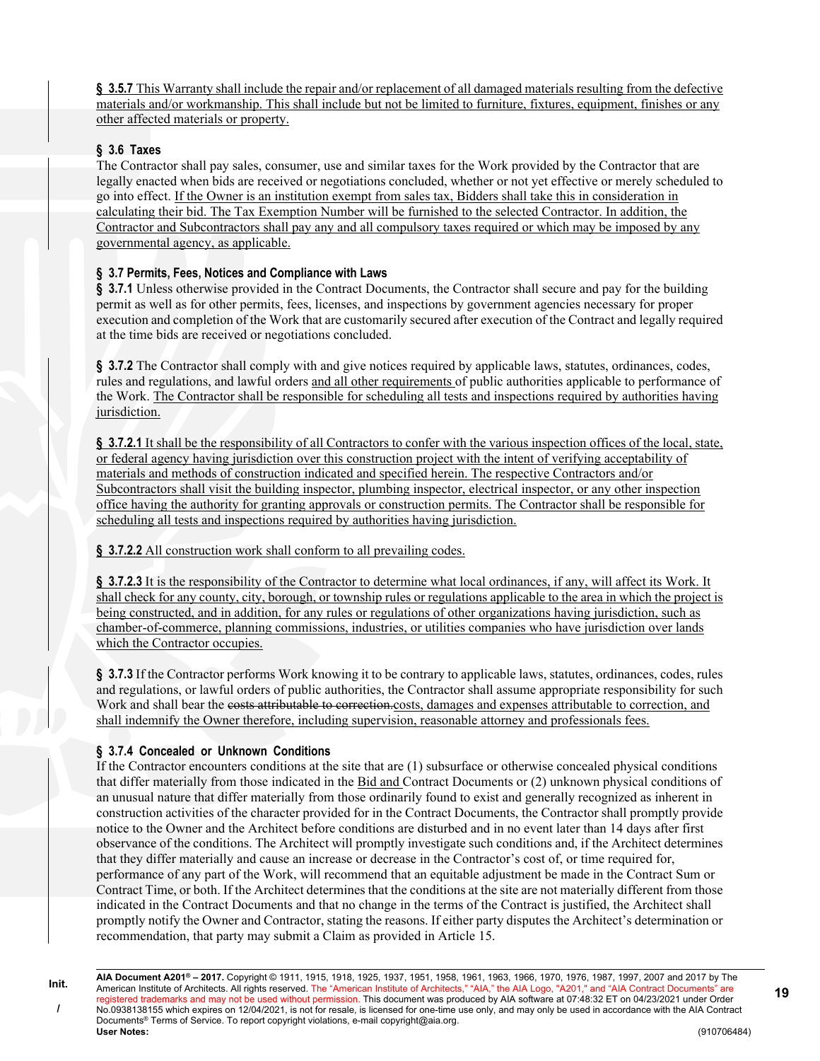**§ 3.5.7** This Warranty shall include the repair and/or replacement of all damaged materials resulting from the defective materials and/or workmanship. This shall include but not be limited to furniture, fixtures, equipment, finishes or any other affected materials or property.

# **§ 3.6 Taxes**

The Contractor shall pay sales, consumer, use and similar taxes for the Work provided by the Contractor that are legally enacted when bids are received or negotiations concluded, whether or not yet effective or merely scheduled to go into effect. If the Owner is an institution exempt from sales tax, Bidders shall take this in consideration in calculating their bid. The Tax Exemption Number will be furnished to the selected Contractor. In addition, the Contractor and Subcontractors shall pay any and all compulsory taxes required or which may be imposed by any governmental agency, as applicable.

# **§ 3.7 Permits, Fees, Notices and Compliance with Laws**

**§ 3.7.1** Unless otherwise provided in the Contract Documents, the Contractor shall secure and pay for the building permit as well as for other permits, fees, licenses, and inspections by government agencies necessary for proper execution and completion of the Work that are customarily secured after execution of the Contract and legally required at the time bids are received or negotiations concluded.

§ 3.7.2 The Contractor shall comply with and give notices required by applicable laws, statutes, ordinances, codes, rules and regulations, and lawful orders and all other requirements of public authorities applicable to performance of the Work. The Contractor shall be responsible for scheduling all tests and inspections required by authorities having jurisdiction.

**§ 3.7.2.1** It shall be the responsibility of all Contractors to confer with the various inspection offices of the local, state, or federal agency having jurisdiction over this construction project with the intent of verifying acceptability of materials and methods of construction indicated and specified herein. The respective Contractors and/or Subcontractors shall visit the building inspector, plumbing inspector, electrical inspector, or any other inspection office having the authority for granting approvals or construction permits. The Contractor shall be responsible for scheduling all tests and inspections required by authorities having jurisdiction.

**§ 3.7.2.2** All construction work shall conform to all prevailing codes.

**§ 3.7.2.3** It is the responsibility of the Contractor to determine what local ordinances, if any, will affect its Work. It shall check for any county, city, borough, or township rules or regulations applicable to the area in which the project is being constructed, and in addition, for any rules or regulations of other organizations having jurisdiction, such as chamber-of-commerce, planning commissions, industries, or utilities companies who have jurisdiction over lands which the Contractor occupies.

**§ 3.7.3** If the Contractor performs Work knowing it to be contrary to applicable laws, statutes, ordinances, codes, rules and regulations, or lawful orders of public authorities, the Contractor shall assume appropriate responsibility for such Work and shall bear the costs attributable to correction.costs, damages and expenses attributable to correction, and shall indemnify the Owner therefore, including supervision, reasonable attorney and professionals fees.

# **§ 3.7.4 Concealed or Unknown Conditions**

If the Contractor encounters conditions at the site that are (1) subsurface or otherwise concealed physical conditions that differ materially from those indicated in the Bid and Contract Documents or (2) unknown physical conditions of an unusual nature that differ materially from those ordinarily found to exist and generally recognized as inherent in construction activities of the character provided for in the Contract Documents, the Contractor shall promptly provide notice to the Owner and the Architect before conditions are disturbed and in no event later than 14 days after first observance of the conditions. The Architect will promptly investigate such conditions and, if the Architect determines that they differ materially and cause an increase or decrease in the Contractor's cost of, or time required for, performance of any part of the Work, will recommend that an equitable adjustment be made in the Contract Sum or Contract Time, or both. If the Architect determines that the conditions at the site are not materially different from those indicated in the Contract Documents and that no change in the terms of the Contract is justified, the Architect shall promptly notify the Owner and Contractor, stating the reasons. If either party disputes the Architect's determination or recommendation, that party may submit a Claim as provided in Article 15.

**AIA Document A201® – 2017.** Copyright © 1911, 1915, 1918, 1925, 1937, 1951, 1958, 1961, 1963, 1966, 1970, 1976, 1987, 1997, 2007 and 2017 by The American Institute of Architects. All rights reserved. The "American Institute of Architects," "AIA," the AIA Logo, "A201," and "AIA Contract Documents" are registered trademarks and may not be used without permission. This document was produced by AIA software at 07:48:32 ET on 04/23/2021 under Order No.0938138155 which expires on 12/04/2021, is not for resale, is licensed for one-time use only, and may only be used in accordance with the AIA Contract Documents<sup>®</sup> Terms of Service. To report copyright violations, e-mail copyright@aia.org.<br>User Notes: **User Notes:** (910706484)

**Init. /**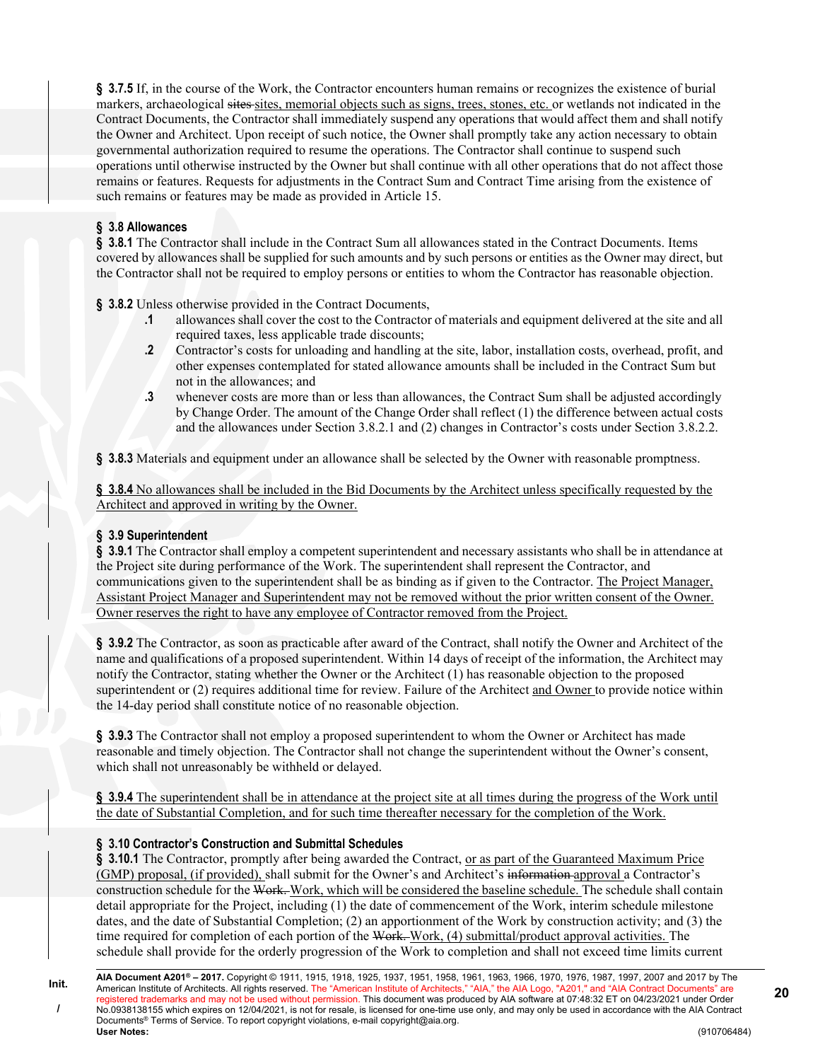**§ 3.7.5** If, in the course of the Work, the Contractor encounters human remains or recognizes the existence of burial markers, archaeological sites sites, memorial objects such as signs, trees, stones, etc. or wetlands not indicated in the Contract Documents, the Contractor shall immediately suspend any operations that would affect them and shall notify the Owner and Architect. Upon receipt of such notice, the Owner shall promptly take any action necessary to obtain governmental authorization required to resume the operations. The Contractor shall continue to suspend such operations until otherwise instructed by the Owner but shall continue with all other operations that do not affect those remains or features. Requests for adjustments in the Contract Sum and Contract Time arising from the existence of such remains or features may be made as provided in Article 15.

# **§ 3.8 Allowances**

§ 3.8.1 The Contractor shall include in the Contract Sum all allowances stated in the Contract Documents. Items covered by allowances shall be supplied for such amounts and by such persons or entities as the Owner may direct, but the Contractor shall not be required to employ persons or entities to whom the Contractor has reasonable objection.

**§ 3.8.2** Unless otherwise provided in the Contract Documents,

- **.1** allowances shall cover the cost to the Contractor of materials and equipment delivered at the site and all required taxes, less applicable trade discounts;
- **.2** Contractor's costs for unloading and handling at the site, labor, installation costs, overhead, profit, and other expenses contemplated for stated allowance amounts shall be included in the Contract Sum but not in the allowances; and
- **.3** whenever costs are more than or less than allowances, the Contract Sum shall be adjusted accordingly by Change Order. The amount of the Change Order shall reflect (1) the difference between actual costs and the allowances under Section 3.8.2.1 and (2) changes in Contractor's costs under Section 3.8.2.2.

**§ 3.8.3** Materials and equipment under an allowance shall be selected by the Owner with reasonable promptness.

**§ 3.8.4** No allowances shall be included in the Bid Documents by the Architect unless specifically requested by the Architect and approved in writing by the Owner.

# **§ 3.9 Superintendent**

**Init. /**

**§ 3.9.1** The Contractor shall employ a competent superintendent and necessary assistants who shall be in attendance at the Project site during performance of the Work. The superintendent shall represent the Contractor, and communications given to the superintendent shall be as binding as if given to the Contractor. The Project Manager, Assistant Project Manager and Superintendent may not be removed without the prior written consent of the Owner. Owner reserves the right to have any employee of Contractor removed from the Project.

**§ 3.9.2** The Contractor, as soon as practicable after award of the Contract, shall notify the Owner and Architect of the name and qualifications of a proposed superintendent. Within 14 days of receipt of the information, the Architect may notify the Contractor, stating whether the Owner or the Architect (1) has reasonable objection to the proposed superintendent or (2) requires additional time for review. Failure of the Architect and Owner to provide notice within the 14-day period shall constitute notice of no reasonable objection.

**§ 3.9.3** The Contractor shall not employ a proposed superintendent to whom the Owner or Architect has made reasonable and timely objection. The Contractor shall not change the superintendent without the Owner's consent, which shall not unreasonably be withheld or delayed.

**§ 3.9.4** The superintendent shall be in attendance at the project site at all times during the progress of the Work until the date of Substantial Completion, and for such time thereafter necessary for the completion of the Work.

# **§ 3.10 Contractor's Construction and Submittal Schedules**

§ 3.10.1 The Contractor, promptly after being awarded the Contract, or as part of the Guaranteed Maximum Price (GMP) proposal, (if provided), shall submit for the Owner's and Architect's information approval a Contractor's construction schedule for the Work. Work, which will be considered the baseline schedule. The schedule shall contain detail appropriate for the Project, including (1) the date of commencement of the Work, interim schedule milestone dates, and the date of Substantial Completion; (2) an apportionment of the Work by construction activity; and (3) the time required for completion of each portion of the Work. Work, (4) submittal/product approval activities. The schedule shall provide for the orderly progression of the Work to completion and shall not exceed time limits current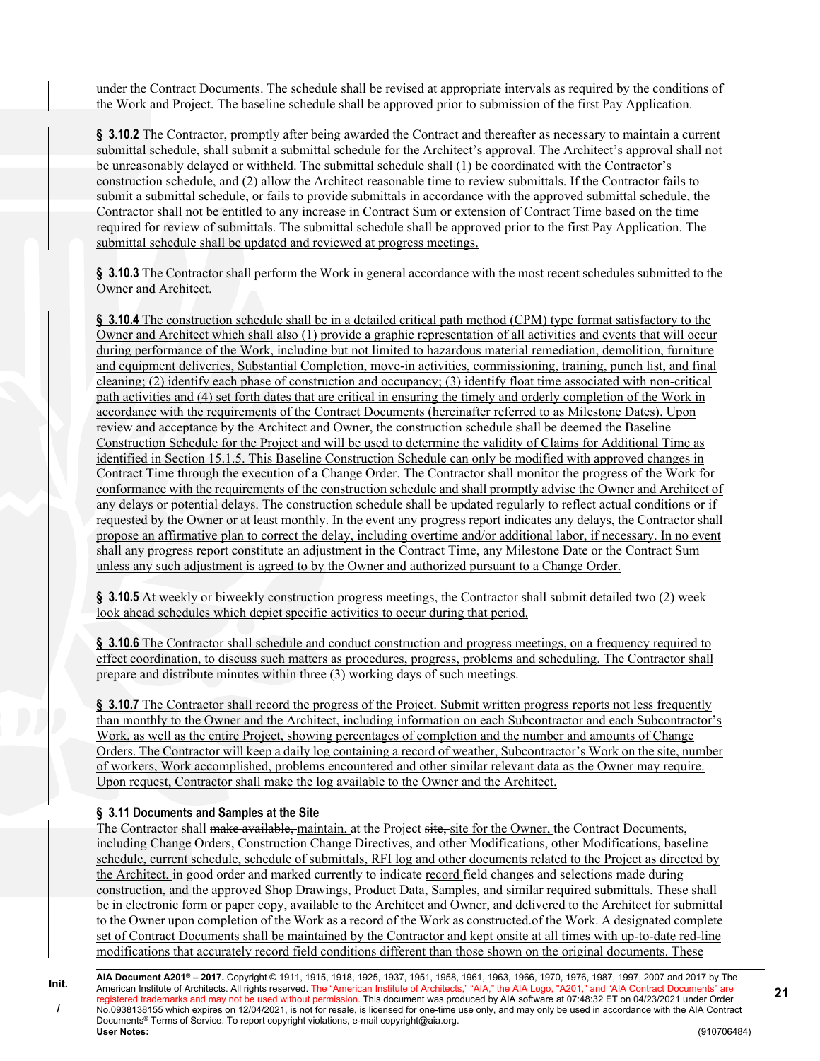under the Contract Documents. The schedule shall be revised at appropriate intervals as required by the conditions of the Work and Project. The baseline schedule shall be approved prior to submission of the first Pay Application.

**§ 3.10.2** The Contractor, promptly after being awarded the Contract and thereafter as necessary to maintain a current submittal schedule, shall submit a submittal schedule for the Architect's approval. The Architect's approval shall not be unreasonably delayed or withheld. The submittal schedule shall (1) be coordinated with the Contractor's construction schedule, and (2) allow the Architect reasonable time to review submittals. If the Contractor fails to submit a submittal schedule, or fails to provide submittals in accordance with the approved submittal schedule, the Contractor shall not be entitled to any increase in Contract Sum or extension of Contract Time based on the time required for review of submittals. The submittal schedule shall be approved prior to the first Pay Application. The submittal schedule shall be updated and reviewed at progress meetings.

**§ 3.10.3** The Contractor shall perform the Work in general accordance with the most recent schedules submitted to the Owner and Architect.

**§ 3.10.4** The construction schedule shall be in a detailed critical path method (CPM) type format satisfactory to the Owner and Architect which shall also (1) provide a graphic representation of all activities and events that will occur during performance of the Work, including but not limited to hazardous material remediation, demolition, furniture and equipment deliveries, Substantial Completion, move-in activities, commissioning, training, punch list, and final cleaning; (2) identify each phase of construction and occupancy; (3) identify float time associated with non-critical path activities and (4) set forth dates that are critical in ensuring the timely and orderly completion of the Work in accordance with the requirements of the Contract Documents (hereinafter referred to as Milestone Dates). Upon review and acceptance by the Architect and Owner, the construction schedule shall be deemed the Baseline Construction Schedule for the Project and will be used to determine the validity of Claims for Additional Time as identified in Section 15.1.5. This Baseline Construction Schedule can only be modified with approved changes in Contract Time through the execution of a Change Order. The Contractor shall monitor the progress of the Work for conformance with the requirements of the construction schedule and shall promptly advise the Owner and Architect of any delays or potential delays. The construction schedule shall be updated regularly to reflect actual conditions or if requested by the Owner or at least monthly. In the event any progress report indicates any delays, the Contractor shall propose an affirmative plan to correct the delay, including overtime and/or additional labor, if necessary. In no event shall any progress report constitute an adjustment in the Contract Time, any Milestone Date or the Contract Sum unless any such adjustment is agreed to by the Owner and authorized pursuant to a Change Order.

**§ 3.10.5** At weekly or biweekly construction progress meetings, the Contractor shall submit detailed two (2) week look ahead schedules which depict specific activities to occur during that period.

**§ 3.10.6** The Contractor shall schedule and conduct construction and progress meetings, on a frequency required to effect coordination, to discuss such matters as procedures, progress, problems and scheduling. The Contractor shall prepare and distribute minutes within three (3) working days of such meetings.

**§ 3.10.7** The Contractor shall record the progress of the Project. Submit written progress reports not less frequently than monthly to the Owner and the Architect, including information on each Subcontractor and each Subcontractor's Work, as well as the entire Project, showing percentages of completion and the number and amounts of Change Orders. The Contractor will keep a daily log containing a record of weather, Subcontractor's Work on the site, number of workers, Work accomplished, problems encountered and other similar relevant data as the Owner may require. Upon request, Contractor shall make the log available to the Owner and the Architect.

#### **§ 3.11 Documents and Samples at the Site**

The Contractor shall make available, maintain, at the Project site, site for the Owner, the Contract Documents, including Change Orders, Construction Change Directives, and other Modifications, other Modifications, baseline schedule, current schedule, schedule of submittals, RFI log and other documents related to the Project as directed by the Architect, in good order and marked currently to indicate record field changes and selections made during construction, and the approved Shop Drawings, Product Data, Samples, and similar required submittals. These shall be in electronic form or paper copy, available to the Architect and Owner, and delivered to the Architect for submittal to the Owner upon completion of the Work as a record of the Work as constructed. of the Work. A designated complete set of Contract Documents shall be maintained by the Contractor and kept onsite at all times with up-to-date red-line modifications that accurately record field conditions different than those shown on the original documents. These

**Init. /**

**AIA Document A201® – 2017.** Copyright © 1911, 1915, 1918, 1925, 1937, 1951, 1958, 1961, 1963, 1966, 1970, 1976, 1987, 1997, 2007 and 2017 by The American Institute of Architects. All rights reserved. The "American Institute of Architects," "AIA," the AIA Logo, "A201," and "AIA Contract Documents" are registered trademarks and may not be used without permission. This document was produced by AIA software at 07:48:32 ET on 04/23/2021 under Order No.0938138155 which expires on 12/04/2021, is not for resale, is licensed for one-time use only, and may only be used in accordance with the AIA Contract Documents<sup>®</sup> Terms of Service. To report copyright violations, e-mail copyright@aia.org.<br>User Notes: **User Notes:** (910706484)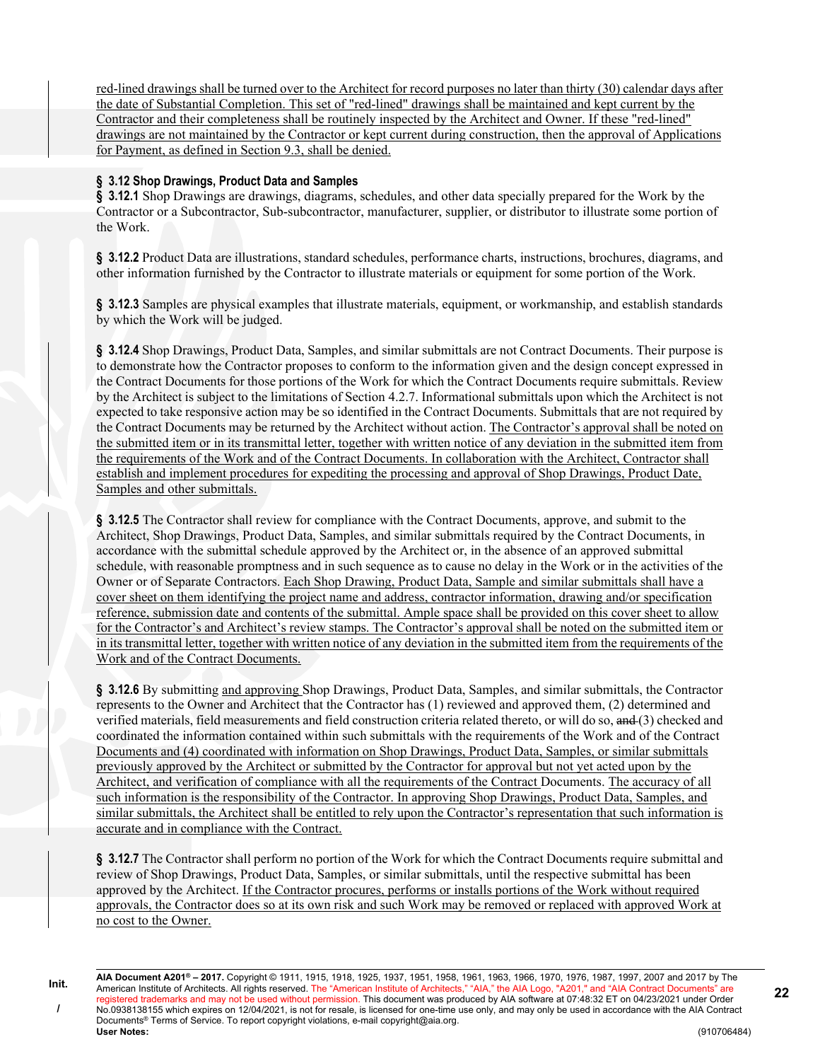red-lined drawings shall be turned over to the Architect for record purposes no later than thirty (30) calendar days after the date of Substantial Completion. This set of "red-lined" drawings shall be maintained and kept current by the Contractor and their completeness shall be routinely inspected by the Architect and Owner. If these "red-lined" drawings are not maintained by the Contractor or kept current during construction, then the approval of Applications for Payment, as defined in Section 9.3, shall be denied.

# **§ 3.12 Shop Drawings, Product Data and Samples**

**§ 3.12.1** Shop Drawings are drawings, diagrams, schedules, and other data specially prepared for the Work by the Contractor or a Subcontractor, Sub-subcontractor, manufacturer, supplier, or distributor to illustrate some portion of the Work.

**§ 3.12.2** Product Data are illustrations, standard schedules, performance charts, instructions, brochures, diagrams, and other information furnished by the Contractor to illustrate materials or equipment for some portion of the Work.

**§ 3.12.3** Samples are physical examples that illustrate materials, equipment, or workmanship, and establish standards by which the Work will be judged.

**§ 3.12.4** Shop Drawings, Product Data, Samples, and similar submittals are not Contract Documents. Their purpose is to demonstrate how the Contractor proposes to conform to the information given and the design concept expressed in the Contract Documents for those portions of the Work for which the Contract Documents require submittals. Review by the Architect is subject to the limitations of Section 4.2.7. Informational submittals upon which the Architect is not expected to take responsive action may be so identified in the Contract Documents. Submittals that are not required by the Contract Documents may be returned by the Architect without action. The Contractor's approval shall be noted on the submitted item or in its transmittal letter, together with written notice of any deviation in the submitted item from the requirements of the Work and of the Contract Documents. In collaboration with the Architect, Contractor shall establish and implement procedures for expediting the processing and approval of Shop Drawings, Product Date, Samples and other submittals.

**§ 3.12.5** The Contractor shall review for compliance with the Contract Documents, approve, and submit to the Architect, Shop Drawings, Product Data, Samples, and similar submittals required by the Contract Documents, in accordance with the submittal schedule approved by the Architect or, in the absence of an approved submittal schedule, with reasonable promptness and in such sequence as to cause no delay in the Work or in the activities of the Owner or of Separate Contractors. Each Shop Drawing, Product Data, Sample and similar submittals shall have a cover sheet on them identifying the project name and address, contractor information, drawing and/or specification reference, submission date and contents of the submittal. Ample space shall be provided on this cover sheet to allow for the Contractor's and Architect's review stamps. The Contractor's approval shall be noted on the submitted item or in its transmittal letter, together with written notice of any deviation in the submitted item from the requirements of the Work and of the Contract Documents.

**§ 3.12.6** By submitting and approving Shop Drawings, Product Data, Samples, and similar submittals, the Contractor represents to the Owner and Architect that the Contractor has (1) reviewed and approved them, (2) determined and verified materials, field measurements and field construction criteria related thereto, or will do so, and (3) checked and coordinated the information contained within such submittals with the requirements of the Work and of the Contract Documents and (4) coordinated with information on Shop Drawings, Product Data, Samples, or similar submittals previously approved by the Architect or submitted by the Contractor for approval but not yet acted upon by the Architect, and verification of compliance with all the requirements of the Contract Documents. The accuracy of all such information is the responsibility of the Contractor. In approving Shop Drawings, Product Data, Samples, and similar submittals, the Architect shall be entitled to rely upon the Contractor's representation that such information is accurate and in compliance with the Contract.

**§ 3.12.7** The Contractor shall perform no portion of the Work for which the Contract Documents require submittal and review of Shop Drawings, Product Data, Samples, or similar submittals, until the respective submittal has been approved by the Architect. If the Contractor procures, performs or installs portions of the Work without required approvals, the Contractor does so at its own risk and such Work may be removed or replaced with approved Work at no cost to the Owner.

**Init. /**

**AIA Document A201® – 2017.** Copyright © 1911, 1915, 1918, 1925, 1937, 1951, 1958, 1961, 1963, 1966, 1970, 1976, 1987, 1997, 2007 and 2017 by The American Institute of Architects. All rights reserved. The "American Institute of Architects," "AIA," the AIA Logo, "A201," and "AIA Contract Documents" are registered trademarks and may not be used without permission. This document was produced by AIA software at 07:48:32 ET on 04/23/2021 under Order No.0938138155 which expires on 12/04/2021, is not for resale, is licensed for one-time use only, and may only be used in accordance with the AIA Contract Documents<sup>®</sup> Terms of Service. To report copyright violations, e-mail copyright@aia.org.<br>User Notes: **User Notes:** (910706484)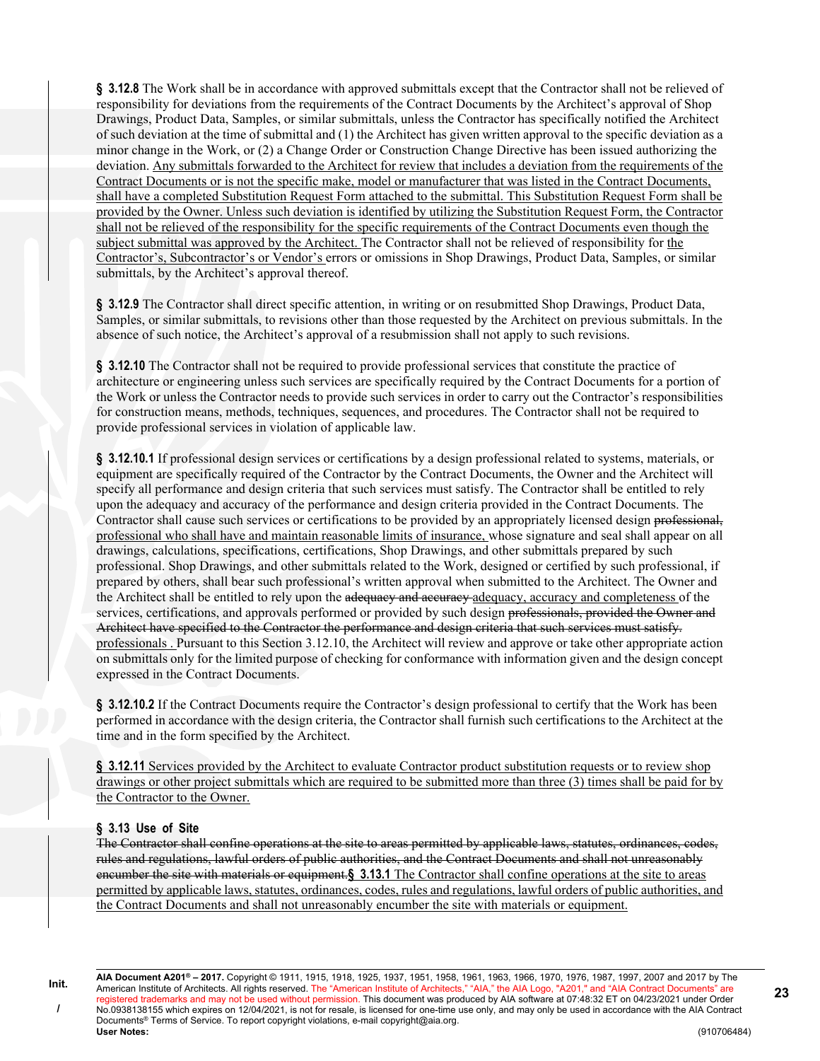**§ 3.12.8** The Work shall be in accordance with approved submittals except that the Contractor shall not be relieved of responsibility for deviations from the requirements of the Contract Documents by the Architect's approval of Shop Drawings, Product Data, Samples, or similar submittals, unless the Contractor has specifically notified the Architect of such deviation at the time of submittal and (1) the Architect has given written approval to the specific deviation as a minor change in the Work, or (2) a Change Order or Construction Change Directive has been issued authorizing the deviation. Any submittals forwarded to the Architect for review that includes a deviation from the requirements of the Contract Documents or is not the specific make, model or manufacturer that was listed in the Contract Documents, shall have a completed Substitution Request Form attached to the submittal. This Substitution Request Form shall be provided by the Owner. Unless such deviation is identified by utilizing the Substitution Request Form, the Contractor shall not be relieved of the responsibility for the specific requirements of the Contract Documents even though the subject submittal was approved by the Architect. The Contractor shall not be relieved of responsibility for the Contractor's, Subcontractor's or Vendor's errors or omissions in Shop Drawings, Product Data, Samples, or similar submittals, by the Architect's approval thereof.

**§ 3.12.9** The Contractor shall direct specific attention, in writing or on resubmitted Shop Drawings, Product Data, Samples, or similar submittals, to revisions other than those requested by the Architect on previous submittals. In the absence of such notice, the Architect's approval of a resubmission shall not apply to such revisions.

**§ 3.12.10** The Contractor shall not be required to provide professional services that constitute the practice of architecture or engineering unless such services are specifically required by the Contract Documents for a portion of the Work or unless the Contractor needs to provide such services in order to carry out the Contractor's responsibilities for construction means, methods, techniques, sequences, and procedures. The Contractor shall not be required to provide professional services in violation of applicable law.

**§ 3.12.10.1** If professional design services or certifications by a design professional related to systems, materials, or equipment are specifically required of the Contractor by the Contract Documents, the Owner and the Architect will specify all performance and design criteria that such services must satisfy. The Contractor shall be entitled to rely upon the adequacy and accuracy of the performance and design criteria provided in the Contract Documents. The Contractor shall cause such services or certifications to be provided by an appropriately licensed design professional, professional who shall have and maintain reasonable limits of insurance, whose signature and seal shall appear on all drawings, calculations, specifications, certifications, Shop Drawings, and other submittals prepared by such professional. Shop Drawings, and other submittals related to the Work, designed or certified by such professional, if prepared by others, shall bear such professional's written approval when submitted to the Architect. The Owner and the Architect shall be entitled to rely upon the adequacy and accuracy adequacy, accuracy and completeness of the services, certifications, and approvals performed or provided by such design professionals, provided the Owner and Architect have specified to the Contractor the performance and design criteria that such services must satisfy. professionals . Pursuant to this Section 3.12.10, the Architect will review and approve or take other appropriate action on submittals only for the limited purpose of checking for conformance with information given and the design concept expressed in the Contract Documents.

**§ 3.12.10.2** If the Contract Documents require the Contractor's design professional to certify that the Work has been performed in accordance with the design criteria, the Contractor shall furnish such certifications to the Architect at the time and in the form specified by the Architect.

§ 3.12.11 Services provided by the Architect to evaluate Contractor product substitution requests or to review shop drawings or other project submittals which are required to be submitted more than three (3) times shall be paid for by the Contractor to the Owner.

#### **§ 3.13 Use of Site**

The Contractor shall confine operations at the site to areas permitted by applicable laws, statutes, ordinances, codes, rules and regulations, lawful orders of public authorities, and the Contract Documents and shall not unreasonably encumber the site with materials or equipment.**§ 3.13.1** The Contractor shall confine operations at the site to areas permitted by applicable laws, statutes, ordinances, codes, rules and regulations, lawful orders of public authorities, and the Contract Documents and shall not unreasonably encumber the site with materials or equipment.

**Init. /**

**AIA Document A201® – 2017.** Copyright © 1911, 1915, 1918, 1925, 1937, 1951, 1958, 1961, 1963, 1966, 1970, 1976, 1987, 1997, 2007 and 2017 by The American Institute of Architects. All rights reserved. The "American Institute of Architects," "AIA," the AIA Logo, "A201," and "AIA Contract Documents" are registered trademarks and may not be used without permission. This document was produced by AIA software at 07:48:32 ET on 04/23/2021 under Order No.0938138155 which expires on 12/04/2021, is not for resale, is licensed for one-time use only, and may only be used in accordance with the AIA Contract Documents<sup>®</sup> Terms of Service. To report copyright violations, e-mail copyright@aia.org.<br>User Notes: **User Notes:** (910706484)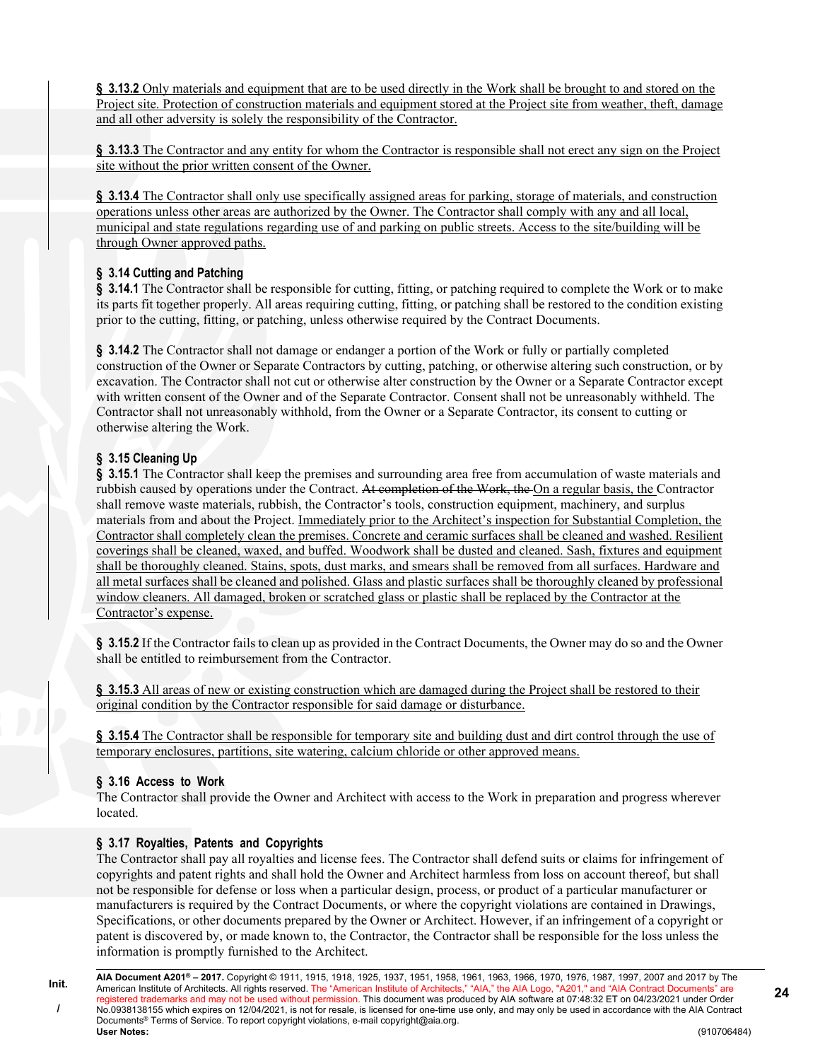**§ 3.13.2** Only materials and equipment that are to be used directly in the Work shall be brought to and stored on the Project site. Protection of construction materials and equipment stored at the Project site from weather, theft, damage and all other adversity is solely the responsibility of the Contractor.

§ 3.13.3 The Contractor and any entity for whom the Contractor is responsible shall not erect any sign on the Project site without the prior written consent of the Owner.

§ 3.13.4 The Contractor shall only use specifically assigned areas for parking, storage of materials, and construction operations unless other areas are authorized by the Owner. The Contractor shall comply with any and all local, municipal and state regulations regarding use of and parking on public streets. Access to the site/building will be through Owner approved paths.

# **§ 3.14 Cutting and Patching**

**§ 3.14.1** The Contractor shall be responsible for cutting, fitting, or patching required to complete the Work or to make its parts fit together properly. All areas requiring cutting, fitting, or patching shall be restored to the condition existing prior to the cutting, fitting, or patching, unless otherwise required by the Contract Documents.

**§ 3.14.2** The Contractor shall not damage or endanger a portion of the Work or fully or partially completed construction of the Owner or Separate Contractors by cutting, patching, or otherwise altering such construction, or by excavation. The Contractor shall not cut or otherwise alter construction by the Owner or a Separate Contractor except with written consent of the Owner and of the Separate Contractor. Consent shall not be unreasonably withheld. The Contractor shall not unreasonably withhold, from the Owner or a Separate Contractor, its consent to cutting or otherwise altering the Work.

# **§ 3.15 Cleaning Up**

**§ 3.15.1** The Contractor shall keep the premises and surrounding area free from accumulation of waste materials and rubbish caused by operations under the Contract. At completion of the Work, the On a regular basis, the Contractor shall remove waste materials, rubbish, the Contractor's tools, construction equipment, machinery, and surplus materials from and about the Project. Immediately prior to the Architect's inspection for Substantial Completion, the Contractor shall completely clean the premises. Concrete and ceramic surfaces shall be cleaned and washed. Resilient coverings shall be cleaned, waxed, and buffed. Woodwork shall be dusted and cleaned. Sash, fixtures and equipment shall be thoroughly cleaned. Stains, spots, dust marks, and smears shall be removed from all surfaces. Hardware and all metal surfaces shall be cleaned and polished. Glass and plastic surfaces shall be thoroughly cleaned by professional window cleaners. All damaged, broken or scratched glass or plastic shall be replaced by the Contractor at the Contractor's expense.

**§ 3.15.2** If the Contractor fails to clean up as provided in the Contract Documents, the Owner may do so and the Owner shall be entitled to reimbursement from the Contractor.

**§ 3.15.3** All areas of new or existing construction which are damaged during the Project shall be restored to their original condition by the Contractor responsible for said damage or disturbance.

**§ 3.15.4** The Contractor shall be responsible for temporary site and building dust and dirt control through the use of temporary enclosures, partitions, site watering, calcium chloride or other approved means.

# **§ 3.16 Access to Work**

The Contractor shall provide the Owner and Architect with access to the Work in preparation and progress wherever located.

# **§ 3.17 Royalties, Patents and Copyrights**

The Contractor shall pay all royalties and license fees. The Contractor shall defend suits or claims for infringement of copyrights and patent rights and shall hold the Owner and Architect harmless from loss on account thereof, but shall not be responsible for defense or loss when a particular design, process, or product of a particular manufacturer or manufacturers is required by the Contract Documents, or where the copyright violations are contained in Drawings, Specifications, or other documents prepared by the Owner or Architect. However, if an infringement of a copyright or patent is discovered by, or made known to, the Contractor, the Contractor shall be responsible for the loss unless the information is promptly furnished to the Architect.

**Init. /**

**AIA Document A201® – 2017.** Copyright © 1911, 1915, 1918, 1925, 1937, 1951, 1958, 1961, 1963, 1966, 1970, 1976, 1987, 1997, 2007 and 2017 by The American Institute of Architects. All rights reserved. The "American Institute of Architects," "AIA," the AIA Logo, "A201," and "AIA Contract Documents" are registered trademarks and may not be used without permission. This document was produced by AIA software at 07:48:32 ET on 04/23/2021 under Order No.0938138155 which expires on 12/04/2021, is not for resale, is licensed for one-time use only, and may only be used in accordance with the AIA Contract Documents<sup>®</sup> Terms of Service. To report copyright violations, e-mail copyright@aia.org.<br>User Notes: **User Notes:** (910706484)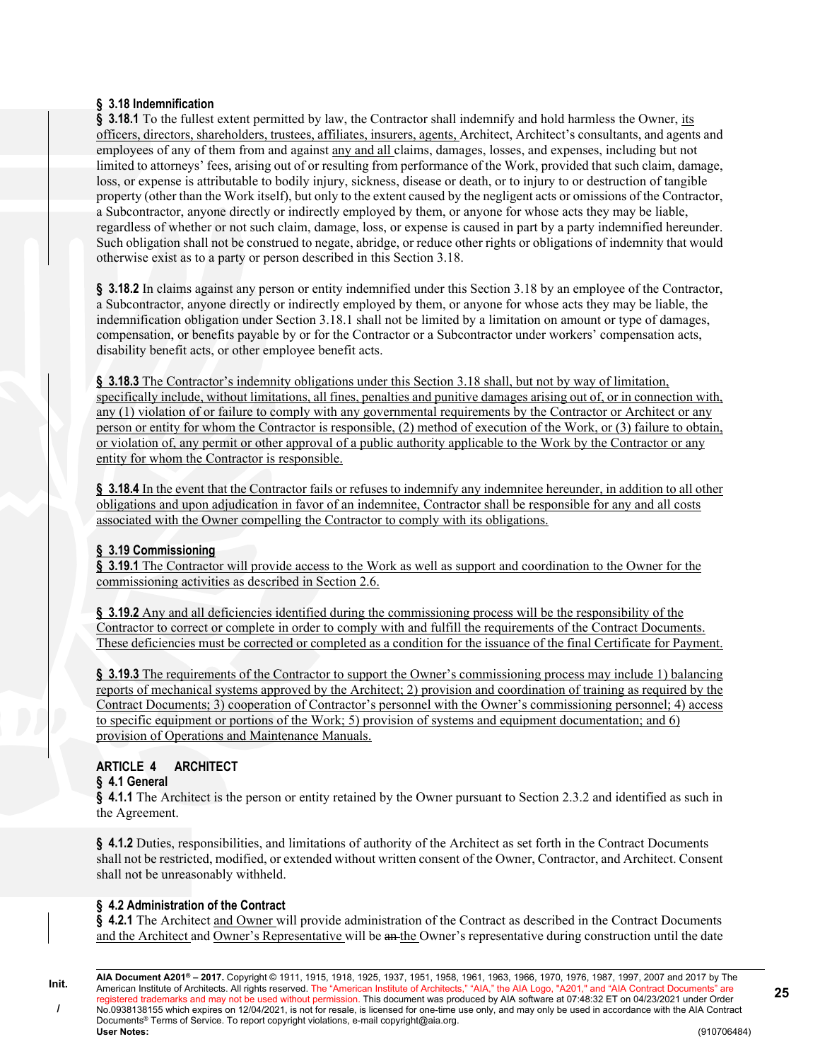# **§ 3.18 Indemnification**

**§ 3.18.1** To the fullest extent permitted by law, the Contractor shall indemnify and hold harmless the Owner, its officers, directors, shareholders, trustees, affiliates, insurers, agents, Architect, Architect's consultants, and agents and employees of any of them from and against any and all claims, damages, losses, and expenses, including but not limited to attorneys' fees, arising out of or resulting from performance of the Work, provided that such claim, damage, loss, or expense is attributable to bodily injury, sickness, disease or death, or to injury to or destruction of tangible property (other than the Work itself), but only to the extent caused by the negligent acts or omissions of the Contractor, a Subcontractor, anyone directly or indirectly employed by them, or anyone for whose acts they may be liable, regardless of whether or not such claim, damage, loss, or expense is caused in part by a party indemnified hereunder. Such obligation shall not be construed to negate, abridge, or reduce other rights or obligations of indemnity that would otherwise exist as to a party or person described in this Section 3.18.

**§ 3.18.2** In claims against any person or entity indemnified under this Section 3.18 by an employee of the Contractor, a Subcontractor, anyone directly or indirectly employed by them, or anyone for whose acts they may be liable, the indemnification obligation under Section 3.18.1 shall not be limited by a limitation on amount or type of damages, compensation, or benefits payable by or for the Contractor or a Subcontractor under workers' compensation acts, disability benefit acts, or other employee benefit acts.

**§ 3.18.3** The Contractor's indemnity obligations under this Section 3.18 shall, but not by way of limitation, specifically include, without limitations, all fines, penalties and punitive damages arising out of, or in connection with, any (1) violation of or failure to comply with any governmental requirements by the Contractor or Architect or any person or entity for whom the Contractor is responsible, (2) method of execution of the Work, or (3) failure to obtain, or violation of, any permit or other approval of a public authority applicable to the Work by the Contractor or any entity for whom the Contractor is responsible.

**§ 3.18.4** In the event that the Contractor fails or refuses to indemnify any indemnitee hereunder, in addition to all other obligations and upon adjudication in favor of an indemnitee, Contractor shall be responsible for any and all costs associated with the Owner compelling the Contractor to comply with its obligations.

#### **§ 3.19 Commissioning**

**§ 3.19.1** The Contractor will provide access to the Work as well as support and coordination to the Owner for the commissioning activities as described in Section 2.6.

**§ 3.19.2** Any and all deficiencies identified during the commissioning process will be the responsibility of the Contractor to correct or complete in order to comply with and fulfill the requirements of the Contract Documents. These deficiencies must be corrected or completed as a condition for the issuance of the final Certificate for Payment.

**§ 3.19.3** The requirements of the Contractor to support the Owner's commissioning process may include 1) balancing reports of mechanical systems approved by the Architect; 2) provision and coordination of training as required by the Contract Documents; 3) cooperation of Contractor's personnel with the Owner's commissioning personnel; 4) access to specific equipment or portions of the Work; 5) provision of systems and equipment documentation; and 6) provision of Operations and Maintenance Manuals.

# **ARTICLE 4 ARCHITECT**

# **§ 4.1 General**

**§ 4.1.1** The Architect is the person or entity retained by the Owner pursuant to Section 2.3.2 and identified as such in the Agreement.

**§ 4.1.2** Duties, responsibilities, and limitations of authority of the Architect as set forth in the Contract Documents shall not be restricted, modified, or extended without written consent of the Owner, Contractor, and Architect. Consent shall not be unreasonably withheld.

# **§ 4.2 Administration of the Contract**

§ 4.2.1 The Architect and Owner will provide administration of the Contract as described in the Contract Documents and the Architect and Owner's Representative will be an the Owner's representative during construction until the date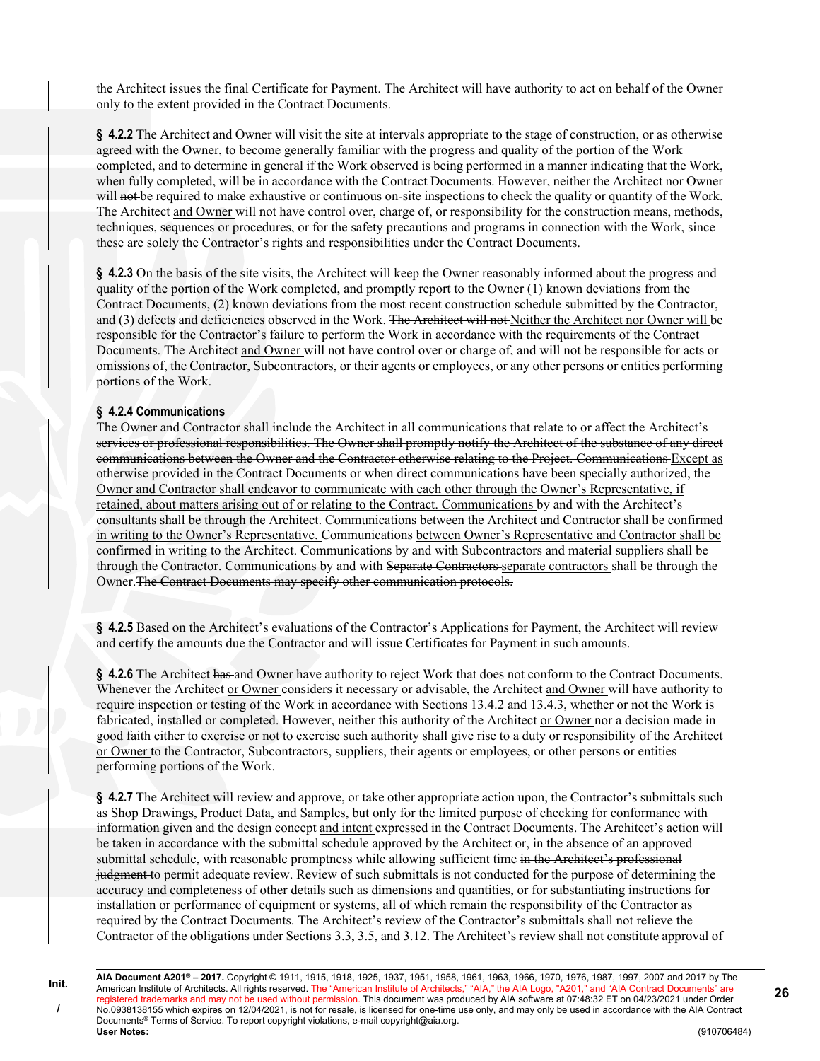the Architect issues the final Certificate for Payment. The Architect will have authority to act on behalf of the Owner only to the extent provided in the Contract Documents.

**§ 4.2.2** The Architect and Owner will visit the site at intervals appropriate to the stage of construction, or as otherwise agreed with the Owner, to become generally familiar with the progress and quality of the portion of the Work completed, and to determine in general if the Work observed is being performed in a manner indicating that the Work, when fully completed, will be in accordance with the Contract Documents. However, neither the Architect nor Owner will not be required to make exhaustive or continuous on-site inspections to check the quality or quantity of the Work. The Architect and Owner will not have control over, charge of, or responsibility for the construction means, methods, techniques, sequences or procedures, or for the safety precautions and programs in connection with the Work, since these are solely the Contractor's rights and responsibilities under the Contract Documents.

**§ 4.2.3** On the basis of the site visits, the Architect will keep the Owner reasonably informed about the progress and quality of the portion of the Work completed, and promptly report to the Owner (1) known deviations from the Contract Documents, (2) known deviations from the most recent construction schedule submitted by the Contractor, and (3) defects and deficiencies observed in the Work. The Architect will not Neither the Architect nor Owner will be responsible for the Contractor's failure to perform the Work in accordance with the requirements of the Contract Documents. The Architect and Owner will not have control over or charge of, and will not be responsible for acts or omissions of, the Contractor, Subcontractors, or their agents or employees, or any other persons or entities performing portions of the Work.

#### **§ 4.2.4 Communications**

The Owner and Contractor shall include the Architect in all communications that relate to or affect the Architect's services or professional responsibilities. The Owner shall promptly notify the Architect of the substance of any direct communications between the Owner and the Contractor otherwise relating to the Project. Communications Except as otherwise provided in the Contract Documents or when direct communications have been specially authorized, the Owner and Contractor shall endeavor to communicate with each other through the Owner's Representative, if retained, about matters arising out of or relating to the Contract. Communications by and with the Architect's consultants shall be through the Architect. Communications between the Architect and Contractor shall be confirmed in writing to the Owner's Representative. Communications between Owner's Representative and Contractor shall be confirmed in writing to the Architect. Communications by and with Subcontractors and material suppliers shall be through the Contractor. Communications by and with Separate Contractors separate contractors shall be through the Owner.The Contract Documents may specify other communication protocols.

**§ 4.2.5** Based on the Architect's evaluations of the Contractor's Applications for Payment, the Architect will review and certify the amounts due the Contractor and will issue Certificates for Payment in such amounts.

**§ 4.2.6** The Architect has and Owner have authority to reject Work that does not conform to the Contract Documents. Whenever the Architect or Owner considers it necessary or advisable, the Architect and Owner will have authority to require inspection or testing of the Work in accordance with Sections 13.4.2 and 13.4.3, whether or not the Work is fabricated, installed or completed. However, neither this authority of the Architect or Owner nor a decision made in good faith either to exercise or not to exercise such authority shall give rise to a duty or responsibility of the Architect or Owner to the Contractor, Subcontractors, suppliers, their agents or employees, or other persons or entities performing portions of the Work.

**§ 4.2.7** The Architect will review and approve, or take other appropriate action upon, the Contractor's submittals such as Shop Drawings, Product Data, and Samples, but only for the limited purpose of checking for conformance with information given and the design concept and intent expressed in the Contract Documents. The Architect's action will be taken in accordance with the submittal schedule approved by the Architect or, in the absence of an approved submittal schedule, with reasonable promptness while allowing sufficient time in the Architect's professional judgment to permit adequate review. Review of such submittals is not conducted for the purpose of determining the accuracy and completeness of other details such as dimensions and quantities, or for substantiating instructions for installation or performance of equipment or systems, all of which remain the responsibility of the Contractor as required by the Contract Documents. The Architect's review of the Contractor's submittals shall not relieve the Contractor of the obligations under Sections 3.3, 3.5, and 3.12. The Architect's review shall not constitute approval of

**AIA Document A201® – 2017.** Copyright © 1911, 1915, 1918, 1925, 1937, 1951, 1958, 1961, 1963, 1966, 1970, 1976, 1987, 1997, 2007 and 2017 by The American Institute of Architects. All rights reserved. The "American Institute of Architects," "AIA," the AIA Logo, "A201," and "AIA Contract Documents" are registered trademarks and may not be used without permission. This document was produced by AIA software at 07:48:32 ET on 04/23/2021 under Order No.0938138155 which expires on 12/04/2021, is not for resale, is licensed for one-time use only, and may only be used in accordance with the AIA Contract Documents<sup>®</sup> Terms of Service. To report copyright violations, e-mail copyright@aia.org.<br>User Notes: **User Notes:** (910706484)

**Init. /**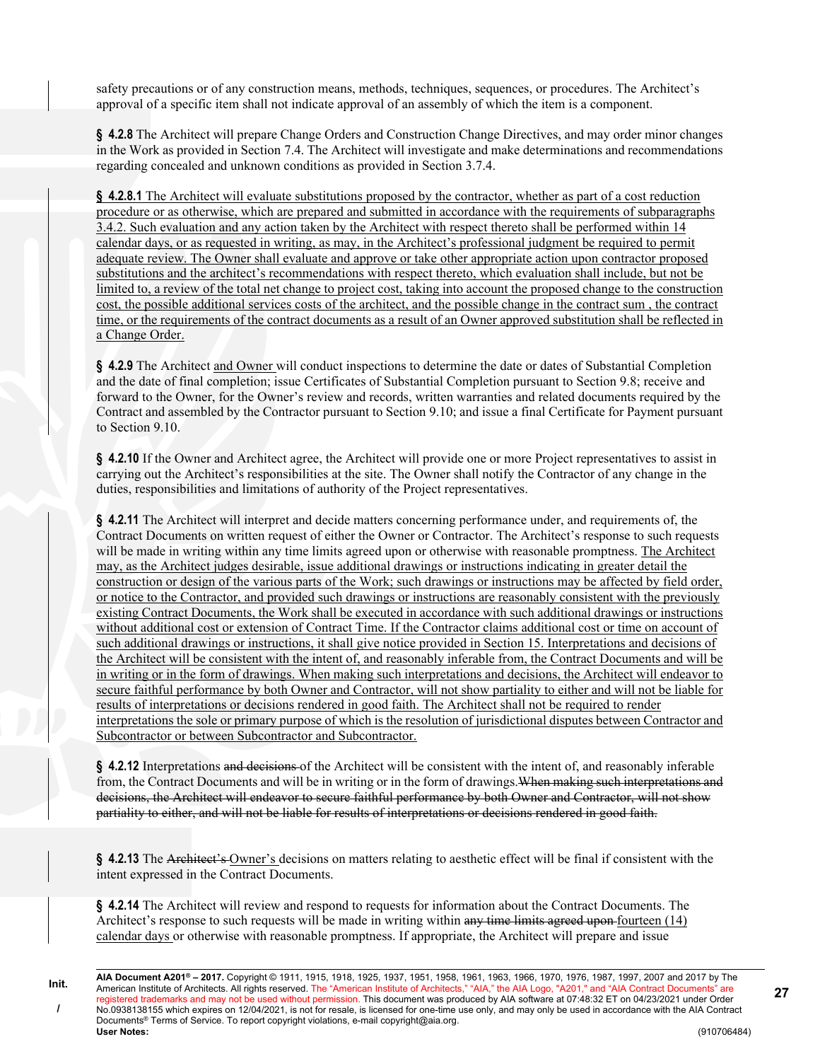safety precautions or of any construction means, methods, techniques, sequences, or procedures. The Architect's approval of a specific item shall not indicate approval of an assembly of which the item is a component.

**§ 4.2.8** The Architect will prepare Change Orders and Construction Change Directives, and may order minor changes in the Work as provided in Section 7.4. The Architect will investigate and make determinations and recommendations regarding concealed and unknown conditions as provided in Section 3.7.4.

**§ 4.2.8.1** The Architect will evaluate substitutions proposed by the contractor, whether as part of a cost reduction procedure or as otherwise, which are prepared and submitted in accordance with the requirements of subparagraphs 3.4.2. Such evaluation and any action taken by the Architect with respect thereto shall be performed within 14 calendar days, or as requested in writing, as may, in the Architect's professional judgment be required to permit adequate review. The Owner shall evaluate and approve or take other appropriate action upon contractor proposed substitutions and the architect's recommendations with respect thereto, which evaluation shall include, but not be limited to, a review of the total net change to project cost, taking into account the proposed change to the construction cost, the possible additional services costs of the architect, and the possible change in the contract sum , the contract time, or the requirements of the contract documents as a result of an Owner approved substitution shall be reflected in a Change Order.

**§ 4.2.9** The Architect and Owner will conduct inspections to determine the date or dates of Substantial Completion and the date of final completion; issue Certificates of Substantial Completion pursuant to Section 9.8; receive and forward to the Owner, for the Owner's review and records, written warranties and related documents required by the Contract and assembled by the Contractor pursuant to Section 9.10; and issue a final Certificate for Payment pursuant to Section 9.10.

**§ 4.2.10** If the Owner and Architect agree, the Architect will provide one or more Project representatives to assist in carrying out the Architect's responsibilities at the site. The Owner shall notify the Contractor of any change in the duties, responsibilities and limitations of authority of the Project representatives.

**§ 4.2.11** The Architect will interpret and decide matters concerning performance under, and requirements of, the Contract Documents on written request of either the Owner or Contractor. The Architect's response to such requests will be made in writing within any time limits agreed upon or otherwise with reasonable promptness. The Architect may, as the Architect judges desirable, issue additional drawings or instructions indicating in greater detail the construction or design of the various parts of the Work; such drawings or instructions may be affected by field order, or notice to the Contractor, and provided such drawings or instructions are reasonably consistent with the previously existing Contract Documents, the Work shall be executed in accordance with such additional drawings or instructions without additional cost or extension of Contract Time. If the Contractor claims additional cost or time on account of such additional drawings or instructions, it shall give notice provided in Section 15. Interpretations and decisions of the Architect will be consistent with the intent of, and reasonably inferable from, the Contract Documents and will be in writing or in the form of drawings. When making such interpretations and decisions, the Architect will endeavor to secure faithful performance by both Owner and Contractor, will not show partiality to either and will not be liable for results of interpretations or decisions rendered in good faith. The Architect shall not be required to render interpretations the sole or primary purpose of which is the resolution of jurisdictional disputes between Contractor and Subcontractor or between Subcontractor and Subcontractor.

**§ 4.2.12** Interpretations and decisions of the Architect will be consistent with the intent of, and reasonably inferable from, the Contract Documents and will be in writing or in the form of drawings.When making such interpretations and decisions, the Architect will endeavor to secure faithful performance by both Owner and Contractor, will not show partiality to either, and will not be liable for results of interpretations or decisions rendered in good faith.

**§ 4.2.13** The Architect's Owner's decisions on matters relating to aesthetic effect will be final if consistent with the intent expressed in the Contract Documents.

**§ 4.2.14** The Architect will review and respond to requests for information about the Contract Documents. The Architect's response to such requests will be made in writing within any time limits agreed upon fourteen (14) calendar days or otherwise with reasonable promptness. If appropriate, the Architect will prepare and issue

**Init. /**

**AIA Document A201® – 2017.** Copyright © 1911, 1915, 1918, 1925, 1937, 1951, 1958, 1961, 1963, 1966, 1970, 1976, 1987, 1997, 2007 and 2017 by The American Institute of Architects. All rights reserved. The "American Institute of Architects," "AIA," the AIA Logo, "A201," and "AIA Contract Documents" are registered trademarks and may not be used without permission. This document was produced by AIA software at 07:48:32 ET on 04/23/2021 under Order No.0938138155 which expires on 12/04/2021, is not for resale, is licensed for one-time use only, and may only be used in accordance with the AIA Contract Documents<sup>®</sup> Terms of Service. To report copyright violations, e-mail copyright@aia.org.<br>User Notes: **User Notes:** (910706484)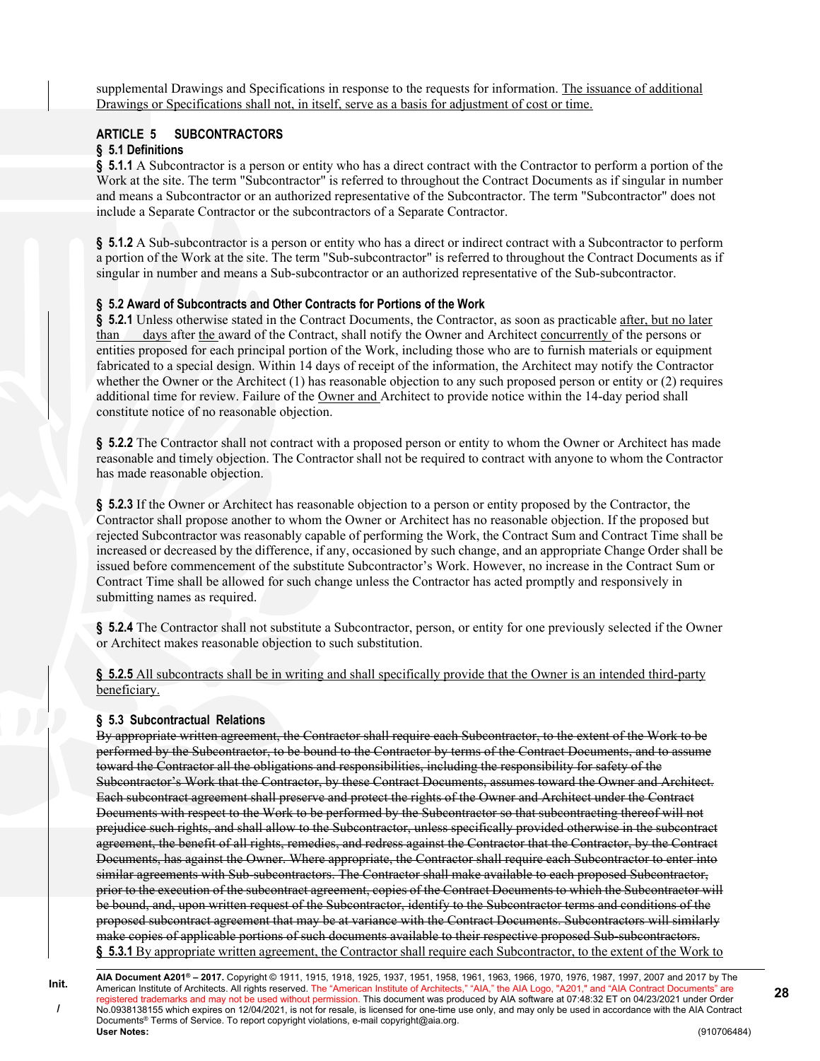supplemental Drawings and Specifications in response to the requests for information. The issuance of additional Drawings or Specifications shall not, in itself, serve as a basis for adjustment of cost or time.

#### **ARTICLE 5 SUBCONTRACTORS**

#### **§ 5.1 Definitions**

**§ 5.1.1** A Subcontractor is a person or entity who has a direct contract with the Contractor to perform a portion of the Work at the site. The term "Subcontractor" is referred to throughout the Contract Documents as if singular in number and means a Subcontractor or an authorized representative of the Subcontractor. The term "Subcontractor" does not include a Separate Contractor or the subcontractors of a Separate Contractor.

§ 5.1.2 A Sub-subcontractor is a person or entity who has a direct or indirect contract with a Subcontractor to perform a portion of the Work at the site. The term "Sub-subcontractor" is referred to throughout the Contract Documents as if singular in number and means a Sub-subcontractor or an authorized representative of the Sub-subcontractor.

#### **§ 5.2 Award of Subcontracts and Other Contracts for Portions of the Work**

**§ 5.2.1** Unless otherwise stated in the Contract Documents, the Contractor, as soon as practicable after, but no later than days after the award of the Contract, shall notify the Owner and Architect concurrently of the persons or entities proposed for each principal portion of the Work, including those who are to furnish materials or equipment fabricated to a special design. Within 14 days of receipt of the information, the Architect may notify the Contractor whether the Owner or the Architect (1) has reasonable objection to any such proposed person or entity or (2) requires additional time for review. Failure of the Owner and Architect to provide notice within the 14-day period shall constitute notice of no reasonable objection.

**§ 5.2.2** The Contractor shall not contract with a proposed person or entity to whom the Owner or Architect has made reasonable and timely objection. The Contractor shall not be required to contract with anyone to whom the Contractor has made reasonable objection.

**§ 5.2.3** If the Owner or Architect has reasonable objection to a person or entity proposed by the Contractor, the Contractor shall propose another to whom the Owner or Architect has no reasonable objection. If the proposed but rejected Subcontractor was reasonably capable of performing the Work, the Contract Sum and Contract Time shall be increased or decreased by the difference, if any, occasioned by such change, and an appropriate Change Order shall be issued before commencement of the substitute Subcontractor's Work. However, no increase in the Contract Sum or Contract Time shall be allowed for such change unless the Contractor has acted promptly and responsively in submitting names as required.

**§ 5.2.4** The Contractor shall not substitute a Subcontractor, person, or entity for one previously selected if the Owner or Architect makes reasonable objection to such substitution.

# **§ 5.2.5** All subcontracts shall be in writing and shall specifically provide that the Owner is an intended third-party beneficiary.

#### **§ 5.3 Subcontractual Relations**

By appropriate written agreement, the Contractor shall require each Subcontractor, to the extent of the Work to be performed by the Subcontractor, to be bound to the Contractor by terms of the Contract Documents, and to assume toward the Contractor all the obligations and responsibilities, including the responsibility for safety of the Subcontractor's Work that the Contractor, by these Contract Documents, assumes toward the Owner and Architect. Each subcontract agreement shall preserve and protect the rights of the Owner and Architect under the Contract Documents with respect to the Work to be performed by the Subcontractor so that subcontracting thereof will not prejudice such rights, and shall allow to the Subcontractor, unless specifically provided otherwise in the subcontract agreement, the benefit of all rights, remedies, and redress against the Contractor that the Contractor, by the Contract Documents, has against the Owner. Where appropriate, the Contractor shall require each Subcontractor to enter into similar agreements with Sub-subcontractors. The Contractor shall make available to each proposed Subcontractor, prior to the execution of the subcontract agreement, copies of the Contract Documents to which the Subcontractor will be bound, and, upon written request of the Subcontractor, identify to the Subcontractor terms and conditions of the proposed subcontract agreement that may be at variance with the Contract Documents. Subcontractors will similarly make copies of applicable portions of such documents available to their respective proposed Sub-subcontractors. **§ 5.3.1** By appropriate written agreement, the Contractor shall require each Subcontractor, to the extent of the Work to

**AIA Document A201® – 2017.** Copyright © 1911, 1915, 1918, 1925, 1937, 1951, 1958, 1961, 1963, 1966, 1970, 1976, 1987, 1997, 2007 and 2017 by The American Institute of Architects. All rights reserved. The "American Institute of Architects," "AIA," the AIA Logo, "A201," and "AIA Contract Documents" are registered trademarks and may not be used without permission. This document was produced by AIA software at 07:48:32 ET on 04/23/2021 under Order No.0938138155 which expires on 12/04/2021, is not for resale, is licensed for one-time use only, and may only be used in accordance with the AIA Contract Documents<sup>®</sup> Terms of Service. To report copyright violations, e-mail copyright@aia.org.<br>User Notes: **User Notes:** (910706484)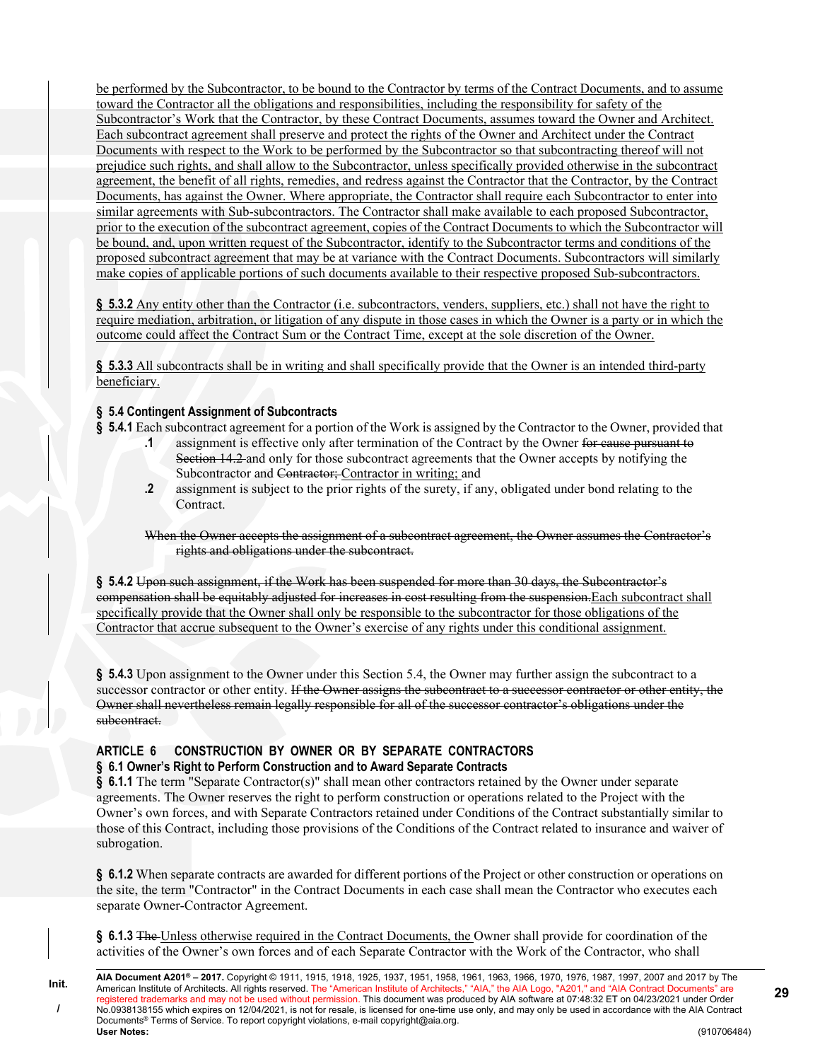be performed by the Subcontractor, to be bound to the Contractor by terms of the Contract Documents, and to assume toward the Contractor all the obligations and responsibilities, including the responsibility for safety of the Subcontractor's Work that the Contractor, by these Contract Documents, assumes toward the Owner and Architect. Each subcontract agreement shall preserve and protect the rights of the Owner and Architect under the Contract Documents with respect to the Work to be performed by the Subcontractor so that subcontracting thereof will not prejudice such rights, and shall allow to the Subcontractor, unless specifically provided otherwise in the subcontract agreement, the benefit of all rights, remedies, and redress against the Contractor that the Contractor, by the Contract Documents, has against the Owner. Where appropriate, the Contractor shall require each Subcontractor to enter into similar agreements with Sub-subcontractors. The Contractor shall make available to each proposed Subcontractor, prior to the execution of the subcontract agreement, copies of the Contract Documents to which the Subcontractor will be bound, and, upon written request of the Subcontractor, identify to the Subcontractor terms and conditions of the proposed subcontract agreement that may be at variance with the Contract Documents. Subcontractors will similarly make copies of applicable portions of such documents available to their respective proposed Sub-subcontractors.

**§ 5.3.2** Any entity other than the Contractor (i.e. subcontractors, venders, suppliers, etc.) shall not have the right to require mediation, arbitration, or litigation of any dispute in those cases in which the Owner is a party or in which the outcome could affect the Contract Sum or the Contract Time, except at the sole discretion of the Owner.

**§ 5.3.3** All subcontracts shall be in writing and shall specifically provide that the Owner is an intended third-party beneficiary.

#### **§ 5.4 Contingent Assignment of Subcontracts**

**Init. /**

- **§ 5.4.1** Each subcontract agreement for a portion of the Work is assigned by the Contractor to the Owner, provided that
	- **.1** assignment is effective only after termination of the Contract by the Owner for cause pursuant to Section 14.2 and only for those subcontract agreements that the Owner accepts by notifying the Subcontractor and Contractor; Contractor in writing; and
	- **.2** assignment is subject to the prior rights of the surety, if any, obligated under bond relating to the Contract.

When the Owner accepts the assignment of a subcontract agreement, the Owner assumes the Contractor's rights and obligations under the subcontract.

**§ 5.4.2** Upon such assignment, if the Work has been suspended for more than 30 days, the Subcontractor's compensation shall be equitably adjusted for increases in cost resulting from the suspension.Each subcontract shall specifically provide that the Owner shall only be responsible to the subcontractor for those obligations of the Contractor that accrue subsequent to the Owner's exercise of any rights under this conditional assignment.

**§ 5.4.3** Upon assignment to the Owner under this Section 5.4, the Owner may further assign the subcontract to a successor contractor or other entity. If the Owner assigns the subcontract to a successor contractor or other entity, the Owner shall nevertheless remain legally responsible for all of the successor contractor's obligations under the subcontract.

# **ARTICLE 6 CONSTRUCTION BY OWNER OR BY SEPARATE CONTRACTORS § 6.1 Owner's Right to Perform Construction and to Award Separate Contracts**

**§ 6.1.1** The term "Separate Contractor(s)" shall mean other contractors retained by the Owner under separate agreements. The Owner reserves the right to perform construction or operations related to the Project with the Owner's own forces, and with Separate Contractors retained under Conditions of the Contract substantially similar to those of this Contract, including those provisions of the Conditions of the Contract related to insurance and waiver of subrogation.

**§ 6.1.2** When separate contracts are awarded for different portions of the Project or other construction or operations on the site, the term "Contractor" in the Contract Documents in each case shall mean the Contractor who executes each separate Owner-Contractor Agreement.

**§ 6.1.3** The Unless otherwise required in the Contract Documents, the Owner shall provide for coordination of the activities of the Owner's own forces and of each Separate Contractor with the Work of the Contractor, who shall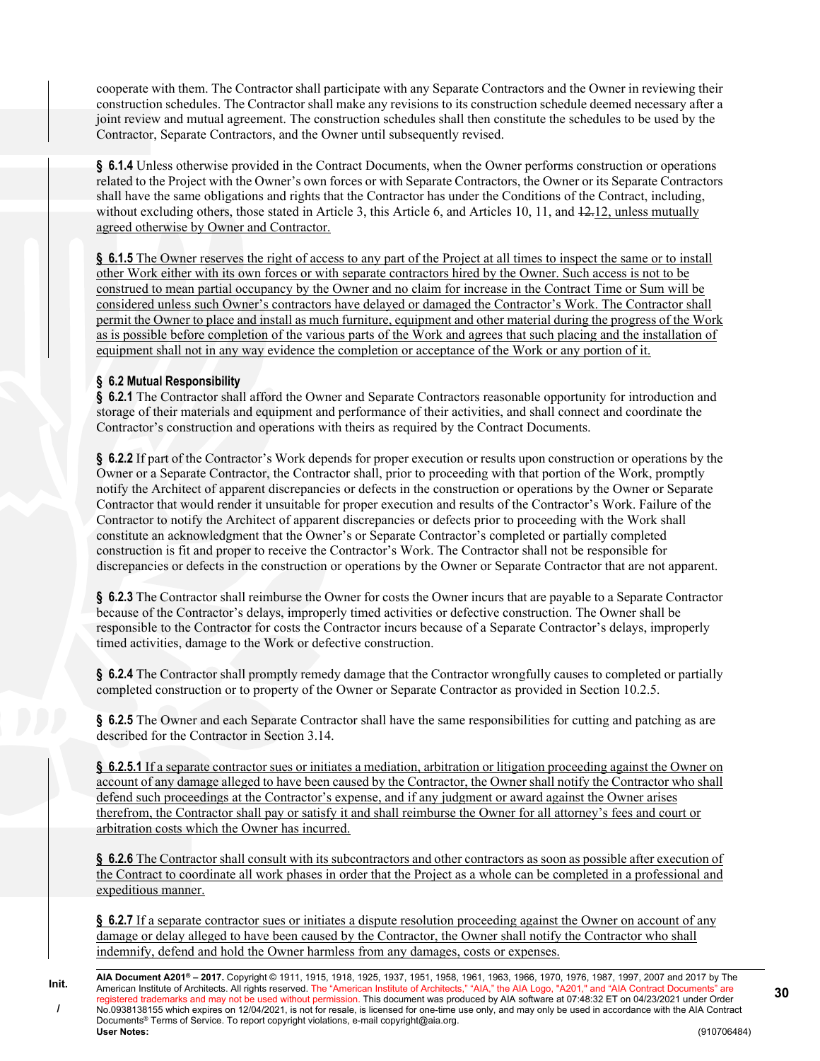cooperate with them. The Contractor shall participate with any Separate Contractors and the Owner in reviewing their construction schedules. The Contractor shall make any revisions to its construction schedule deemed necessary after a joint review and mutual agreement. The construction schedules shall then constitute the schedules to be used by the Contractor, Separate Contractors, and the Owner until subsequently revised.

**§ 6.1.4** Unless otherwise provided in the Contract Documents, when the Owner performs construction or operations related to the Project with the Owner's own forces or with Separate Contractors, the Owner or its Separate Contractors shall have the same obligations and rights that the Contractor has under the Conditions of the Contract, including, without excluding others, those stated in Article 3, this Article 6, and Articles 10, 11, and  $\frac{12.12}{12.12}$ , unless mutually agreed otherwise by Owner and Contractor.

**§ 6.1.5** The Owner reserves the right of access to any part of the Project at all times to inspect the same or to install other Work either with its own forces or with separate contractors hired by the Owner. Such access is not to be construed to mean partial occupancy by the Owner and no claim for increase in the Contract Time or Sum will be considered unless such Owner's contractors have delayed or damaged the Contractor's Work. The Contractor shall permit the Owner to place and install as much furniture, equipment and other material during the progress of the Work as is possible before completion of the various parts of the Work and agrees that such placing and the installation of equipment shall not in any way evidence the completion or acceptance of the Work or any portion of it.

# **§ 6.2 Mutual Responsibility**

**§ 6.2.1** The Contractor shall afford the Owner and Separate Contractors reasonable opportunity for introduction and storage of their materials and equipment and performance of their activities, and shall connect and coordinate the Contractor's construction and operations with theirs as required by the Contract Documents.

**§ 6.2.2** If part of the Contractor's Work depends for proper execution or results upon construction or operations by the Owner or a Separate Contractor, the Contractor shall, prior to proceeding with that portion of the Work, promptly notify the Architect of apparent discrepancies or defects in the construction or operations by the Owner or Separate Contractor that would render it unsuitable for proper execution and results of the Contractor's Work. Failure of the Contractor to notify the Architect of apparent discrepancies or defects prior to proceeding with the Work shall constitute an acknowledgment that the Owner's or Separate Contractor's completed or partially completed construction is fit and proper to receive the Contractor's Work. The Contractor shall not be responsible for discrepancies or defects in the construction or operations by the Owner or Separate Contractor that are not apparent.

**§ 6.2.3** The Contractor shall reimburse the Owner for costs the Owner incurs that are payable to a Separate Contractor because of the Contractor's delays, improperly timed activities or defective construction. The Owner shall be responsible to the Contractor for costs the Contractor incurs because of a Separate Contractor's delays, improperly timed activities, damage to the Work or defective construction.

**§ 6.2.4** The Contractor shall promptly remedy damage that the Contractor wrongfully causes to completed or partially completed construction or to property of the Owner or Separate Contractor as provided in Section 10.2.5.

**§ 6.2.5** The Owner and each Separate Contractor shall have the same responsibilities for cutting and patching as are described for the Contractor in Section 3.14.

**§ 6.2.5.1** If a separate contractor sues or initiates a mediation, arbitration or litigation proceeding against the Owner on account of any damage alleged to have been caused by the Contractor, the Owner shall notify the Contractor who shall defend such proceedings at the Contractor's expense, and if any judgment or award against the Owner arises therefrom, the Contractor shall pay or satisfy it and shall reimburse the Owner for all attorney's fees and court or arbitration costs which the Owner has incurred.

**§ 6.2.6** The Contractor shall consult with its subcontractors and other contractors as soon as possible after execution of the Contract to coordinate all work phases in order that the Project as a whole can be completed in a professional and expeditious manner.

§ 6.2.7 If a separate contractor sues or initiates a dispute resolution proceeding against the Owner on account of any damage or delay alleged to have been caused by the Contractor, the Owner shall notify the Contractor who shall indemnify, defend and hold the Owner harmless from any damages, costs or expenses.

**AIA Document A201® – 2017.** Copyright © 1911, 1915, 1918, 1925, 1937, 1951, 1958, 1961, 1963, 1966, 1970, 1976, 1987, 1997, 2007 and 2017 by The American Institute of Architects. All rights reserved. The "American Institute of Architects," "AIA," the AIA Logo, "A201," and "AIA Contract Documents" are registered trademarks and may not be used without permission. This document was produced by AIA software at 07:48:32 ET on 04/23/2021 under Order No.0938138155 which expires on 12/04/2021, is not for resale, is licensed for one-time use only, and may only be used in accordance with the AIA Contract Documents<sup>®</sup> Terms of Service. To report copyright violations, e-mail copyright@aia.org.<br>User Notes: **User Notes:** (910706484)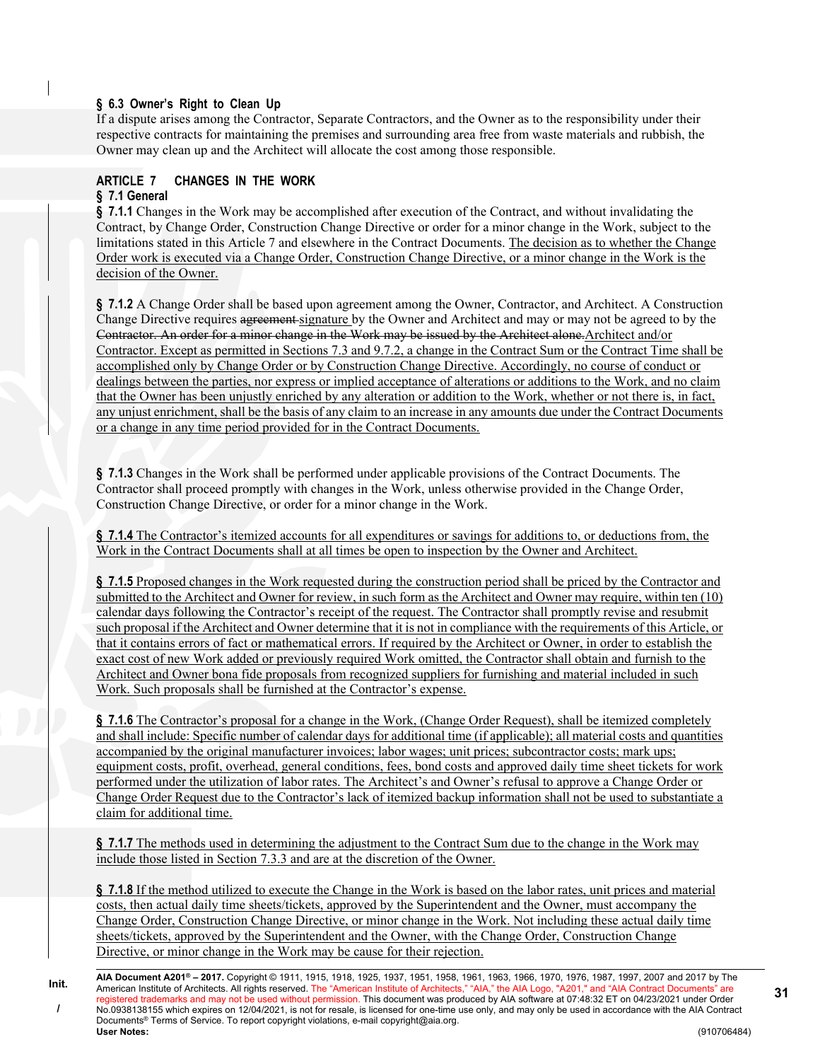# **§ 6.3 Owner's Right to Clean Up**

If a dispute arises among the Contractor, Separate Contractors, and the Owner as to the responsibility under their respective contracts for maintaining the premises and surrounding area free from waste materials and rubbish, the Owner may clean up and the Architect will allocate the cost among those responsible.

# **ARTICLE 7 CHANGES IN THE WORK**

# **§ 7.1 General**

§ 7.1.1 Changes in the Work may be accomplished after execution of the Contract, and without invalidating the Contract, by Change Order, Construction Change Directive or order for a minor change in the Work, subject to the limitations stated in this Article 7 and elsewhere in the Contract Documents. The decision as to whether the Change Order work is executed via a Change Order, Construction Change Directive, or a minor change in the Work is the decision of the Owner.

**§ 7.1.2** A Change Order shall be based upon agreement among the Owner, Contractor, and Architect. A Construction Change Directive requires agreement signature by the Owner and Architect and may or may not be agreed to by the Contractor. An order for a minor change in the Work may be issued by the Architect alone.Architect and/or Contractor. Except as permitted in Sections 7.3 and 9.7.2, a change in the Contract Sum or the Contract Time shall be accomplished only by Change Order or by Construction Change Directive. Accordingly, no course of conduct or dealings between the parties, nor express or implied acceptance of alterations or additions to the Work, and no claim that the Owner has been unjustly enriched by any alteration or addition to the Work, whether or not there is, in fact, any unjust enrichment, shall be the basis of any claim to an increase in any amounts due under the Contract Documents or a change in any time period provided for in the Contract Documents.

**§ 7.1.3** Changes in the Work shall be performed under applicable provisions of the Contract Documents. The Contractor shall proceed promptly with changes in the Work, unless otherwise provided in the Change Order, Construction Change Directive, or order for a minor change in the Work.

**§ 7.1.4** The Contractor's itemized accounts for all expenditures or savings for additions to, or deductions from, the Work in the Contract Documents shall at all times be open to inspection by the Owner and Architect.

**§ 7.1.5** Proposed changes in the Work requested during the construction period shall be priced by the Contractor and submitted to the Architect and Owner for review, in such form as the Architect and Owner may require, within ten (10) calendar days following the Contractor's receipt of the request. The Contractor shall promptly revise and resubmit such proposal if the Architect and Owner determine that it is not in compliance with the requirements of this Article, or that it contains errors of fact or mathematical errors. If required by the Architect or Owner, in order to establish the exact cost of new Work added or previously required Work omitted, the Contractor shall obtain and furnish to the Architect and Owner bona fide proposals from recognized suppliers for furnishing and material included in such Work. Such proposals shall be furnished at the Contractor's expense.

**§ 7.1.6** The Contractor's proposal for a change in the Work, (Change Order Request), shall be itemized completely and shall include: Specific number of calendar days for additional time (if applicable); all material costs and quantities accompanied by the original manufacturer invoices; labor wages; unit prices; subcontractor costs; mark ups; equipment costs, profit, overhead, general conditions, fees, bond costs and approved daily time sheet tickets for work performed under the utilization of labor rates. The Architect's and Owner's refusal to approve a Change Order or Change Order Request due to the Contractor's lack of itemized backup information shall not be used to substantiate a claim for additional time.

**§ 7.1.7** The methods used in determining the adjustment to the Contract Sum due to the change in the Work may include those listed in Section 7.3.3 and are at the discretion of the Owner.

**§ 7.1.8** If the method utilized to execute the Change in the Work is based on the labor rates, unit prices and material costs, then actual daily time sheets/tickets, approved by the Superintendent and the Owner, must accompany the Change Order, Construction Change Directive, or minor change in the Work. Not including these actual daily time sheets/tickets, approved by the Superintendent and the Owner, with the Change Order, Construction Change Directive, or minor change in the Work may be cause for their rejection.

**31**

**Init. /**

**AIA Document A201® – 2017.** Copyright © 1911, 1915, 1918, 1925, 1937, 1951, 1958, 1961, 1963, 1966, 1970, 1976, 1987, 1997, 2007 and 2017 by The American Institute of Architects. All rights reserved. The "American Institute of Architects," "AIA," the AIA Logo, "A201," and "AIA Contract Documents" are registered trademarks and may not be used without permission. This document was produced by AIA software at 07:48:32 ET on 04/23/2021 under Order No.0938138155 which expires on 12/04/2021, is not for resale, is licensed for one-time use only, and may only be used in accordance with the AIA Contract Documents<sup>®</sup> Terms of Service. To report copyright violations, e-mail copyright@aia.org.<br>User Notes: **User Notes:** (910706484)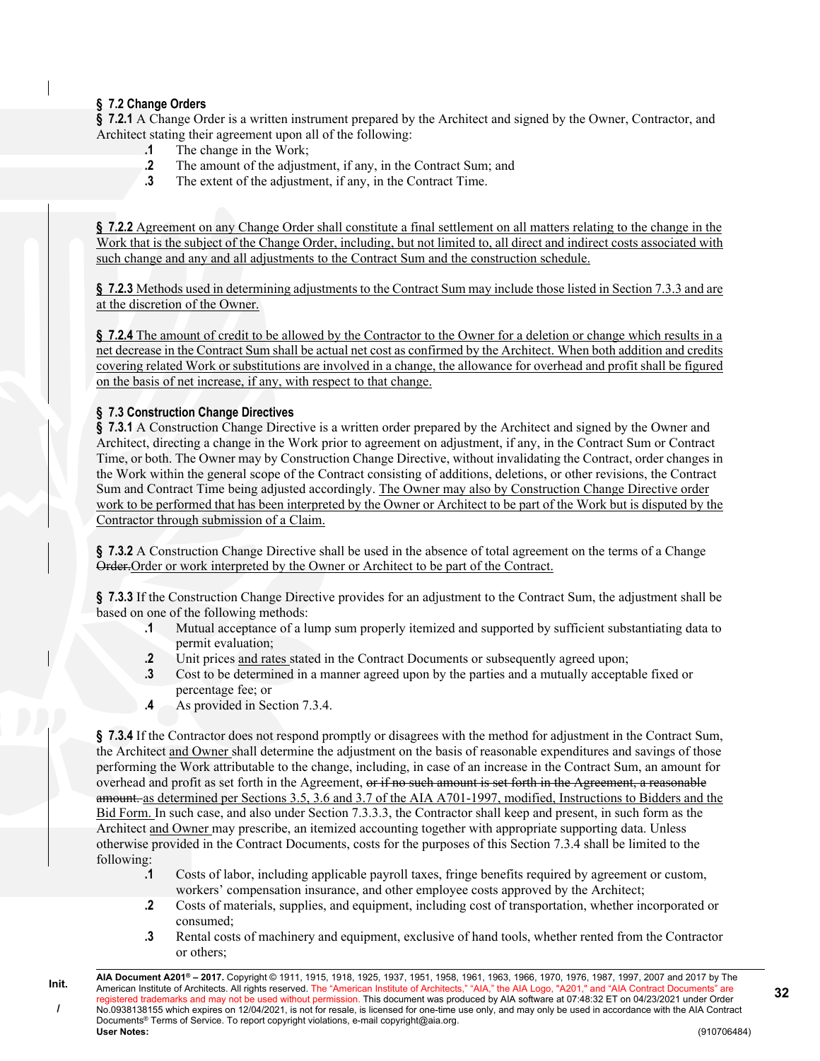# **§ 7.2 Change Orders**

**§ 7.2.1** A Change Order is a written instrument prepared by the Architect and signed by the Owner, Contractor, and Architect stating their agreement upon all of the following:

- **.1** The change in the Work;
- **.2** The amount of the adjustment, if any, in the Contract Sum; and
- **.3** The extent of the adjustment, if any, in the Contract Time.

**§ 7.2.2** Agreement on any Change Order shall constitute a final settlement on all matters relating to the change in the Work that is the subject of the Change Order, including, but not limited to, all direct and indirect costs associated with such change and any and all adjustments to the Contract Sum and the construction schedule.

**§ 7.2.3** Methods used in determining adjustments to the Contract Sum may include those listed in Section 7.3.3 and are at the discretion of the Owner.

**§ 7.2.4** The amount of credit to be allowed by the Contractor to the Owner for a deletion or change which results in a net decrease in the Contract Sum shall be actual net cost as confirmed by the Architect. When both addition and credits covering related Work or substitutions are involved in a change, the allowance for overhead and profit shall be figured on the basis of net increase, if any, with respect to that change.

# **§ 7.3 Construction Change Directives**

**§ 7.3.1** A Construction Change Directive is a written order prepared by the Architect and signed by the Owner and Architect, directing a change in the Work prior to agreement on adjustment, if any, in the Contract Sum or Contract Time, or both. The Owner may by Construction Change Directive, without invalidating the Contract, order changes in the Work within the general scope of the Contract consisting of additions, deletions, or other revisions, the Contract Sum and Contract Time being adjusted accordingly. The Owner may also by Construction Change Directive order work to be performed that has been interpreted by the Owner or Architect to be part of the Work but is disputed by the Contractor through submission of a Claim.

**§ 7.3.2** A Construction Change Directive shall be used in the absence of total agreement on the terms of a Change Order.Order or work interpreted by the Owner or Architect to be part of the Contract.

**§ 7.3.3** If the Construction Change Directive provides for an adjustment to the Contract Sum, the adjustment shall be based on one of the following methods:

- **.1** Mutual acceptance of a lump sum properly itemized and supported by sufficient substantiating data to permit evaluation;
- **.2** Unit prices and rates stated in the Contract Documents or subsequently agreed upon;
- **.3** Cost to be determined in a manner agreed upon by the parties and a mutually acceptable fixed or percentage fee; or
- **.4** As provided in Section 7.3.4.

**§ 7.3.4** If the Contractor does not respond promptly or disagrees with the method for adjustment in the Contract Sum, the Architect and Owner shall determine the adjustment on the basis of reasonable expenditures and savings of those performing the Work attributable to the change, including, in case of an increase in the Contract Sum, an amount for overhead and profit as set forth in the Agreement, or if no such amount is set forth in the Agreement, a reasonable amount. as determined per Sections 3.5, 3.6 and 3.7 of the AIA A701-1997, modified, Instructions to Bidders and the Bid Form. In such case, and also under Section 7.3.3.3, the Contractor shall keep and present, in such form as the Architect and Owner may prescribe, an itemized accounting together with appropriate supporting data. Unless otherwise provided in the Contract Documents, costs for the purposes of this Section 7.3.4 shall be limited to the following:

- **.1** Costs of labor, including applicable payroll taxes, fringe benefits required by agreement or custom, workers' compensation insurance, and other employee costs approved by the Architect;
- **.2** Costs of materials, supplies, and equipment, including cost of transportation, whether incorporated or consumed;
- **.3** Rental costs of machinery and equipment, exclusive of hand tools, whether rented from the Contractor or others;
- **AIA Document A201® 2017.** Copyright © 1911, 1915, 1918, 1925, 1937, 1951, 1958, 1961, 1963, 1966, 1970, 1976, 1987, 1997, 2007 and 2017 by The American Institute of Architects. All rights reserved. The "American Institute of Architects," "AIA," the AIA Logo, "A201," and "AIA Contract Documents" are registered trademarks and may not be used without permission. This document was produced by AIA software at 07:48:32 ET on 04/23/2021 under Order No.0938138155 which expires on 12/04/2021, is not for resale, is licensed for one-time use only, and may only be used in accordance with the AIA Contract Documents<sup>®</sup> Terms of Service. To report copyright violations, e-mail copyright@aia.org.<br>User Notes: **User Notes:** (910706484)

**Init. /**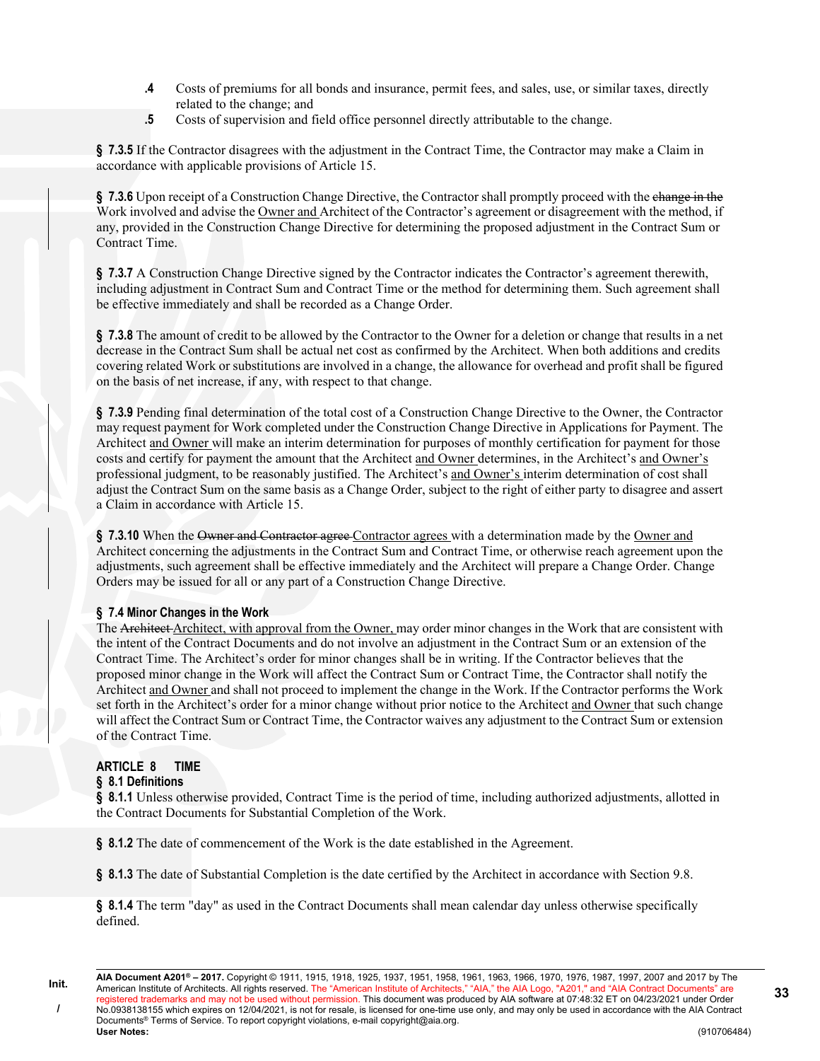- **.4** Costs of premiums for all bonds and insurance, permit fees, and sales, use, or similar taxes, directly related to the change; and
- **.5** Costs of supervision and field office personnel directly attributable to the change.

**§ 7.3.5** If the Contractor disagrees with the adjustment in the Contract Time, the Contractor may make a Claim in accordance with applicable provisions of Article 15.

§ 7.3.6 Upon receipt of a Construction Change Directive, the Contractor shall promptly proceed with the change in the Work involved and advise the Owner and Architect of the Contractor's agreement or disagreement with the method, if any, provided in the Construction Change Directive for determining the proposed adjustment in the Contract Sum or Contract Time.

**§ 7.3.7** A Construction Change Directive signed by the Contractor indicates the Contractor's agreement therewith, including adjustment in Contract Sum and Contract Time or the method for determining them. Such agreement shall be effective immediately and shall be recorded as a Change Order.

**§ 7.3.8** The amount of credit to be allowed by the Contractor to the Owner for a deletion or change that results in a net decrease in the Contract Sum shall be actual net cost as confirmed by the Architect. When both additions and credits covering related Work or substitutions are involved in a change, the allowance for overhead and profit shall be figured on the basis of net increase, if any, with respect to that change.

**§ 7.3.9** Pending final determination of the total cost of a Construction Change Directive to the Owner, the Contractor may request payment for Work completed under the Construction Change Directive in Applications for Payment. The Architect and Owner will make an interim determination for purposes of monthly certification for payment for those costs and certify for payment the amount that the Architect and Owner determines, in the Architect's and Owner's professional judgment, to be reasonably justified. The Architect's and Owner's interim determination of cost shall adjust the Contract Sum on the same basis as a Change Order, subject to the right of either party to disagree and assert a Claim in accordance with Article 15.

**§ 7.3.10** When the Owner and Contractor agree Contractor agrees with a determination made by the Owner and Architect concerning the adjustments in the Contract Sum and Contract Time, or otherwise reach agreement upon the adjustments, such agreement shall be effective immediately and the Architect will prepare a Change Order. Change Orders may be issued for all or any part of a Construction Change Directive.

#### **§ 7.4 Minor Changes in the Work**

The Architect Architect, with approval from the Owner, may order minor changes in the Work that are consistent with the intent of the Contract Documents and do not involve an adjustment in the Contract Sum or an extension of the Contract Time. The Architect's order for minor changes shall be in writing. If the Contractor believes that the proposed minor change in the Work will affect the Contract Sum or Contract Time, the Contractor shall notify the Architect and Owner and shall not proceed to implement the change in the Work. If the Contractor performs the Work set forth in the Architect's order for a minor change without prior notice to the Architect and Owner that such change will affect the Contract Sum or Contract Time, the Contractor waives any adjustment to the Contract Sum or extension of the Contract Time.

# **ARTICLE 8 TIME**

# **§ 8.1 Definitions**

**§ 8.1.1** Unless otherwise provided, Contract Time is the period of time, including authorized adjustments, allotted in the Contract Documents for Substantial Completion of the Work.

**§ 8.1.2** The date of commencement of the Work is the date established in the Agreement.

**§ 8.1.3** The date of Substantial Completion is the date certified by the Architect in accordance with Section 9.8.

**§ 8.1.4** The term "day" as used in the Contract Documents shall mean calendar day unless otherwise specifically defined.

**Init. /**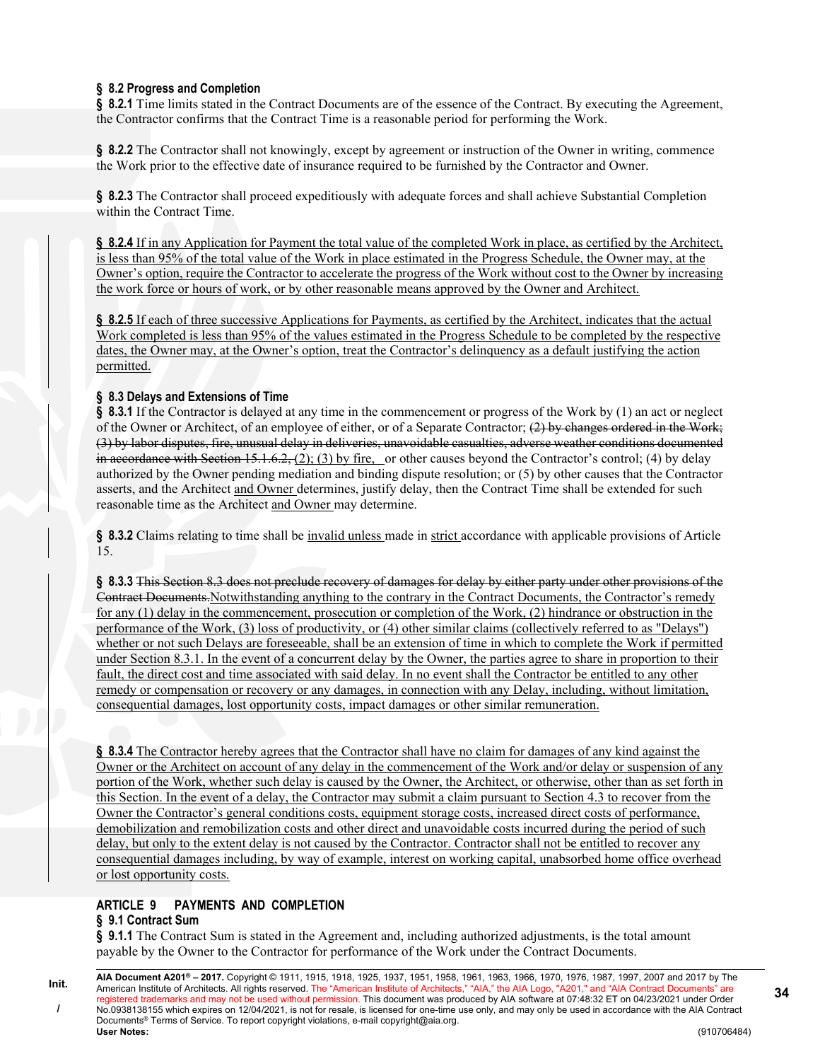# **§ 8.2 Progress and Completion**

**§ 8.2.1** Time limits stated in the Contract Documents are of the essence of the Contract. By executing the Agreement, the Contractor confirms that the Contract Time is a reasonable period for performing the Work.

**§ 8.2.2** The Contractor shall not knowingly, except by agreement or instruction of the Owner in writing, commence the Work prior to the effective date of insurance required to be furnished by the Contractor and Owner.

**§ 8.2.3** The Contractor shall proceed expeditiously with adequate forces and shall achieve Substantial Completion within the Contract Time.

**§ 8.2.4** If in any Application for Payment the total value of the completed Work in place, as certified by the Architect, is less than 95% of the total value of the Work in place estimated in the Progress Schedule, the Owner may, at the Owner's option, require the Contractor to accelerate the progress of the Work without cost to the Owner by increasing the work force or hours of work, or by other reasonable means approved by the Owner and Architect.

**§ 8.2.5** If each of three successive Applications for Payments, as certified by the Architect, indicates that the actual Work completed is less than 95% of the values estimated in the Progress Schedule to be completed by the respective dates, the Owner may, at the Owner's option, treat the Contractor's delinquency as a default justifying the action permitted.

# **§ 8.3 Delays and Extensions of Time**

**§ 8.3.1** If the Contractor is delayed at any time in the commencement or progress of the Work by (1) an act or neglect of the Owner or Architect, of an employee of either, or of a Separate Contractor;  $(2)$  by changes ordered in the Work; (3) by labor disputes, fire, unusual delay in deliveries, unavoidable casualties, adverse weather conditions documented in accordance with Section 15.1.6.2,  $(2)$ ;  $(3)$  by fire, or other causes beyond the Contractor's control;  $(4)$  by delay authorized by the Owner pending mediation and binding dispute resolution; or (5) by other causes that the Contractor asserts, and the Architect and Owner determines, justify delay, then the Contract Time shall be extended for such reasonable time as the Architect and Owner may determine.

**§ 8.3.2** Claims relating to time shall be invalid unless made in strict accordance with applicable provisions of Article 15.

**§ 8.3.3** This Section 8.3 does not preclude recovery of damages for delay by either party under other provisions of the Contract Documents.Notwithstanding anything to the contrary in the Contract Documents, the Contractor's remedy for any (1) delay in the commencement, prosecution or completion of the Work, (2) hindrance or obstruction in the performance of the Work, (3) loss of productivity, or (4) other similar claims (collectively referred to as "Delays") whether or not such Delays are foreseeable, shall be an extension of time in which to complete the Work if permitted under Section 8.3.1. In the event of a concurrent delay by the Owner, the parties agree to share in proportion to their fault, the direct cost and time associated with said delay. In no event shall the Contractor be entitled to any other remedy or compensation or recovery or any damages, in connection with any Delay, including, without limitation, consequential damages, lost opportunity costs, impact damages or other similar remuneration.

**§ 8.3.4** The Contractor hereby agrees that the Contractor shall have no claim for damages of any kind against the Owner or the Architect on account of any delay in the commencement of the Work and/or delay or suspension of any portion of the Work, whether such delay is caused by the Owner, the Architect, or otherwise, other than as set forth in this Section. In the event of a delay, the Contractor may submit a claim pursuant to Section 4.3 to recover from the Owner the Contractor's general conditions costs, equipment storage costs, increased direct costs of performance, demobilization and remobilization costs and other direct and unavoidable costs incurred during the period of such delay, but only to the extent delay is not caused by the Contractor. Contractor shall not be entitled to recover any consequential damages including, by way of example, interest on working capital, unabsorbed home office overhead or lost opportunity costs.

# **ARTICLE 9 PAYMENTS AND COMPLETION**

# **§ 9.1 Contract Sum**

**§ 9.1.1** The Contract Sum is stated in the Agreement and, including authorized adjustments, is the total amount payable by the Owner to the Contractor for performance of the Work under the Contract Documents.

**AIA Document A201® – 2017.** Copyright © 1911, 1915, 1918, 1925, 1937, 1951, 1958, 1961, 1963, 1966, 1970, 1976, 1987, 1997, 2007 and 2017 by The American Institute of Architects. All rights reserved. The "American Institute of Architects," "AIA," the AIA Logo, "A201," and "AIA Contract Documents" are registered trademarks and may not be used without permission. This document was produced by AIA software at 07:48:32 ET on 04/23/2021 under Order No.0938138155 which expires on 12/04/2021, is not for resale, is licensed for one-time use only, and may only be used in accordance with the AIA Contract Documents<sup>®</sup> Terms of Service. To report copyright violations, e-mail copyright@aia.org.<br>User Notes: **User Notes:** (910706484)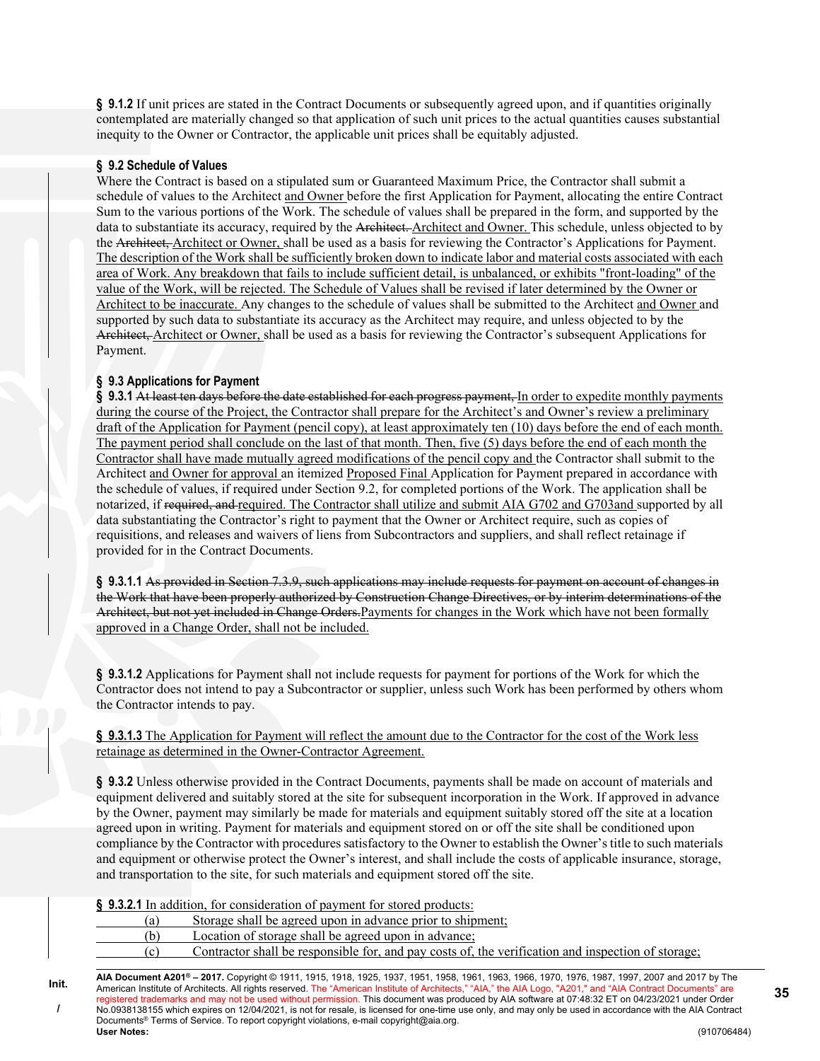§ 9.1.2 If unit prices are stated in the Contract Documents or subsequently agreed upon, and if quantities originally contemplated are materially changed so that application of such unit prices to the actual quantities causes substantial inequity to the Owner or Contractor, the applicable unit prices shall be equitably adjusted.

#### **§ 9.2 Schedule of Values**

Where the Contract is based on a stipulated sum or Guaranteed Maximum Price, the Contractor shall submit a schedule of values to the Architect and Owner before the first Application for Payment, allocating the entire Contract Sum to the various portions of the Work. The schedule of values shall be prepared in the form, and supported by the data to substantiate its accuracy, required by the Architect. Architect and Owner. This schedule, unless objected to by the Architect, Architect or Owner, shall be used as a basis for reviewing the Contractor's Applications for Payment. The description of the Work shall be sufficiently broken down to indicate labor and material costs associated with each area of Work. Any breakdown that fails to include sufficient detail, is unbalanced, or exhibits "front-loading" of the value of the Work, will be rejected. The Schedule of Values shall be revised if later determined by the Owner or Architect to be inaccurate. Any changes to the schedule of values shall be submitted to the Architect and Owner and supported by such data to substantiate its accuracy as the Architect may require, and unless objected to by the Architect, Architect or Owner, shall be used as a basis for reviewing the Contractor's subsequent Applications for Payment.

# **§ 9.3 Applications for Payment**

**Init. /**

**§ 9.3.1** At least ten days before the date established for each progress payment, In order to expedite monthly payments during the course of the Project, the Contractor shall prepare for the Architect's and Owner's review a preliminary draft of the Application for Payment (pencil copy), at least approximately ten (10) days before the end of each month. The payment period shall conclude on the last of that month. Then, five (5) days before the end of each month the Contractor shall have made mutually agreed modifications of the pencil copy and the Contractor shall submit to the Architect and Owner for approval an itemized Proposed Final Application for Payment prepared in accordance with the schedule of values, if required under Section 9.2, for completed portions of the Work. The application shall be notarized, if required, and required. The Contractor shall utilize and submit AIA G702 and G703and supported by all data substantiating the Contractor's right to payment that the Owner or Architect require, such as copies of requisitions, and releases and waivers of liens from Subcontractors and suppliers, and shall reflect retainage if provided for in the Contract Documents.

**§ 9.3.1.1** As provided in Section 7.3.9, such applications may include requests for payment on account of changes in the Work that have been properly authorized by Construction Change Directives, or by interim determinations of the Architect, but not yet included in Change Orders. Payments for changes in the Work which have not been formally approved in a Change Order, shall not be included.

**§ 9.3.1.2** Applications for Payment shall not include requests for payment for portions of the Work for which the Contractor does not intend to pay a Subcontractor or supplier, unless such Work has been performed by others whom the Contractor intends to pay.

**§ 9.3.1.3** The Application for Payment will reflect the amount due to the Contractor for the cost of the Work less retainage as determined in the Owner-Contractor Agreement.

**§ 9.3.2** Unless otherwise provided in the Contract Documents, payments shall be made on account of materials and equipment delivered and suitably stored at the site for subsequent incorporation in the Work. If approved in advance by the Owner, payment may similarly be made for materials and equipment suitably stored off the site at a location agreed upon in writing. Payment for materials and equipment stored on or off the site shall be conditioned upon compliance by the Contractor with procedures satisfactory to the Owner to establish the Owner's title to such materials and equipment or otherwise protect the Owner's interest, and shall include the costs of applicable insurance, storage, and transportation to the site, for such materials and equipment stored off the site.

**§ 9.3.2.1** In addition, for consideration of payment for stored products:

- (a) Storage shall be agreed upon in advance prior to shipment;
- (b) Location of storage shall be agreed upon in advance;
- (c) Contractor shall be responsible for, and pay costs of, the verification and inspection of storage;

**AIA Document A201® – 2017.** Copyright © 1911, 1915, 1918, 1925, 1937, 1951, 1958, 1961, 1963, 1966, 1970, 1976, 1987, 1997, 2007 and 2017 by The American Institute of Architects. All rights reserved. The "American Institute of Architects," "AIA," the AIA Logo, "A201," and "AIA Contract Documents" are registered trademarks and may not be used without permission. This document was produced by AIA software at 07:48:32 ET on 04/23/2021 under Order No.0938138155 which expires on 12/04/2021, is not for resale, is licensed for one-time use only, and may only be used in accordance with the AIA Contract Documents<sup>®</sup> Terms of Service. To report copyright violations, e-mail copyright@aia.org.<br>User Notes: **User Notes:** (910706484)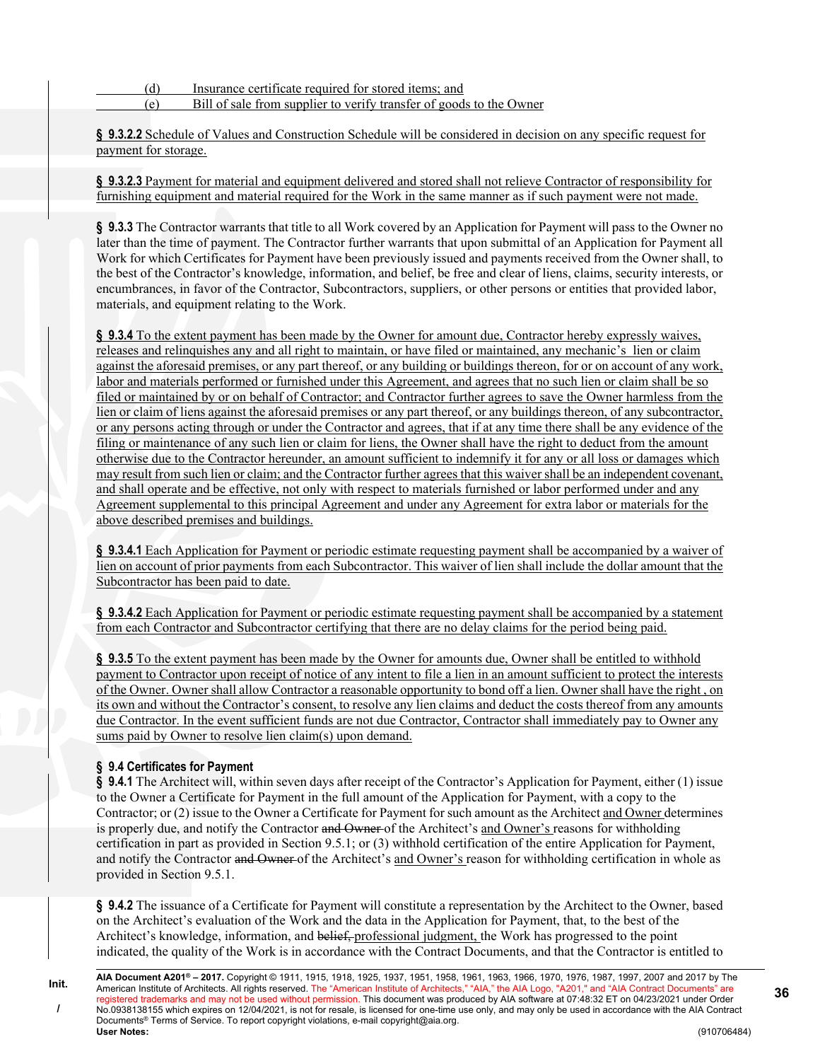(d) Insurance certificate required for stored items; and

(e) Bill of sale from supplier to verify transfer of goods to the Owner

**§ 9.3.2.2** Schedule of Values and Construction Schedule will be considered in decision on any specific request for payment for storage.

**§ 9.3.2.3** Payment for material and equipment delivered and stored shall not relieve Contractor of responsibility for furnishing equipment and material required for the Work in the same manner as if such payment were not made.

**§ 9.3.3** The Contractor warrants that title to all Work covered by an Application for Payment will pass to the Owner no later than the time of payment. The Contractor further warrants that upon submittal of an Application for Payment all Work for which Certificates for Payment have been previously issued and payments received from the Owner shall, to the best of the Contractor's knowledge, information, and belief, be free and clear of liens, claims, security interests, or encumbrances, in favor of the Contractor, Subcontractors, suppliers, or other persons or entities that provided labor, materials, and equipment relating to the Work.

**§ 9.3.4** To the extent payment has been made by the Owner for amount due, Contractor hereby expressly waives, releases and relinquishes any and all right to maintain, or have filed or maintained, any mechanic's lien or claim against the aforesaid premises, or any part thereof, or any building or buildings thereon, for or on account of any work, labor and materials performed or furnished under this Agreement, and agrees that no such lien or claim shall be so filed or maintained by or on behalf of Contractor; and Contractor further agrees to save the Owner harmless from the lien or claim of liens against the aforesaid premises or any part thereof, or any buildings thereon, of any subcontractor, or any persons acting through or under the Contractor and agrees, that if at any time there shall be any evidence of the filing or maintenance of any such lien or claim for liens, the Owner shall have the right to deduct from the amount otherwise due to the Contractor hereunder, an amount sufficient to indemnify it for any or all loss or damages which may result from such lien or claim; and the Contractor further agrees that this waiver shall be an independent covenant, and shall operate and be effective, not only with respect to materials furnished or labor performed under and any Agreement supplemental to this principal Agreement and under any Agreement for extra labor or materials for the above described premises and buildings.

**§ 9.3.4.1** Each Application for Payment or periodic estimate requesting payment shall be accompanied by a waiver of lien on account of prior payments from each Subcontractor. This waiver of lien shall include the dollar amount that the Subcontractor has been paid to date.

**§ 9.3.4.2** Each Application for Payment or periodic estimate requesting payment shall be accompanied by a statement from each Contractor and Subcontractor certifying that there are no delay claims for the period being paid.

**§ 9.3.5** To the extent payment has been made by the Owner for amounts due, Owner shall be entitled to withhold payment to Contractor upon receipt of notice of any intent to file a lien in an amount sufficient to protect the interests of the Owner. Owner shall allow Contractor a reasonable opportunity to bond off a lien. Owner shall have the right , on its own and without the Contractor's consent, to resolve any lien claims and deduct the costs thereof from any amounts due Contractor. In the event sufficient funds are not due Contractor, Contractor shall immediately pay to Owner any sums paid by Owner to resolve lien claim(s) upon demand.

#### **§ 9.4 Certificates for Payment**

**Init. /**

§ 9.4.1 The Architect will, within seven days after receipt of the Contractor's Application for Payment, either (1) issue to the Owner a Certificate for Payment in the full amount of the Application for Payment, with a copy to the Contractor; or (2) issue to the Owner a Certificate for Payment for such amount as the Architect and Owner determines is properly due, and notify the Contractor and Owner of the Architect's and Owner's reasons for withholding certification in part as provided in Section 9.5.1; or (3) withhold certification of the entire Application for Payment, and notify the Contractor and Owner of the Architect's and Owner's reason for withholding certification in whole as provided in Section 9.5.1.

**§ 9.4.2** The issuance of a Certificate for Payment will constitute a representation by the Architect to the Owner, based on the Architect's evaluation of the Work and the data in the Application for Payment, that, to the best of the Architect's knowledge, information, and belief, professional judgment, the Work has progressed to the point indicated, the quality of the Work is in accordance with the Contract Documents, and that the Contractor is entitled to

**AIA Document A201® – 2017.** Copyright © 1911, 1915, 1918, 1925, 1937, 1951, 1958, 1961, 1963, 1966, 1970, 1976, 1987, 1997, 2007 and 2017 by The American Institute of Architects. All rights reserved. The "American Institute of Architects," "AIA," the AIA Logo, "A201," and "AIA Contract Documents" are registered trademarks and may not be used without permission. This document was produced by AIA software at 07:48:32 ET on 04/23/2021 under Order No.0938138155 which expires on 12/04/2021, is not for resale, is licensed for one-time use only, and may only be used in accordance with the AIA Contract Documents<sup>®</sup> Terms of Service. To report copyright violations, e-mail copyright@aia.org.<br>User Notes: **User Notes:** (910706484)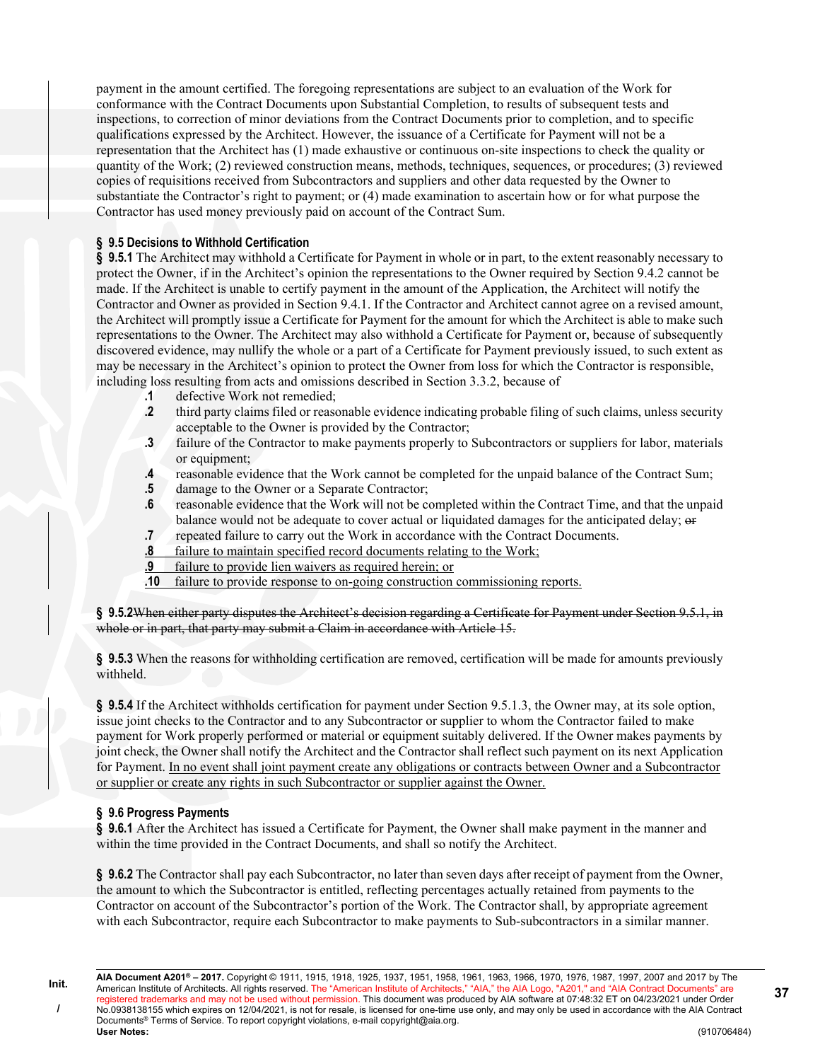payment in the amount certified. The foregoing representations are subject to an evaluation of the Work for conformance with the Contract Documents upon Substantial Completion, to results of subsequent tests and inspections, to correction of minor deviations from the Contract Documents prior to completion, and to specific qualifications expressed by the Architect. However, the issuance of a Certificate for Payment will not be a representation that the Architect has (1) made exhaustive or continuous on-site inspections to check the quality or quantity of the Work; (2) reviewed construction means, methods, techniques, sequences, or procedures; (3) reviewed copies of requisitions received from Subcontractors and suppliers and other data requested by the Owner to substantiate the Contractor's right to payment; or (4) made examination to ascertain how or for what purpose the Contractor has used money previously paid on account of the Contract Sum.

#### **§ 9.5 Decisions to Withhold Certification**

**§ 9.5.1** The Architect may withhold a Certificate for Payment in whole or in part, to the extent reasonably necessary to protect the Owner, if in the Architect's opinion the representations to the Owner required by Section 9.4.2 cannot be made. If the Architect is unable to certify payment in the amount of the Application, the Architect will notify the Contractor and Owner as provided in Section 9.4.1. If the Contractor and Architect cannot agree on a revised amount, the Architect will promptly issue a Certificate for Payment for the amount for which the Architect is able to make such representations to the Owner. The Architect may also withhold a Certificate for Payment or, because of subsequently discovered evidence, may nullify the whole or a part of a Certificate for Payment previously issued, to such extent as may be necessary in the Architect's opinion to protect the Owner from loss for which the Contractor is responsible, including loss resulting from acts and omissions described in Section 3.3.2, because of

- **.1** defective Work not remedied;
- **.2** third party claims filed or reasonable evidence indicating probable filing of such claims, unless security acceptable to the Owner is provided by the Contractor;
- **.3** failure of the Contractor to make payments properly to Subcontractors or suppliers for labor, materials or equipment;
- **.4** reasonable evidence that the Work cannot be completed for the unpaid balance of the Contract Sum;
- **.5** damage to the Owner or a Separate Contractor;
- **.6** reasonable evidence that the Work will not be completed within the Contract Time, and that the unpaid balance would not be adequate to cover actual or liquidated damages for the anticipated delay; or
- **.7** repeated failure to carry out the Work in accordance with the Contract Documents.
- **.8** failure to maintain specified record documents relating to the Work;
- **.9** failure to provide lien waivers as required herein; or
- **.10** failure to provide response to on-going construction commissioning reports.

**§ 9.5.2**When either party disputes the Architect's decision regarding a Certificate for Payment under Section 9.5.1, in whole or in part, that party may submit a Claim in accordance with Article 15.

**§ 9.5.3** When the reasons for withholding certification are removed, certification will be made for amounts previously withheld.

**§ 9.5.4** If the Architect withholds certification for payment under Section 9.5.1.3, the Owner may, at its sole option, issue joint checks to the Contractor and to any Subcontractor or supplier to whom the Contractor failed to make payment for Work properly performed or material or equipment suitably delivered. If the Owner makes payments by joint check, the Owner shall notify the Architect and the Contractor shall reflect such payment on its next Application for Payment. In no event shall joint payment create any obligations or contracts between Owner and a Subcontractor or supplier or create any rights in such Subcontractor or supplier against the Owner.

#### **§ 9.6 Progress Payments**

**§ 9.6.1** After the Architect has issued a Certificate for Payment, the Owner shall make payment in the manner and within the time provided in the Contract Documents, and shall so notify the Architect.

**§ 9.6.2** The Contractor shall pay each Subcontractor, no later than seven days after receipt of payment from the Owner, the amount to which the Subcontractor is entitled, reflecting percentages actually retained from payments to the Contractor on account of the Subcontractor's portion of the Work. The Contractor shall, by appropriate agreement with each Subcontractor, require each Subcontractor to make payments to Sub-subcontractors in a similar manner.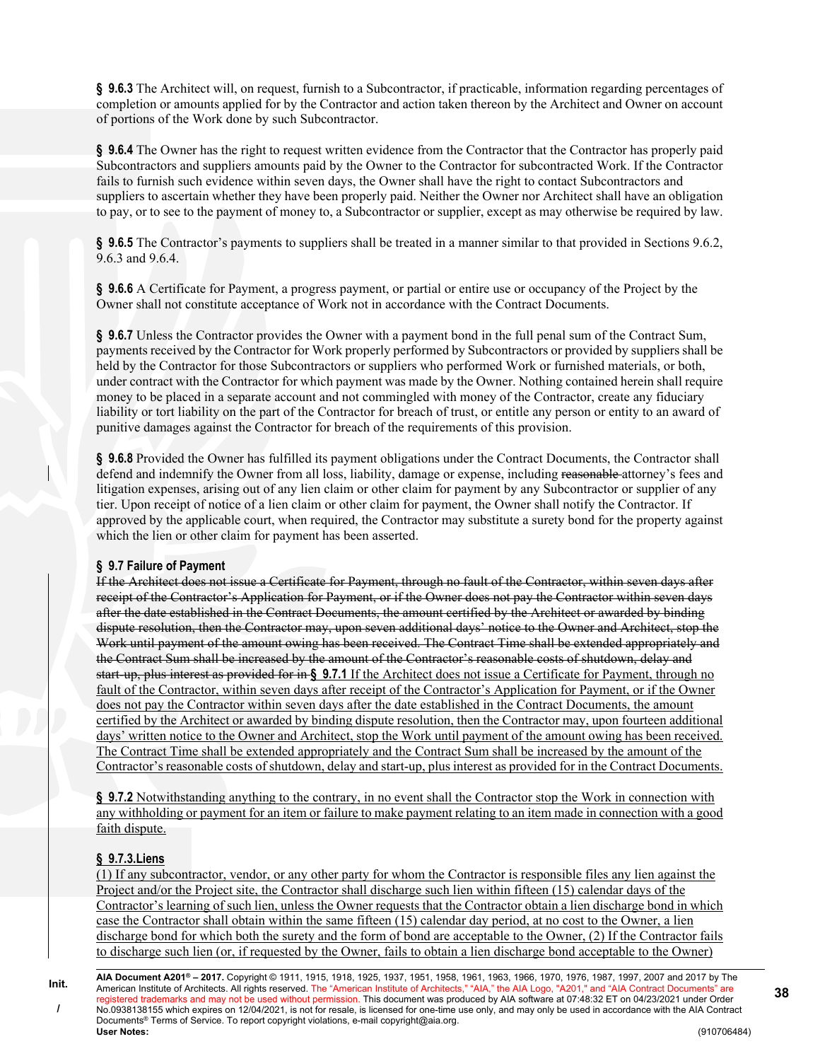**§ 9.6.3** The Architect will, on request, furnish to a Subcontractor, if practicable, information regarding percentages of completion or amounts applied for by the Contractor and action taken thereon by the Architect and Owner on account of portions of the Work done by such Subcontractor.

**§ 9.6.4** The Owner has the right to request written evidence from the Contractor that the Contractor has properly paid Subcontractors and suppliers amounts paid by the Owner to the Contractor for subcontracted Work. If the Contractor fails to furnish such evidence within seven days, the Owner shall have the right to contact Subcontractors and suppliers to ascertain whether they have been properly paid. Neither the Owner nor Architect shall have an obligation to pay, or to see to the payment of money to, a Subcontractor or supplier, except as may otherwise be required by law.

**§ 9.6.5** The Contractor's payments to suppliers shall be treated in a manner similar to that provided in Sections 9.6.2, 9.6.3 and 9.6.4.

**§ 9.6.6** A Certificate for Payment, a progress payment, or partial or entire use or occupancy of the Project by the Owner shall not constitute acceptance of Work not in accordance with the Contract Documents.

**§ 9.6.7** Unless the Contractor provides the Owner with a payment bond in the full penal sum of the Contract Sum, payments received by the Contractor for Work properly performed by Subcontractors or provided by suppliers shall be held by the Contractor for those Subcontractors or suppliers who performed Work or furnished materials, or both, under contract with the Contractor for which payment was made by the Owner. Nothing contained herein shall require money to be placed in a separate account and not commingled with money of the Contractor, create any fiduciary liability or tort liability on the part of the Contractor for breach of trust, or entitle any person or entity to an award of punitive damages against the Contractor for breach of the requirements of this provision.

**§ 9.6.8** Provided the Owner has fulfilled its payment obligations under the Contract Documents, the Contractor shall defend and indemnify the Owner from all loss, liability, damage or expense, including reasonable attorney's fees and litigation expenses, arising out of any lien claim or other claim for payment by any Subcontractor or supplier of any tier. Upon receipt of notice of a lien claim or other claim for payment, the Owner shall notify the Contractor. If approved by the applicable court, when required, the Contractor may substitute a surety bond for the property against which the lien or other claim for payment has been asserted.

#### **§ 9.7 Failure of Payment**

If the Architect does not issue a Certificate for Payment, through no fault of the Contractor, within seven days after receipt of the Contractor's Application for Payment, or if the Owner does not pay the Contractor within seven days after the date established in the Contract Documents, the amount certified by the Architect or awarded by binding dispute resolution, then the Contractor may, upon seven additional days' notice to the Owner and Architect, stop the Work until payment of the amount owing has been received. The Contract Time shall be extended appropriately and the Contract Sum shall be increased by the amount of the Contractor's reasonable costs of shutdown, delay and start-up, plus interest as provided for in **§ 9.7.1** If the Architect does not issue a Certificate for Payment, through no fault of the Contractor, within seven days after receipt of the Contractor's Application for Payment, or if the Owner does not pay the Contractor within seven days after the date established in the Contract Documents, the amount certified by the Architect or awarded by binding dispute resolution, then the Contractor may, upon fourteen additional days' written notice to the Owner and Architect, stop the Work until payment of the amount owing has been received. The Contract Time shall be extended appropriately and the Contract Sum shall be increased by the amount of the Contractor's reasonable costs of shutdown, delay and start-up, plus interest as provided for in the Contract Documents.

**§ 9.7.2** Notwithstanding anything to the contrary, in no event shall the Contractor stop the Work in connection with any withholding or payment for an item or failure to make payment relating to an item made in connection with a good faith dispute.

#### **§ 9.7.3.Liens**

(1) If any subcontractor, vendor, or any other party for whom the Contractor is responsible files any lien against the Project and/or the Project site, the Contractor shall discharge such lien within fifteen (15) calendar days of the Contractor's learning of such lien, unless the Owner requests that the Contractor obtain a lien discharge bond in which case the Contractor shall obtain within the same fifteen (15) calendar day period, at no cost to the Owner, a lien discharge bond for which both the surety and the form of bond are acceptable to the Owner, (2) If the Contractor fails to discharge such lien (or, if requested by the Owner, fails to obtain a lien discharge bond acceptable to the Owner)

**Init. /**

**AIA Document A201® – 2017.** Copyright © 1911, 1915, 1918, 1925, 1937, 1951, 1958, 1961, 1963, 1966, 1970, 1976, 1987, 1997, 2007 and 2017 by The American Institute of Architects. All rights reserved. The "American Institute of Architects," "AIA," the AIA Logo, "A201," and "AIA Contract Documents" are registered trademarks and may not be used without permission. This document was produced by AIA software at 07:48:32 ET on 04/23/2021 under Order No.0938138155 which expires on 12/04/2021, is not for resale, is licensed for one-time use only, and may only be used in accordance with the AIA Contract Documents<sup>®</sup> Terms of Service. To report copyright violations, e-mail copyright@aia.org.<br>User Notes: **User Notes:** (910706484)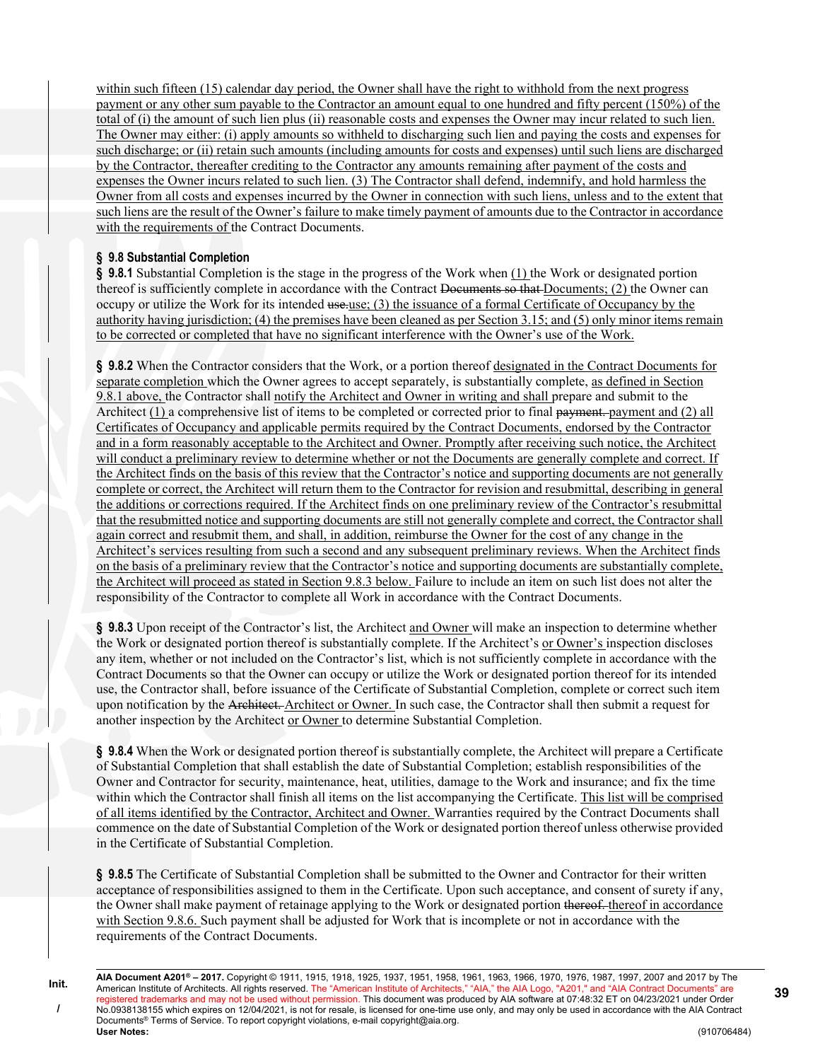within such fifteen (15) calendar day period, the Owner shall have the right to withhold from the next progress payment or any other sum payable to the Contractor an amount equal to one hundred and fifty percent (150%) of the total of (i) the amount of such lien plus (ii) reasonable costs and expenses the Owner may incur related to such lien. The Owner may either: (i) apply amounts so withheld to discharging such lien and paying the costs and expenses for such discharge; or (ii) retain such amounts (including amounts for costs and expenses) until such liens are discharged by the Contractor, thereafter crediting to the Contractor any amounts remaining after payment of the costs and expenses the Owner incurs related to such lien. (3) The Contractor shall defend, indemnify, and hold harmless the Owner from all costs and expenses incurred by the Owner in connection with such liens, unless and to the extent that such liens are the result of the Owner's failure to make timely payment of amounts due to the Contractor in accordance with the requirements of the Contract Documents.

#### **§ 9.8 Substantial Completion**

**§ 9.8.1** Substantial Completion is the stage in the progress of the Work when (1) the Work or designated portion thereof is sufficiently complete in accordance with the Contract Documents so that Documents; (2) the Owner can occupy or utilize the Work for its intended use.use; (3) the issuance of a formal Certificate of Occupancy by the authority having jurisdiction; (4) the premises have been cleaned as per Section 3.15; and (5) only minor items remain to be corrected or completed that have no significant interference with the Owner's use of the Work.

**§ 9.8.2** When the Contractor considers that the Work, or a portion thereof designated in the Contract Documents for separate completion which the Owner agrees to accept separately, is substantially complete, as defined in Section 9.8.1 above, the Contractor shall notify the Architect and Owner in writing and shall prepare and submit to the Architect (1) a comprehensive list of items to be completed or corrected prior to final payment. payment and (2) all Certificates of Occupancy and applicable permits required by the Contract Documents, endorsed by the Contractor and in a form reasonably acceptable to the Architect and Owner. Promptly after receiving such notice, the Architect will conduct a preliminary review to determine whether or not the Documents are generally complete and correct. If the Architect finds on the basis of this review that the Contractor's notice and supporting documents are not generally complete or correct, the Architect will return them to the Contractor for revision and resubmittal, describing in general the additions or corrections required. If the Architect finds on one preliminary review of the Contractor's resubmittal that the resubmitted notice and supporting documents are still not generally complete and correct, the Contractor shall again correct and resubmit them, and shall, in addition, reimburse the Owner for the cost of any change in the Architect's services resulting from such a second and any subsequent preliminary reviews. When the Architect finds on the basis of a preliminary review that the Contractor's notice and supporting documents are substantially complete, the Architect will proceed as stated in Section 9.8.3 below. Failure to include an item on such list does not alter the responsibility of the Contractor to complete all Work in accordance with the Contract Documents.

**§ 9.8.3** Upon receipt of the Contractor's list, the Architect and Owner will make an inspection to determine whether the Work or designated portion thereof is substantially complete. If the Architect's or Owner's inspection discloses any item, whether or not included on the Contractor's list, which is not sufficiently complete in accordance with the Contract Documents so that the Owner can occupy or utilize the Work or designated portion thereof for its intended use, the Contractor shall, before issuance of the Certificate of Substantial Completion, complete or correct such item upon notification by the Architect. Architect or Owner. In such case, the Contractor shall then submit a request for another inspection by the Architect or Owner to determine Substantial Completion.

**§ 9.8.4** When the Work or designated portion thereof is substantially complete, the Architect will prepare a Certificate of Substantial Completion that shall establish the date of Substantial Completion; establish responsibilities of the Owner and Contractor for security, maintenance, heat, utilities, damage to the Work and insurance; and fix the time within which the Contractor shall finish all items on the list accompanying the Certificate. This list will be comprised of all items identified by the Contractor, Architect and Owner. Warranties required by the Contract Documents shall commence on the date of Substantial Completion of the Work or designated portion thereof unless otherwise provided in the Certificate of Substantial Completion.

**§ 9.8.5** The Certificate of Substantial Completion shall be submitted to the Owner and Contractor for their written acceptance of responsibilities assigned to them in the Certificate. Upon such acceptance, and consent of surety if any, the Owner shall make payment of retainage applying to the Work or designated portion thereof. thereof in accordance with Section 9.8.6. Such payment shall be adjusted for Work that is incomplete or not in accordance with the requirements of the Contract Documents.

**Init. /**

**AIA Document A201® – 2017.** Copyright © 1911, 1915, 1918, 1925, 1937, 1951, 1958, 1961, 1963, 1966, 1970, 1976, 1987, 1997, 2007 and 2017 by The American Institute of Architects. All rights reserved. The "American Institute of Architects," "AIA," the AIA Logo, "A201," and "AIA Contract Documents" are registered trademarks and may not be used without permission. This document was produced by AIA software at 07:48:32 ET on 04/23/2021 under Order No.0938138155 which expires on 12/04/2021, is not for resale, is licensed for one-time use only, and may only be used in accordance with the AIA Contract Documents<sup>®</sup> Terms of Service. To report copyright violations, e-mail copyright@aia.org.<br>User Notes: **User Notes:** (910706484)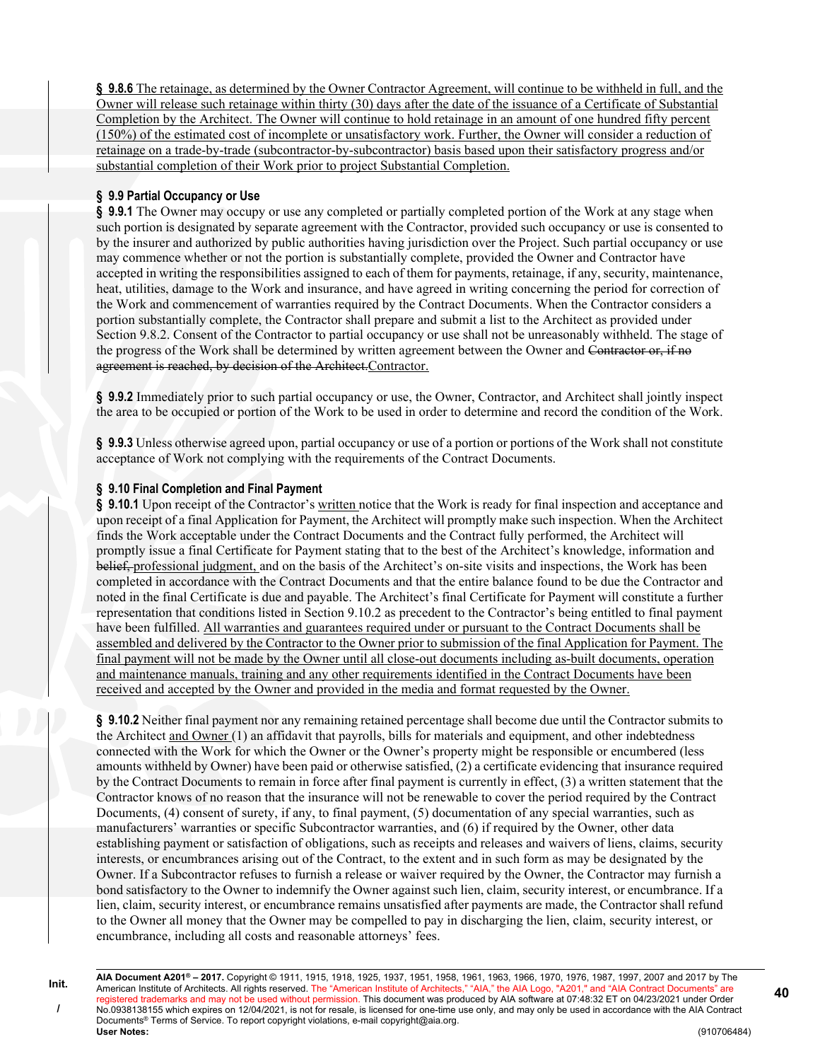**§ 9.8.6** The retainage, as determined by the Owner Contractor Agreement, will continue to be withheld in full, and the Owner will release such retainage within thirty (30) days after the date of the issuance of a Certificate of Substantial Completion by the Architect. The Owner will continue to hold retainage in an amount of one hundred fifty percent (150%) of the estimated cost of incomplete or unsatisfactory work. Further, the Owner will consider a reduction of retainage on a trade-by-trade (subcontractor-by-subcontractor) basis based upon their satisfactory progress and/or substantial completion of their Work prior to project Substantial Completion.

# **§ 9.9 Partial Occupancy or Use**

**§ 9.9.1** The Owner may occupy or use any completed or partially completed portion of the Work at any stage when such portion is designated by separate agreement with the Contractor, provided such occupancy or use is consented to by the insurer and authorized by public authorities having jurisdiction over the Project. Such partial occupancy or use may commence whether or not the portion is substantially complete, provided the Owner and Contractor have accepted in writing the responsibilities assigned to each of them for payments, retainage, if any, security, maintenance, heat, utilities, damage to the Work and insurance, and have agreed in writing concerning the period for correction of the Work and commencement of warranties required by the Contract Documents. When the Contractor considers a portion substantially complete, the Contractor shall prepare and submit a list to the Architect as provided under Section 9.8.2. Consent of the Contractor to partial occupancy or use shall not be unreasonably withheld. The stage of the progress of the Work shall be determined by written agreement between the Owner and Contractor or, if no agreement is reached, by decision of the Architect.Contractor.

**§ 9.9.2** Immediately prior to such partial occupancy or use, the Owner, Contractor, and Architect shall jointly inspect the area to be occupied or portion of the Work to be used in order to determine and record the condition of the Work.

**§ 9.9.3** Unless otherwise agreed upon, partial occupancy or use of a portion or portions of the Work shall not constitute acceptance of Work not complying with the requirements of the Contract Documents.

#### **§ 9.10 Final Completion and Final Payment**

**§ 9.10.1** Upon receipt of the Contractor's written notice that the Work is ready for final inspection and acceptance and upon receipt of a final Application for Payment, the Architect will promptly make such inspection. When the Architect finds the Work acceptable under the Contract Documents and the Contract fully performed, the Architect will promptly issue a final Certificate for Payment stating that to the best of the Architect's knowledge, information and belief, professional judgment, and on the basis of the Architect's on-site visits and inspections, the Work has been completed in accordance with the Contract Documents and that the entire balance found to be due the Contractor and noted in the final Certificate is due and payable. The Architect's final Certificate for Payment will constitute a further representation that conditions listed in Section 9.10.2 as precedent to the Contractor's being entitled to final payment have been fulfilled. All warranties and guarantees required under or pursuant to the Contract Documents shall be assembled and delivered by the Contractor to the Owner prior to submission of the final Application for Payment. The final payment will not be made by the Owner until all close-out documents including as-built documents, operation and maintenance manuals, training and any other requirements identified in the Contract Documents have been received and accepted by the Owner and provided in the media and format requested by the Owner.

**§ 9.10.2** Neither final payment nor any remaining retained percentage shall become due until the Contractor submits to the Architect and Owner (1) an affidavit that payrolls, bills for materials and equipment, and other indebtedness connected with the Work for which the Owner or the Owner's property might be responsible or encumbered (less amounts withheld by Owner) have been paid or otherwise satisfied, (2) a certificate evidencing that insurance required by the Contract Documents to remain in force after final payment is currently in effect, (3) a written statement that the Contractor knows of no reason that the insurance will not be renewable to cover the period required by the Contract Documents, (4) consent of surety, if any, to final payment, (5) documentation of any special warranties, such as manufacturers' warranties or specific Subcontractor warranties, and (6) if required by the Owner, other data establishing payment or satisfaction of obligations, such as receipts and releases and waivers of liens, claims, security interests, or encumbrances arising out of the Contract, to the extent and in such form as may be designated by the Owner. If a Subcontractor refuses to furnish a release or waiver required by the Owner, the Contractor may furnish a bond satisfactory to the Owner to indemnify the Owner against such lien, claim, security interest, or encumbrance. If a lien, claim, security interest, or encumbrance remains unsatisfied after payments are made, the Contractor shall refund to the Owner all money that the Owner may be compelled to pay in discharging the lien, claim, security interest, or encumbrance, including all costs and reasonable attorneys' fees.

**AIA Document A201® – 2017.** Copyright © 1911, 1915, 1918, 1925, 1937, 1951, 1958, 1961, 1963, 1966, 1970, 1976, 1987, 1997, 2007 and 2017 by The American Institute of Architects. All rights reserved. The "American Institute of Architects," "AIA," the AIA Logo, "A201," and "AIA Contract Documents" are registered trademarks and may not be used without permission. This document was produced by AIA software at 07:48:32 ET on 04/23/2021 under Order No.0938138155 which expires on 12/04/2021, is not for resale, is licensed for one-time use only, and may only be used in accordance with the AIA Contract Documents<sup>®</sup> Terms of Service. To report copyright violations, e-mail copyright@aia.org.<br>User Notes: **User Notes:** (910706484)

**Init. /**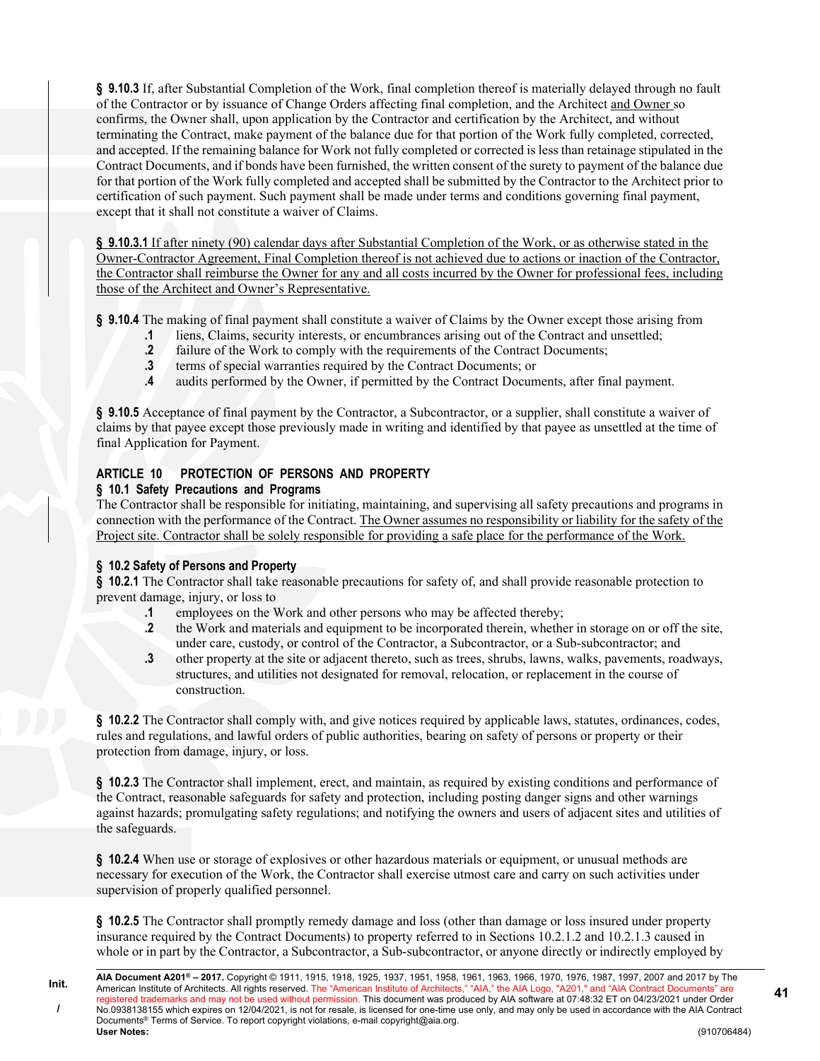**§ 9.10.3** If, after Substantial Completion of the Work, final completion thereof is materially delayed through no fault of the Contractor or by issuance of Change Orders affecting final completion, and the Architect and Owner so confirms, the Owner shall, upon application by the Contractor and certification by the Architect, and without terminating the Contract, make payment of the balance due for that portion of the Work fully completed, corrected, and accepted. If the remaining balance for Work not fully completed or corrected is less than retainage stipulated in the Contract Documents, and if bonds have been furnished, the written consent of the surety to payment of the balance due for that portion of the Work fully completed and accepted shall be submitted by the Contractor to the Architect prior to certification of such payment. Such payment shall be made under terms and conditions governing final payment, except that it shall not constitute a waiver of Claims.

**§ 9.10.3.1** If after ninety (90) calendar days after Substantial Completion of the Work, or as otherwise stated in the Owner-Contractor Agreement, Final Completion thereof is not achieved due to actions or inaction of the Contractor, the Contractor shall reimburse the Owner for any and all costs incurred by the Owner for professional fees, including those of the Architect and Owner's Representative.

**§ 9.10.4** The making of final payment shall constitute a waiver of Claims by the Owner except those arising from

- **.1** liens, Claims, security interests, or encumbrances arising out of the Contract and unsettled;
- **.2** failure of the Work to comply with the requirements of the Contract Documents;
- **.3** terms of special warranties required by the Contract Documents; or
- **.4** audits performed by the Owner, if permitted by the Contract Documents, after final payment.

**§ 9.10.5** Acceptance of final payment by the Contractor, a Subcontractor, or a supplier, shall constitute a waiver of claims by that payee except those previously made in writing and identified by that payee as unsettled at the time of final Application for Payment.

# **ARTICLE 10 PROTECTION OF PERSONS AND PROPERTY**

# **§ 10.1 Safety Precautions and Programs**

The Contractor shall be responsible for initiating, maintaining, and supervising all safety precautions and programs in connection with the performance of the Contract. The Owner assumes no responsibility or liability for the safety of the Project site. Contractor shall be solely responsible for providing a safe place for the performance of the Work.

# **§ 10.2 Safety of Persons and Property**

**Init. /**

**§ 10.2.1** The Contractor shall take reasonable precautions for safety of, and shall provide reasonable protection to prevent damage, injury, or loss to

- **.1** employees on the Work and other persons who may be affected thereby;
- **.2** the Work and materials and equipment to be incorporated therein, whether in storage on or off the site, under care, custody, or control of the Contractor, a Subcontractor, or a Sub-subcontractor; and
- **.3** other property at the site or adjacent thereto, such as trees, shrubs, lawns, walks, pavements, roadways, structures, and utilities not designated for removal, relocation, or replacement in the course of construction.

**§ 10.2.2** The Contractor shall comply with, and give notices required by applicable laws, statutes, ordinances, codes, rules and regulations, and lawful orders of public authorities, bearing on safety of persons or property or their protection from damage, injury, or loss.

**§ 10.2.3** The Contractor shall implement, erect, and maintain, as required by existing conditions and performance of the Contract, reasonable safeguards for safety and protection, including posting danger signs and other warnings against hazards; promulgating safety regulations; and notifying the owners and users of adjacent sites and utilities of the safeguards.

**§ 10.2.4** When use or storage of explosives or other hazardous materials or equipment, or unusual methods are necessary for execution of the Work, the Contractor shall exercise utmost care and carry on such activities under supervision of properly qualified personnel.

**§ 10.2.5** The Contractor shall promptly remedy damage and loss (other than damage or loss insured under property insurance required by the Contract Documents) to property referred to in Sections 10.2.1.2 and 10.2.1.3 caused in whole or in part by the Contractor, a Subcontractor, a Sub-subcontractor, or anyone directly or indirectly employed by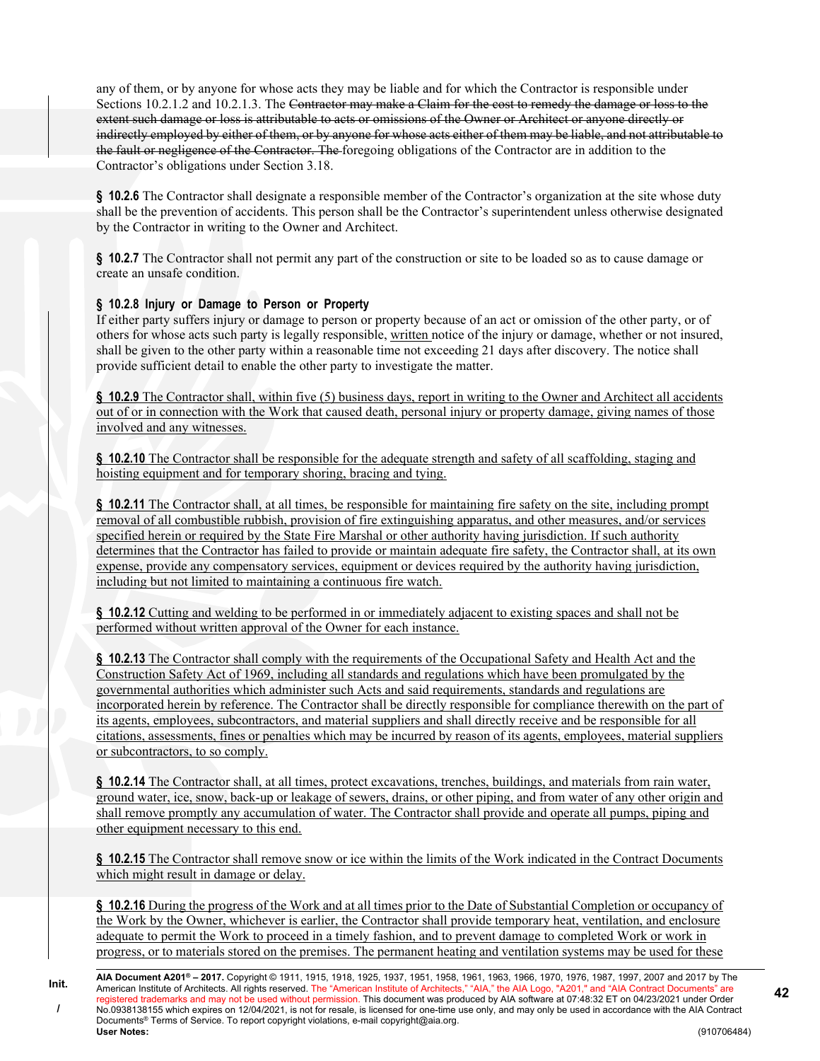any of them, or by anyone for whose acts they may be liable and for which the Contractor is responsible under Sections 10.2.1.2 and 10.2.1.3. The Contractor may make a Claim for the cost to remedy the damage or loss to the extent such damage or loss is attributable to acts or omissions of the Owner or Architect or anyone directly or indirectly employed by either of them, or by anyone for whose acts either of them may be liable, and not attributable to the fault or negligence of the Contractor. The foregoing obligations of the Contractor are in addition to the Contractor's obligations under Section 3.18.

§ 10.2.6 The Contractor shall designate a responsible member of the Contractor's organization at the site whose duty shall be the prevention of accidents. This person shall be the Contractor's superintendent unless otherwise designated by the Contractor in writing to the Owner and Architect.

**§ 10.2.7** The Contractor shall not permit any part of the construction or site to be loaded so as to cause damage or create an unsafe condition.

# **§ 10.2.8 Injury or Damage to Person or Property**

**Init. /**

If either party suffers injury or damage to person or property because of an act or omission of the other party, or of others for whose acts such party is legally responsible, written notice of the injury or damage, whether or not insured, shall be given to the other party within a reasonable time not exceeding 21 days after discovery. The notice shall provide sufficient detail to enable the other party to investigate the matter.

**§ 10.2.9** The Contractor shall, within five (5) business days, report in writing to the Owner and Architect all accidents out of or in connection with the Work that caused death, personal injury or property damage, giving names of those involved and any witnesses.

**§ 10.2.10** The Contractor shall be responsible for the adequate strength and safety of all scaffolding, staging and hoisting equipment and for temporary shoring, bracing and tying.

**§ 10.2.11** The Contractor shall, at all times, be responsible for maintaining fire safety on the site, including prompt removal of all combustible rubbish, provision of fire extinguishing apparatus, and other measures, and/or services specified herein or required by the State Fire Marshal or other authority having jurisdiction. If such authority determines that the Contractor has failed to provide or maintain adequate fire safety, the Contractor shall, at its own expense, provide any compensatory services, equipment or devices required by the authority having jurisdiction, including but not limited to maintaining a continuous fire watch.

**§ 10.2.12** Cutting and welding to be performed in or immediately adjacent to existing spaces and shall not be performed without written approval of the Owner for each instance.

§ 10.2.13 The Contractor shall comply with the requirements of the Occupational Safety and Health Act and the Construction Safety Act of 1969, including all standards and regulations which have been promulgated by the governmental authorities which administer such Acts and said requirements, standards and regulations are incorporated herein by reference. The Contractor shall be directly responsible for compliance therewith on the part of its agents, employees, subcontractors, and material suppliers and shall directly receive and be responsible for all citations, assessments, fines or penalties which may be incurred by reason of its agents, employees, material suppliers or subcontractors, to so comply.

**§ 10.2.14** The Contractor shall, at all times, protect excavations, trenches, buildings, and materials from rain water, ground water, ice, snow, back-up or leakage of sewers, drains, or other piping, and from water of any other origin and shall remove promptly any accumulation of water. The Contractor shall provide and operate all pumps, piping and other equipment necessary to this end.

**§ 10.2.15** The Contractor shall remove snow or ice within the limits of the Work indicated in the Contract Documents which might result in damage or delay.

**§ 10.2.16** During the progress of the Work and at all times prior to the Date of Substantial Completion or occupancy of the Work by the Owner, whichever is earlier, the Contractor shall provide temporary heat, ventilation, and enclosure adequate to permit the Work to proceed in a timely fashion, and to prevent damage to completed Work or work in progress, or to materials stored on the premises. The permanent heating and ventilation systems may be used for these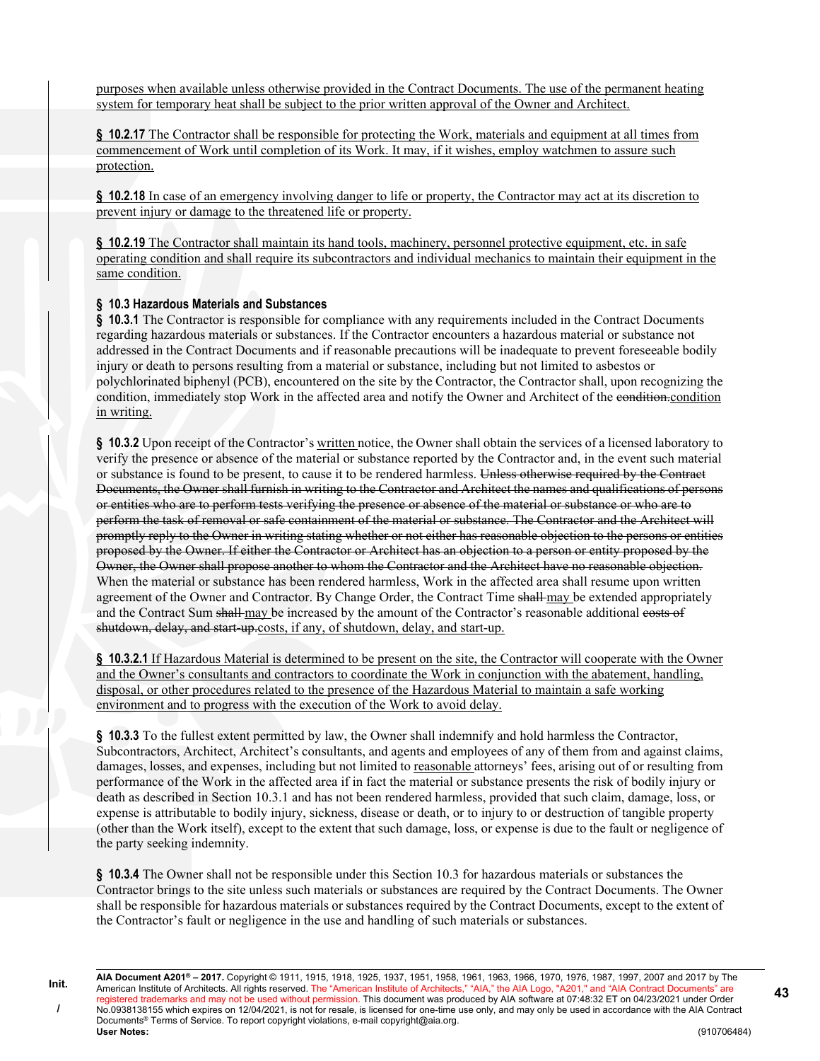purposes when available unless otherwise provided in the Contract Documents. The use of the permanent heating system for temporary heat shall be subject to the prior written approval of the Owner and Architect.

**§ 10.2.17** The Contractor shall be responsible for protecting the Work, materials and equipment at all times from commencement of Work until completion of its Work. It may, if it wishes, employ watchmen to assure such protection.

**§ 10.2.18** In case of an emergency involving danger to life or property, the Contractor may act at its discretion to prevent injury or damage to the threatened life or property.

**§ 10.2.19** The Contractor shall maintain its hand tools, machinery, personnel protective equipment, etc. in safe operating condition and shall require its subcontractors and individual mechanics to maintain their equipment in the same condition.

# **§ 10.3 Hazardous Materials and Substances**

**§ 10.3.1** The Contractor is responsible for compliance with any requirements included in the Contract Documents regarding hazardous materials or substances. If the Contractor encounters a hazardous material or substance not addressed in the Contract Documents and if reasonable precautions will be inadequate to prevent foreseeable bodily injury or death to persons resulting from a material or substance, including but not limited to asbestos or polychlorinated biphenyl (PCB), encountered on the site by the Contractor, the Contractor shall, upon recognizing the condition, immediately stop Work in the affected area and notify the Owner and Architect of the condition.condition in writing.

**§ 10.3.2** Upon receipt of the Contractor's written notice, the Owner shall obtain the services of a licensed laboratory to verify the presence or absence of the material or substance reported by the Contractor and, in the event such material or substance is found to be present, to cause it to be rendered harmless. Unless otherwise required by the Contract Documents, the Owner shall furnish in writing to the Contractor and Architect the names and qualifications of persons or entities who are to perform tests verifying the presence or absence of the material or substance or who are to perform the task of removal or safe containment of the material or substance. The Contractor and the Architect will promptly reply to the Owner in writing stating whether or not either has reasonable objection to the persons or entities proposed by the Owner. If either the Contractor or Architect has an objection to a person or entity proposed by the Owner, the Owner shall propose another to whom the Contractor and the Architect have no reasonable objection. When the material or substance has been rendered harmless, Work in the affected area shall resume upon written agreement of the Owner and Contractor. By Change Order, the Contract Time shall may be extended appropriately and the Contract Sum shall-may be increased by the amount of the Contractor's reasonable additional costs of shutdown, delay, and start-up.costs, if any, of shutdown, delay, and start-up.

**§ 10.3.2.1** If Hazardous Material is determined to be present on the site, the Contractor will cooperate with the Owner and the Owner's consultants and contractors to coordinate the Work in conjunction with the abatement, handling, disposal, or other procedures related to the presence of the Hazardous Material to maintain a safe working environment and to progress with the execution of the Work to avoid delay.

**§ 10.3.3** To the fullest extent permitted by law, the Owner shall indemnify and hold harmless the Contractor, Subcontractors, Architect, Architect's consultants, and agents and employees of any of them from and against claims, damages, losses, and expenses, including but not limited to reasonable attorneys' fees, arising out of or resulting from performance of the Work in the affected area if in fact the material or substance presents the risk of bodily injury or death as described in Section 10.3.1 and has not been rendered harmless, provided that such claim, damage, loss, or expense is attributable to bodily injury, sickness, disease or death, or to injury to or destruction of tangible property (other than the Work itself), except to the extent that such damage, loss, or expense is due to the fault or negligence of the party seeking indemnity.

**§ 10.3.4** The Owner shall not be responsible under this Section 10.3 for hazardous materials or substances the Contractor brings to the site unless such materials or substances are required by the Contract Documents. The Owner shall be responsible for hazardous materials or substances required by the Contract Documents, except to the extent of the Contractor's fault or negligence in the use and handling of such materials or substances.

**Init. /**

**AIA Document A201® – 2017.** Copyright © 1911, 1915, 1918, 1925, 1937, 1951, 1958, 1961, 1963, 1966, 1970, 1976, 1987, 1997, 2007 and 2017 by The American Institute of Architects. All rights reserved. The "American Institute of Architects," "AIA," the AIA Logo, "A201," and "AIA Contract Documents" are registered trademarks and may not be used without permission. This document was produced by AIA software at 07:48:32 ET on 04/23/2021 under Order No.0938138155 which expires on 12/04/2021, is not for resale, is licensed for one-time use only, and may only be used in accordance with the AIA Contract Documents<sup>®</sup> Terms of Service. To report copyright violations, e-mail copyright@aia.org.<br>User Notes: **User Notes:** (910706484)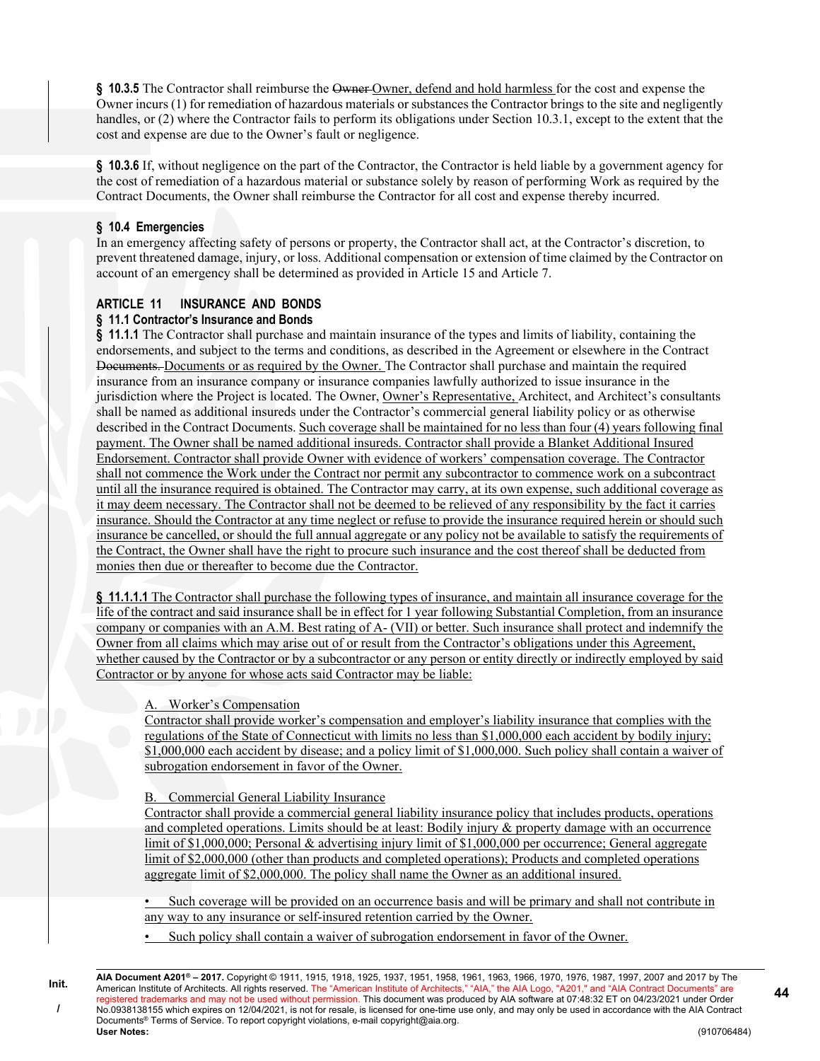§ 10.3.5 The Contractor shall reimburse the Owner Owner, defend and hold harmless for the cost and expense the Owner incurs (1) for remediation of hazardous materials or substances the Contractor brings to the site and negligently handles, or (2) where the Contractor fails to perform its obligations under Section 10.3.1, except to the extent that the cost and expense are due to the Owner's fault or negligence.

**§ 10.3.6** If, without negligence on the part of the Contractor, the Contractor is held liable by a government agency for the cost of remediation of a hazardous material or substance solely by reason of performing Work as required by the Contract Documents, the Owner shall reimburse the Contractor for all cost and expense thereby incurred.

# **§ 10.4 Emergencies**

In an emergency affecting safety of persons or property, the Contractor shall act, at the Contractor's discretion, to prevent threatened damage, injury, or loss. Additional compensation or extension of time claimed by the Contractor on account of an emergency shall be determined as provided in Article 15 and Article 7.

# **ARTICLE 11 INSURANCE AND BONDS**

#### **§ 11.1 Contractor's Insurance and Bonds**

**§ 11.1.1** The Contractor shall purchase and maintain insurance of the types and limits of liability, containing the endorsements, and subject to the terms and conditions, as described in the Agreement or elsewhere in the Contract Documents. Documents or as required by the Owner. The Contractor shall purchase and maintain the required insurance from an insurance company or insurance companies lawfully authorized to issue insurance in the jurisdiction where the Project is located. The Owner, Owner's Representative, Architect, and Architect's consultants shall be named as additional insureds under the Contractor's commercial general liability policy or as otherwise described in the Contract Documents. Such coverage shall be maintained for no less than four (4) years following final payment. The Owner shall be named additional insureds. Contractor shall provide a Blanket Additional Insured Endorsement. Contractor shall provide Owner with evidence of workers' compensation coverage. The Contractor shall not commence the Work under the Contract nor permit any subcontractor to commence work on a subcontract until all the insurance required is obtained. The Contractor may carry, at its own expense, such additional coverage as it may deem necessary. The Contractor shall not be deemed to be relieved of any responsibility by the fact it carries insurance. Should the Contractor at any time neglect or refuse to provide the insurance required herein or should such insurance be cancelled, or should the full annual aggregate or any policy not be available to satisfy the requirements of the Contract, the Owner shall have the right to procure such insurance and the cost thereof shall be deducted from monies then due or thereafter to become due the Contractor.

**§ 11.1.1.1** The Contractor shall purchase the following types of insurance, and maintain all insurance coverage for the life of the contract and said insurance shall be in effect for 1 year following Substantial Completion, from an insurance company or companies with an A.M. Best rating of A- (VII) or better. Such insurance shall protect and indemnify the Owner from all claims which may arise out of or result from the Contractor's obligations under this Agreement, whether caused by the Contractor or by a subcontractor or any person or entity directly or indirectly employed by said Contractor or by anyone for whose acts said Contractor may be liable:

#### Worker's Compensation

Contractor shall provide worker's compensation and employer's liability insurance that complies with the regulations of the State of Connecticut with limits no less than \$1,000,000 each accident by bodily injury; \$1,000,000 each accident by disease; and a policy limit of \$1,000,000. Such policy shall contain a waiver of subrogation endorsement in favor of the Owner.

#### B. Commercial General Liability Insurance

Contractor shall provide a commercial general liability insurance policy that includes products, operations and completed operations. Limits should be at least: Bodily injury & property damage with an occurrence limit of \$1,000,000; Personal & advertising injury limit of \$1,000,000 per occurrence; General aggregate limit of \$2,000,000 (other than products and completed operations); Products and completed operations aggregate limit of \$2,000,000. The policy shall name the Owner as an additional insured.

• Such coverage will be provided on an occurrence basis and will be primary and shall not contribute in any way to any insurance or self-insured retention carried by the Owner.

- Such policy shall contain a waiver of subrogation endorsement in favor of the Owner.
- **AIA Document A201® 2017.** Copyright © 1911, 1915, 1918, 1925, 1937, 1951, 1958, 1961, 1963, 1966, 1970, 1976, 1987, 1997, 2007 and 2017 by The American Institute of Architects. All rights reserved. The "American Institute of Architects," "AIA," the AIA Logo, "A201," and "AIA Contract Documents" are registered trademarks and may not be used without permission. This document was produced by AIA software at 07:48:32 ET on 04/23/2021 under Order No.0938138155 which expires on 12/04/2021, is not for resale, is licensed for one-time use only, and may only be used in accordance with the AIA Contract Documents<sup>®</sup> Terms of Service. To report copyright violations, e-mail copyright@aia.org.<br>User Notes: **User Notes:** (910706484)

**44**

**Init. /**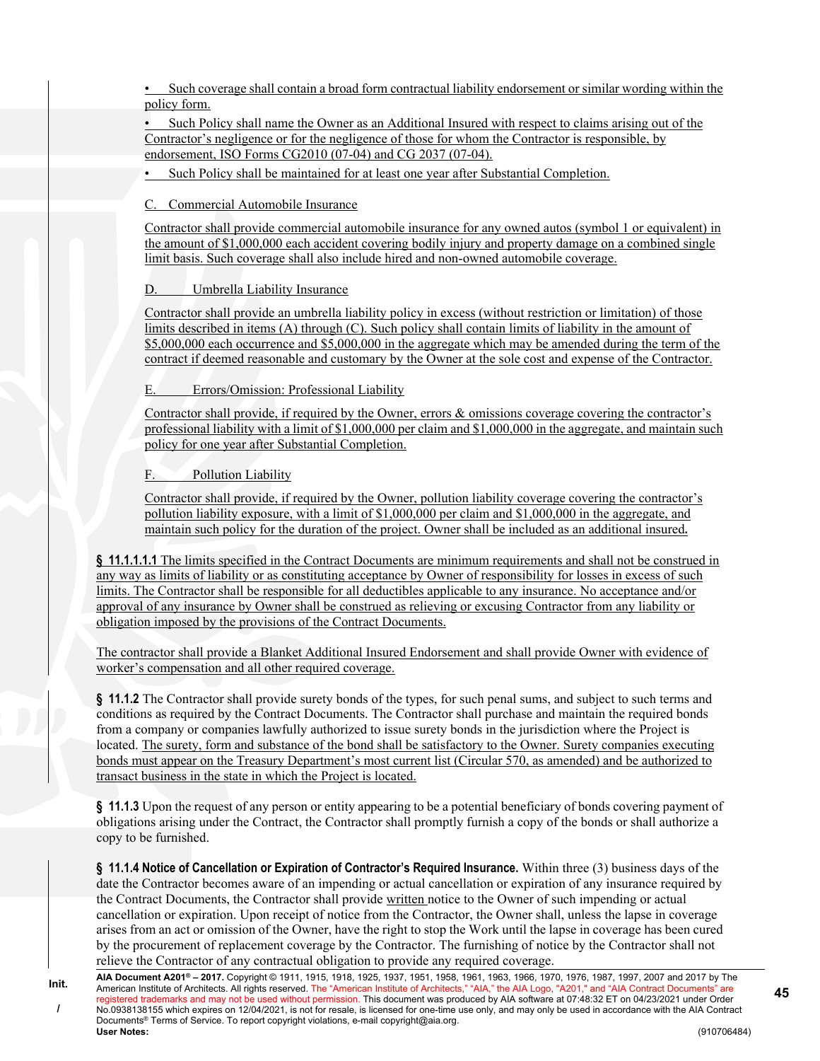• Such coverage shall contain a broad form contractual liability endorsement or similar wording within the policy form.

• Such Policy shall name the Owner as an Additional Insured with respect to claims arising out of the Contractor's negligence or for the negligence of those for whom the Contractor is responsible, by endorsement, ISO Forms CG2010 (07-04) and CG 2037 (07-04).

• Such Policy shall be maintained for at least one year after Substantial Completion.

# C. Commercial Automobile Insurance

Contractor shall provide commercial automobile insurance for any owned autos (symbol 1 or equivalent) in the amount of \$1,000,000 each accident covering bodily injury and property damage on a combined single limit basis. Such coverage shall also include hired and non-owned automobile coverage.

# D. Umbrella Liability Insurance

Contractor shall provide an umbrella liability policy in excess (without restriction or limitation) of those limits described in items (A) through (C). Such policy shall contain limits of liability in the amount of \$5,000,000 each occurrence and \$5,000,000 in the aggregate which may be amended during the term of the contract if deemed reasonable and customary by the Owner at the sole cost and expense of the Contractor.

E. Errors/Omission: Professional Liability

Contractor shall provide, if required by the Owner, errors & omissions coverage covering the contractor's professional liability with a limit of \$1,000,000 per claim and \$1,000,000 in the aggregate, and maintain such policy for one year after Substantial Completion.

F. Pollution Liability

Contractor shall provide, if required by the Owner, pollution liability coverage covering the contractor's pollution liability exposure, with a limit of \$1,000,000 per claim and \$1,000,000 in the aggregate, and maintain such policy for the duration of the project. Owner shall be included as an additional insured**.**

**§ 11.1.1.1.1** The limits specified in the Contract Documents are minimum requirements and shall not be construed in any way as limits of liability or as constituting acceptance by Owner of responsibility for losses in excess of such limits. The Contractor shall be responsible for all deductibles applicable to any insurance. No acceptance and/or approval of any insurance by Owner shall be construed as relieving or excusing Contractor from any liability or obligation imposed by the provisions of the Contract Documents.

The contractor shall provide a Blanket Additional Insured Endorsement and shall provide Owner with evidence of worker's compensation and all other required coverage.

**§ 11.1.2** The Contractor shall provide surety bonds of the types, for such penal sums, and subject to such terms and conditions as required by the Contract Documents. The Contractor shall purchase and maintain the required bonds from a company or companies lawfully authorized to issue surety bonds in the jurisdiction where the Project is located. The surety, form and substance of the bond shall be satisfactory to the Owner. Surety companies executing bonds must appear on the Treasury Department's most current list (Circular 570, as amended) and be authorized to transact business in the state in which the Project is located.

**§ 11.1.3** Upon the request of any person or entity appearing to be a potential beneficiary of bonds covering payment of obligations arising under the Contract, the Contractor shall promptly furnish a copy of the bonds or shall authorize a copy to be furnished.

**§ 11.1.4 Notice of Cancellation or Expiration of Contractor's Required Insurance.** Within three (3) business days of the date the Contractor becomes aware of an impending or actual cancellation or expiration of any insurance required by the Contract Documents, the Contractor shall provide written notice to the Owner of such impending or actual cancellation or expiration. Upon receipt of notice from the Contractor, the Owner shall, unless the lapse in coverage arises from an act or omission of the Owner, have the right to stop the Work until the lapse in coverage has been cured by the procurement of replacement coverage by the Contractor. The furnishing of notice by the Contractor shall not relieve the Contractor of any contractual obligation to provide any required coverage.

**AIA Document A201® – 2017.** Copyright © 1911, 1915, 1918, 1925, 1937, 1951, 1958, 1961, 1963, 1966, 1970, 1976, 1987, 1997, 2007 and 2017 by The American Institute of Architects. All rights reserved. The "American Institute of Architects," "AIA," the AIA Logo, "A201," and "AIA Contract Documents" are registered trademarks and may not be used without permission. This document was produced by AIA software at 07:48:32 ET on 04/23/2021 under Order No.0938138155 which expires on 12/04/2021, is not for resale, is licensed for one-time use only, and may only be used in accordance with the AIA Contract Documents<sup>®</sup> Terms of Service. To report copyright violations, e-mail copyright@aia.org.<br>User Notes: **User Notes:** (910706484)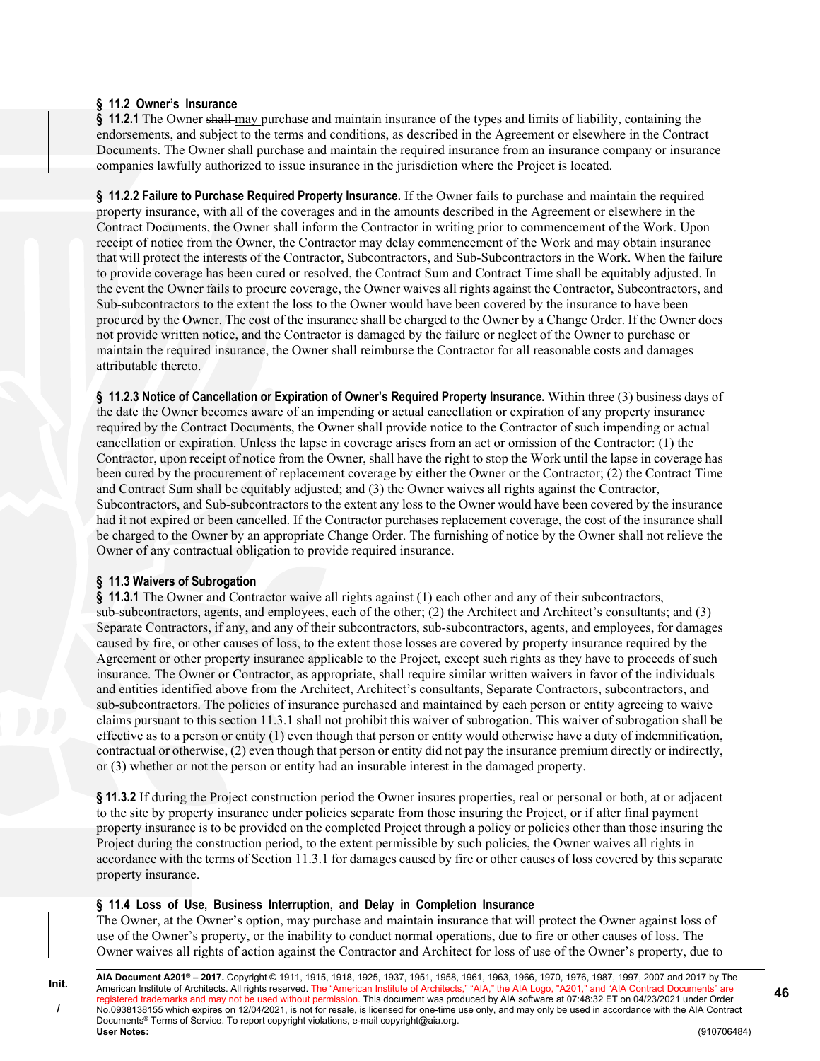#### **§ 11.2 Owner's Insurance**

**§ 11.2.1** The Owner shall may purchase and maintain insurance of the types and limits of liability, containing the endorsements, and subject to the terms and conditions, as described in the Agreement or elsewhere in the Contract Documents. The Owner shall purchase and maintain the required insurance from an insurance company or insurance companies lawfully authorized to issue insurance in the jurisdiction where the Project is located.

**§ 11.2.2 Failure to Purchase Required Property Insurance.** If the Owner fails to purchase and maintain the required property insurance, with all of the coverages and in the amounts described in the Agreement or elsewhere in the Contract Documents, the Owner shall inform the Contractor in writing prior to commencement of the Work. Upon receipt of notice from the Owner, the Contractor may delay commencement of the Work and may obtain insurance that will protect the interests of the Contractor, Subcontractors, and Sub-Subcontractors in the Work. When the failure to provide coverage has been cured or resolved, the Contract Sum and Contract Time shall be equitably adjusted. In the event the Owner fails to procure coverage, the Owner waives all rights against the Contractor, Subcontractors, and Sub-subcontractors to the extent the loss to the Owner would have been covered by the insurance to have been procured by the Owner. The cost of the insurance shall be charged to the Owner by a Change Order. If the Owner does not provide written notice, and the Contractor is damaged by the failure or neglect of the Owner to purchase or maintain the required insurance, the Owner shall reimburse the Contractor for all reasonable costs and damages attributable thereto.

**§ 11.2.3 Notice of Cancellation or Expiration of Owner's Required Property Insurance.** Within three (3) business days of the date the Owner becomes aware of an impending or actual cancellation or expiration of any property insurance required by the Contract Documents, the Owner shall provide notice to the Contractor of such impending or actual cancellation or expiration. Unless the lapse in coverage arises from an act or omission of the Contractor: (1) the Contractor, upon receipt of notice from the Owner, shall have the right to stop the Work until the lapse in coverage has been cured by the procurement of replacement coverage by either the Owner or the Contractor; (2) the Contract Time and Contract Sum shall be equitably adjusted; and (3) the Owner waives all rights against the Contractor, Subcontractors, and Sub-subcontractors to the extent any loss to the Owner would have been covered by the insurance had it not expired or been cancelled. If the Contractor purchases replacement coverage, the cost of the insurance shall be charged to the Owner by an appropriate Change Order. The furnishing of notice by the Owner shall not relieve the Owner of any contractual obligation to provide required insurance.

#### **§ 11.3 Waivers of Subrogation**

**§ 11.3.1** The Owner and Contractor waive all rights against (1) each other and any of their subcontractors, sub-subcontractors, agents, and employees, each of the other; (2) the Architect and Architect's consultants; and (3) Separate Contractors, if any, and any of their subcontractors, sub-subcontractors, agents, and employees, for damages caused by fire, or other causes of loss, to the extent those losses are covered by property insurance required by the Agreement or other property insurance applicable to the Project, except such rights as they have to proceeds of such insurance. The Owner or Contractor, as appropriate, shall require similar written waivers in favor of the individuals and entities identified above from the Architect, Architect's consultants, Separate Contractors, subcontractors, and sub-subcontractors. The policies of insurance purchased and maintained by each person or entity agreeing to waive claims pursuant to this section 11.3.1 shall not prohibit this waiver of subrogation. This waiver of subrogation shall be effective as to a person or entity (1) even though that person or entity would otherwise have a duty of indemnification, contractual or otherwise, (2) even though that person or entity did not pay the insurance premium directly or indirectly, or (3) whether or not the person or entity had an insurable interest in the damaged property.

**§ 11.3.2** If during the Project construction period the Owner insures properties, real or personal or both, at or adjacent to the site by property insurance under policies separate from those insuring the Project, or if after final payment property insurance is to be provided on the completed Project through a policy or policies other than those insuring the Project during the construction period, to the extent permissible by such policies, the Owner waives all rights in accordance with the terms of Section 11.3.1 for damages caused by fire or other causes of loss covered by this separate property insurance.

#### **§ 11.4 Loss of Use, Business Interruption, and Delay in Completion Insurance**

The Owner, at the Owner's option, may purchase and maintain insurance that will protect the Owner against loss of use of the Owner's property, or the inability to conduct normal operations, due to fire or other causes of loss. The Owner waives all rights of action against the Contractor and Architect for loss of use of the Owner's property, due to

**46**

**Init. /**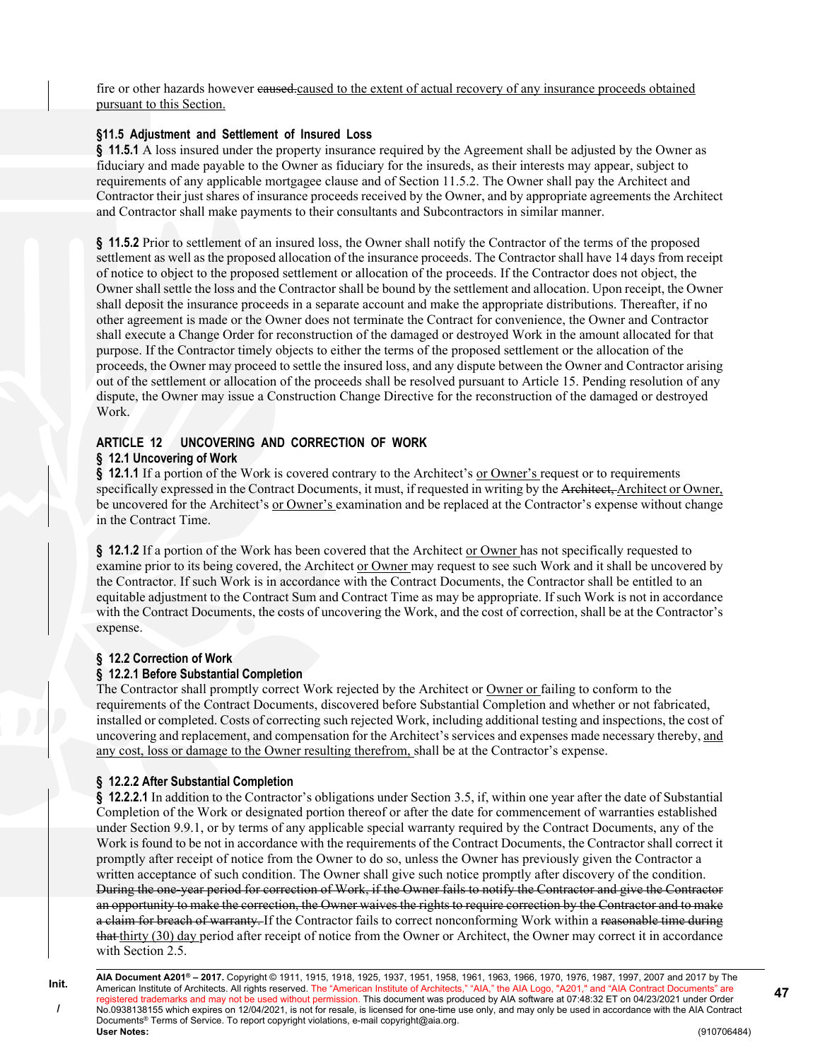fire or other hazards however eaused.caused to the extent of actual recovery of any insurance proceeds obtained pursuant to this Section.

#### **§11.5 Adjustment and Settlement of Insured Loss**

**§ 11.5.1** A loss insured under the property insurance required by the Agreement shall be adjusted by the Owner as fiduciary and made payable to the Owner as fiduciary for the insureds, as their interests may appear, subject to requirements of any applicable mortgagee clause and of Section 11.5.2. The Owner shall pay the Architect and Contractor their just shares of insurance proceeds received by the Owner, and by appropriate agreements the Architect and Contractor shall make payments to their consultants and Subcontractors in similar manner.

**§ 11.5.2** Prior to settlement of an insured loss, the Owner shall notify the Contractor of the terms of the proposed settlement as well as the proposed allocation of the insurance proceeds. The Contractor shall have 14 days from receipt of notice to object to the proposed settlement or allocation of the proceeds. If the Contractor does not object, the Owner shall settle the loss and the Contractor shall be bound by the settlement and allocation. Upon receipt, the Owner shall deposit the insurance proceeds in a separate account and make the appropriate distributions. Thereafter, if no other agreement is made or the Owner does not terminate the Contract for convenience, the Owner and Contractor shall execute a Change Order for reconstruction of the damaged or destroyed Work in the amount allocated for that purpose. If the Contractor timely objects to either the terms of the proposed settlement or the allocation of the proceeds, the Owner may proceed to settle the insured loss, and any dispute between the Owner and Contractor arising out of the settlement or allocation of the proceeds shall be resolved pursuant to Article 15. Pending resolution of any dispute, the Owner may issue a Construction Change Directive for the reconstruction of the damaged or destroyed Work.

# **ARTICLE 12 UNCOVERING AND CORRECTION OF WORK**

# **§ 12.1 Uncovering of Work**

**§ 12.1.1** If a portion of the Work is covered contrary to the Architect's or Owner's request or to requirements specifically expressed in the Contract Documents, it must, if requested in writing by the Architect, Architect or Owner, be uncovered for the Architect's or Owner's examination and be replaced at the Contractor's expense without change in the Contract Time.

**§ 12.1.2** If a portion of the Work has been covered that the Architect or Owner has not specifically requested to examine prior to its being covered, the Architect or Owner may request to see such Work and it shall be uncovered by the Contractor. If such Work is in accordance with the Contract Documents, the Contractor shall be entitled to an equitable adjustment to the Contract Sum and Contract Time as may be appropriate. If such Work is not in accordance with the Contract Documents, the costs of uncovering the Work, and the cost of correction, shall be at the Contractor's expense.

## **§ 12.2 Correction of Work**

#### **§ 12.2.1 Before Substantial Completion**

The Contractor shall promptly correct Work rejected by the Architect or Owner or failing to conform to the requirements of the Contract Documents, discovered before Substantial Completion and whether or not fabricated, installed or completed. Costs of correcting such rejected Work, including additional testing and inspections, the cost of uncovering and replacement, and compensation for the Architect's services and expenses made necessary thereby, and any cost, loss or damage to the Owner resulting therefrom, shall be at the Contractor's expense.

#### **§ 12.2.2 After Substantial Completion**

**§ 12.2.2.1** In addition to the Contractor's obligations under Section 3.5, if, within one year after the date of Substantial Completion of the Work or designated portion thereof or after the date for commencement of warranties established under Section 9.9.1, or by terms of any applicable special warranty required by the Contract Documents, any of the Work is found to be not in accordance with the requirements of the Contract Documents, the Contractor shall correct it promptly after receipt of notice from the Owner to do so, unless the Owner has previously given the Contractor a written acceptance of such condition. The Owner shall give such notice promptly after discovery of the condition. During the one-year period for correction of Work, if the Owner fails to notify the Contractor and give the Contractor an opportunity to make the correction, the Owner waives the rights to require correction by the Contractor and to make a claim for breach of warranty. If the Contractor fails to correct nonconforming Work within a reasonable time during that thirty (30) day period after receipt of notice from the Owner or Architect, the Owner may correct it in accordance with Section 2.5.

**AIA Document A201® – 2017.** Copyright © 1911, 1915, 1918, 1925, 1937, 1951, 1958, 1961, 1963, 1966, 1970, 1976, 1987, 1997, 2007 and 2017 by The American Institute of Architects. All rights reserved. The "American Institute of Architects," "AIA," the AIA Logo, "A201," and "AIA Contract Documents" are registered trademarks and may not be used without permission. This document was produced by AIA software at 07:48:32 ET on 04/23/2021 under Order No.0938138155 which expires on 12/04/2021, is not for resale, is licensed for one-time use only, and may only be used in accordance with the AIA Contract Documents<sup>®</sup> Terms of Service. To report copyright violations, e-mail copyright@aia.org.<br>User Notes: **User Notes:** (910706484)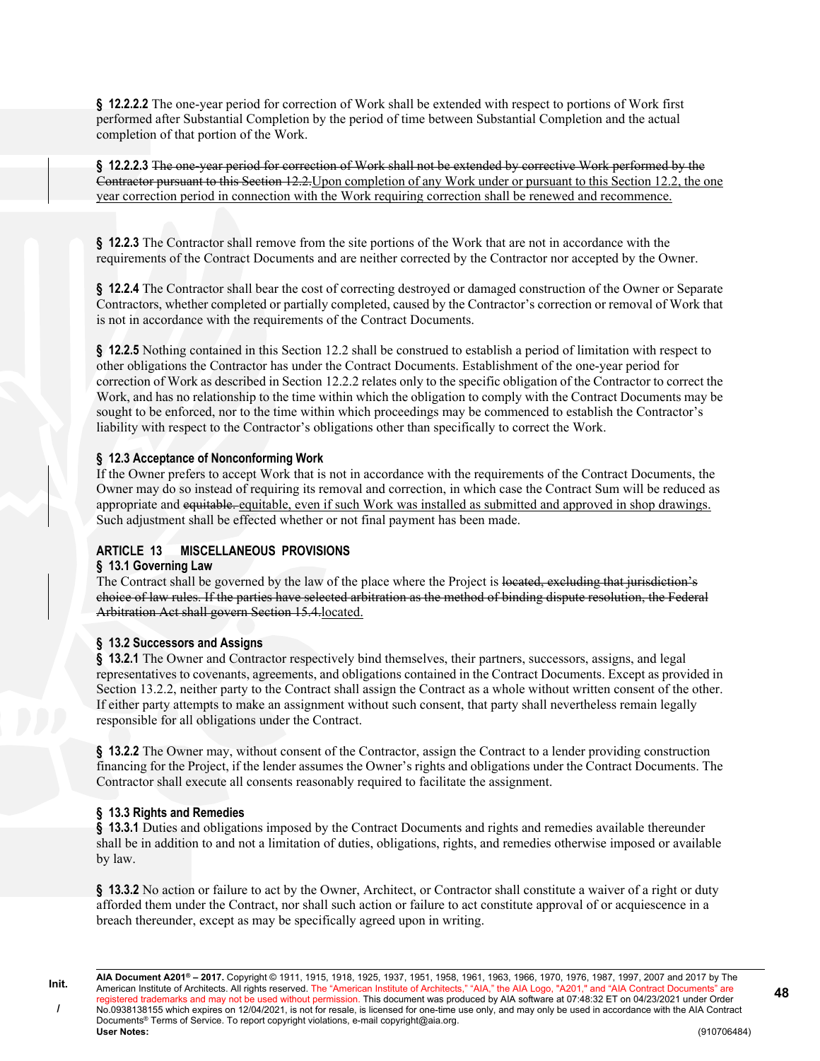**§ 12.2.2.2** The one-year period for correction of Work shall be extended with respect to portions of Work first performed after Substantial Completion by the period of time between Substantial Completion and the actual completion of that portion of the Work.

**§ 12.2.2.3** The one-year period for correction of Work shall not be extended by corrective Work performed by the Contractor pursuant to this Section 12.2.Upon completion of any Work under or pursuant to this Section 12.2, the one year correction period in connection with the Work requiring correction shall be renewed and recommence.

**§ 12.2.3** The Contractor shall remove from the site portions of the Work that are not in accordance with the requirements of the Contract Documents and are neither corrected by the Contractor nor accepted by the Owner.

**§ 12.2.4** The Contractor shall bear the cost of correcting destroyed or damaged construction of the Owner or Separate Contractors, whether completed or partially completed, caused by the Contractor's correction or removal of Work that is not in accordance with the requirements of the Contract Documents.

**§ 12.2.5** Nothing contained in this Section 12.2 shall be construed to establish a period of limitation with respect to other obligations the Contractor has under the Contract Documents. Establishment of the one-year period for correction of Work as described in Section 12.2.2 relates only to the specific obligation of the Contractor to correct the Work, and has no relationship to the time within which the obligation to comply with the Contract Documents may be sought to be enforced, nor to the time within which proceedings may be commenced to establish the Contractor's liability with respect to the Contractor's obligations other than specifically to correct the Work.

# **§ 12.3 Acceptance of Nonconforming Work**

If the Owner prefers to accept Work that is not in accordance with the requirements of the Contract Documents, the Owner may do so instead of requiring its removal and correction, in which case the Contract Sum will be reduced as appropriate and equitable. equitable, even if such Work was installed as submitted and approved in shop drawings. Such adjustment shall be effected whether or not final payment has been made.

#### **ARTICLE 13 MISCELLANEOUS PROVISIONS**

#### **§ 13.1 Governing Law**

The Contract shall be governed by the law of the place where the Project is located, excluding that jurisdiction's choice of law rules. If the parties have selected arbitration as the method of binding dispute resolution, the Federal Arbitration Act shall govern Section 15.4.located.

#### **§ 13.2 Successors and Assigns**

**§ 13.2.1** The Owner and Contractor respectively bind themselves, their partners, successors, assigns, and legal representatives to covenants, agreements, and obligations contained in the Contract Documents. Except as provided in Section 13.2.2, neither party to the Contract shall assign the Contract as a whole without written consent of the other. If either party attempts to make an assignment without such consent, that party shall nevertheless remain legally responsible for all obligations under the Contract.

**§ 13.2.2** The Owner may, without consent of the Contractor, assign the Contract to a lender providing construction financing for the Project, if the lender assumes the Owner's rights and obligations under the Contract Documents. The Contractor shall execute all consents reasonably required to facilitate the assignment.

#### **§ 13.3 Rights and Remedies**

§ 13.3.1 Duties and obligations imposed by the Contract Documents and rights and remedies available thereunder shall be in addition to and not a limitation of duties, obligations, rights, and remedies otherwise imposed or available by law.

**§ 13.3.2** No action or failure to act by the Owner, Architect, or Contractor shall constitute a waiver of a right or duty afforded them under the Contract, nor shall such action or failure to act constitute approval of or acquiescence in a breach thereunder, except as may be specifically agreed upon in writing.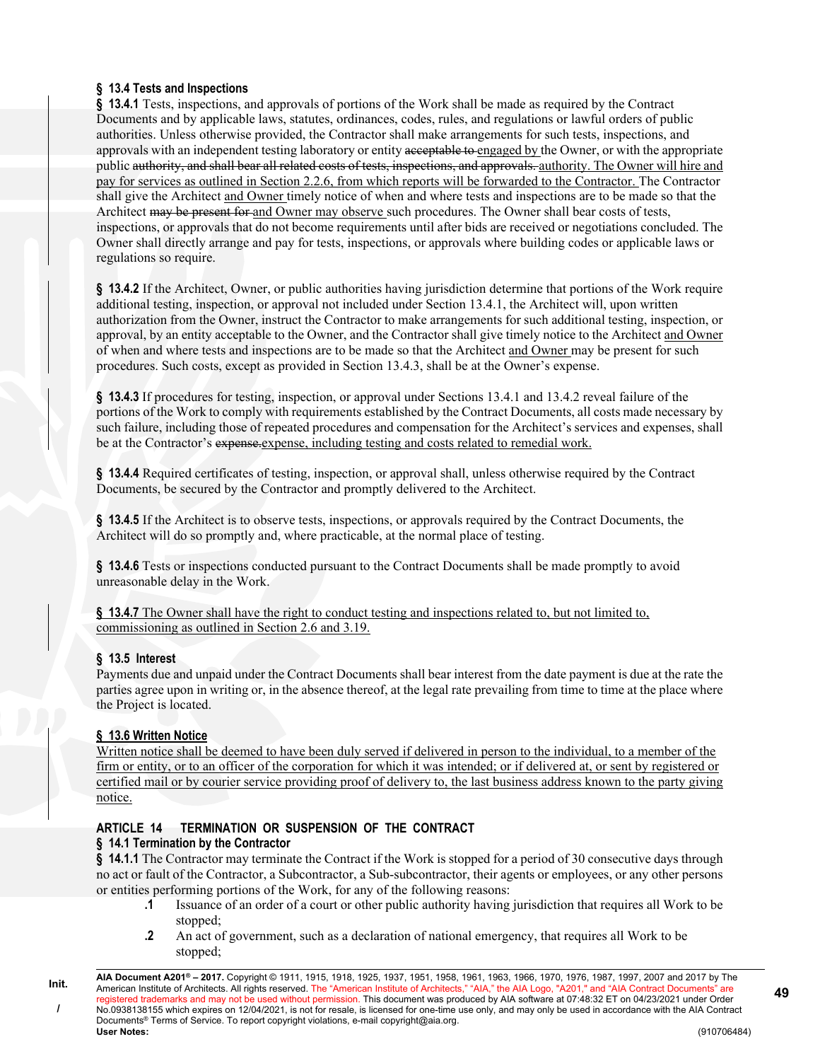# **§ 13.4 Tests and Inspections**

**§ 13.4.1** Tests, inspections, and approvals of portions of the Work shall be made as required by the Contract Documents and by applicable laws, statutes, ordinances, codes, rules, and regulations or lawful orders of public authorities. Unless otherwise provided, the Contractor shall make arrangements for such tests, inspections, and approvals with an independent testing laboratory or entity acceptable to engaged by the Owner, or with the appropriate public authority, and shall bear all related costs of tests, inspections, and approvals. authority. The Owner will hire and pay for services as outlined in Section 2.2.6, from which reports will be forwarded to the Contractor. The Contractor shall give the Architect and Owner timely notice of when and where tests and inspections are to be made so that the Architect may be present for and Owner may observe such procedures. The Owner shall bear costs of tests, inspections, or approvals that do not become requirements until after bids are received or negotiations concluded. The Owner shall directly arrange and pay for tests, inspections, or approvals where building codes or applicable laws or regulations so require.

**§ 13.4.2** If the Architect, Owner, or public authorities having jurisdiction determine that portions of the Work require additional testing, inspection, or approval not included under Section 13.4.1, the Architect will, upon written authorization from the Owner, instruct the Contractor to make arrangements for such additional testing, inspection, or approval, by an entity acceptable to the Owner, and the Contractor shall give timely notice to the Architect and Owner of when and where tests and inspections are to be made so that the Architect and Owner may be present for such procedures. Such costs, except as provided in Section 13.4.3, shall be at the Owner's expense.

**§ 13.4.3** If procedures for testing, inspection, or approval under Sections 13.4.1 and 13.4.2 reveal failure of the portions of the Work to comply with requirements established by the Contract Documents, all costs made necessary by such failure, including those of repeated procedures and compensation for the Architect's services and expenses, shall be at the Contractor's expense.expense, including testing and costs related to remedial work.

**§ 13.4.4** Required certificates of testing, inspection, or approval shall, unless otherwise required by the Contract Documents, be secured by the Contractor and promptly delivered to the Architect.

**§ 13.4.5** If the Architect is to observe tests, inspections, or approvals required by the Contract Documents, the Architect will do so promptly and, where practicable, at the normal place of testing.

§ 13.4.6 Tests or inspections conducted pursuant to the Contract Documents shall be made promptly to avoid unreasonable delay in the Work.

**§ 13.4.7** The Owner shall have the right to conduct testing and inspections related to, but not limited to, commissioning as outlined in Section 2.6 and 3.19.

## **§ 13.5 Interest**

Payments due and unpaid under the Contract Documents shall bear interest from the date payment is due at the rate the parties agree upon in writing or, in the absence thereof, at the legal rate prevailing from time to time at the place where the Project is located.

# **§ 13.6 Written Notice**

**Init. /**

Written notice shall be deemed to have been duly served if delivered in person to the individual, to a member of the firm or entity, or to an officer of the corporation for which it was intended; or if delivered at, or sent by registered or certified mail or by courier service providing proof of delivery to, the last business address known to the party giving notice.

# **ARTICLE 14 TERMINATION OR SUSPENSION OF THE CONTRACT**

#### **§ 14.1 Termination by the Contractor**

**§ 14.1.1** The Contractor may terminate the Contract if the Work is stopped for a period of 30 consecutive days through no act or fault of the Contractor, a Subcontractor, a Sub-subcontractor, their agents or employees, or any other persons or entities performing portions of the Work, for any of the following reasons:

- **.1** Issuance of an order of a court or other public authority having jurisdiction that requires all Work to be stopped;
- **.2** An act of government, such as a declaration of national emergency, that requires all Work to be stopped;
- **AIA Document A201® 2017.** Copyright © 1911, 1915, 1918, 1925, 1937, 1951, 1958, 1961, 1963, 1966, 1970, 1976, 1987, 1997, 2007 and 2017 by The American Institute of Architects. All rights reserved. The "American Institute of Architects," "AIA," the AIA Logo, "A201," and "AIA Contract Documents" are registered trademarks and may not be used without permission. This document was produced by AIA software at 07:48:32 ET on 04/23/2021 under Order No.0938138155 which expires on 12/04/2021, is not for resale, is licensed for one-time use only, and may only be used in accordance with the AIA Contract Documents<sup>®</sup> Terms of Service. To report copyright violations, e-mail copyright@aia.org.<br>User Notes: **User Notes:** (910706484)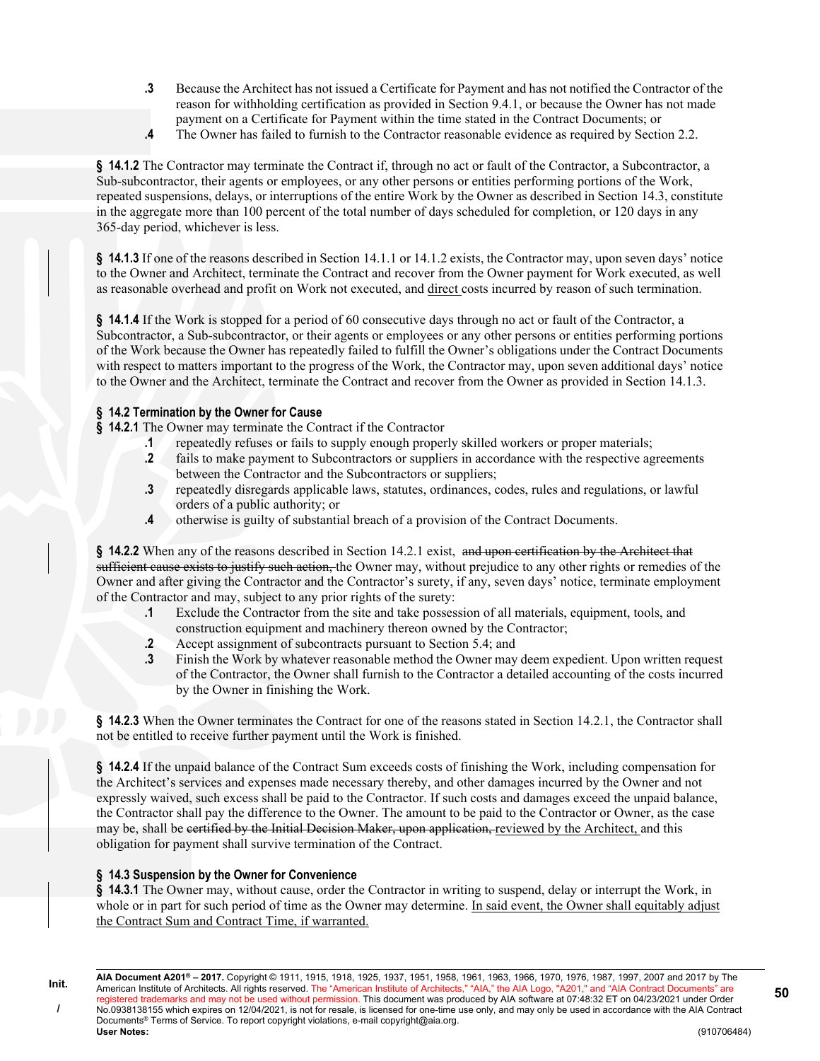- **.3** Because the Architect has not issued a Certificate for Payment and has not notified the Contractor of the reason for withholding certification as provided in Section 9.4.1, or because the Owner has not made payment on a Certificate for Payment within the time stated in the Contract Documents; or
- **.4** The Owner has failed to furnish to the Contractor reasonable evidence as required by Section 2.2.

§ **14.1.2** The Contractor may terminate the Contract if, through no act or fault of the Contractor, a Subcontractor, a Sub-subcontractor, their agents or employees, or any other persons or entities performing portions of the Work, repeated suspensions, delays, or interruptions of the entire Work by the Owner as described in Section 14.3, constitute in the aggregate more than 100 percent of the total number of days scheduled for completion, or 120 days in any 365-day period, whichever is less.

**§ 14.1.3** If one of the reasons described in Section 14.1.1 or 14.1.2 exists, the Contractor may, upon seven days' notice to the Owner and Architect, terminate the Contract and recover from the Owner payment for Work executed, as well as reasonable overhead and profit on Work not executed, and direct costs incurred by reason of such termination.

**§ 14.1.4** If the Work is stopped for a period of 60 consecutive days through no act or fault of the Contractor, a Subcontractor, a Sub-subcontractor, or their agents or employees or any other persons or entities performing portions of the Work because the Owner has repeatedly failed to fulfill the Owner's obligations under the Contract Documents with respect to matters important to the progress of the Work, the Contractor may, upon seven additional days' notice to the Owner and the Architect, terminate the Contract and recover from the Owner as provided in Section 14.1.3.

#### **§ 14.2 Termination by the Owner for Cause**

§ **14.2.1** The Owner may terminate the Contract if the Contractor

- **.1** repeatedly refuses or fails to supply enough properly skilled workers or proper materials;
- **.2** fails to make payment to Subcontractors or suppliers in accordance with the respective agreements between the Contractor and the Subcontractors or suppliers;
- **.3** repeatedly disregards applicable laws, statutes, ordinances, codes, rules and regulations, or lawful orders of a public authority; or
- **.4** otherwise is guilty of substantial breach of a provision of the Contract Documents.

**§ 14.2.2** When any of the reasons described in Section 14.2.1 exist, and upon certification by the Architect that sufficient cause exists to justify such action, the Owner may, without prejudice to any other rights or remedies of the Owner and after giving the Contractor and the Contractor's surety, if any, seven days' notice, terminate employment of the Contractor and may, subject to any prior rights of the surety:

- **.1** Exclude the Contractor from the site and take possession of all materials, equipment, tools, and construction equipment and machinery thereon owned by the Contractor;
- **.2** Accept assignment of subcontracts pursuant to Section 5.4; and
- **.3** Finish the Work by whatever reasonable method the Owner may deem expedient. Upon written request of the Contractor, the Owner shall furnish to the Contractor a detailed accounting of the costs incurred by the Owner in finishing the Work.

**§ 14.2.3** When the Owner terminates the Contract for one of the reasons stated in Section 14.2.1, the Contractor shall not be entitled to receive further payment until the Work is finished.

**§ 14.2.4** If the unpaid balance of the Contract Sum exceeds costs of finishing the Work, including compensation for the Architect's services and expenses made necessary thereby, and other damages incurred by the Owner and not expressly waived, such excess shall be paid to the Contractor. If such costs and damages exceed the unpaid balance, the Contractor shall pay the difference to the Owner. The amount to be paid to the Contractor or Owner, as the case may be, shall be eertified by the Initial Decision Maker, upon application, reviewed by the Architect, and this obligation for payment shall survive termination of the Contract.

# **§ 14.3 Suspension by the Owner for Convenience**

**§ 14.3.1** The Owner may, without cause, order the Contractor in writing to suspend, delay or interrupt the Work, in whole or in part for such period of time as the Owner may determine. In said event, the Owner shall equitably adjust the Contract Sum and Contract Time, if warranted.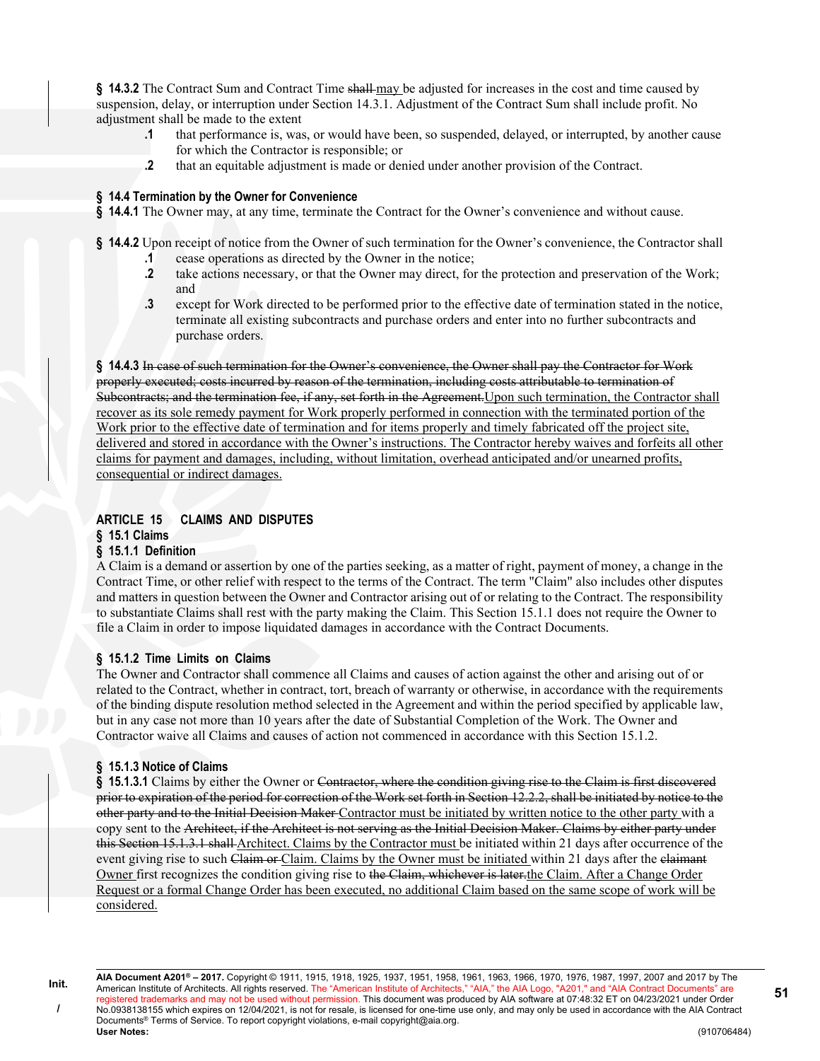**§ 14.3.2** The Contract Sum and Contract Time shall may be adjusted for increases in the cost and time caused by suspension, delay, or interruption under Section 14.3.1. Adjustment of the Contract Sum shall include profit. No adjustment shall be made to the extent

- **.1** that performance is, was, or would have been, so suspended, delayed, or interrupted, by another cause for which the Contractor is responsible; or
- **.2** that an equitable adjustment is made or denied under another provision of the Contract.

#### **§ 14.4 Termination by the Owner for Convenience**

**§ 14.4.1** The Owner may, at any time, terminate the Contract for the Owner's convenience and without cause.

- **§ 14.4.2** Upon receipt of notice from the Owner of such termination for the Owner's convenience, the Contractor shall **.1** cease operations as directed by the Owner in the notice;
	- **.2** take actions necessary, or that the Owner may direct, for the protection and preservation of the Work; and
	- **.3** except for Work directed to be performed prior to the effective date of termination stated in the notice, terminate all existing subcontracts and purchase orders and enter into no further subcontracts and purchase orders.

**§ 14.4.3** In case of such termination for the Owner's convenience, the Owner shall pay the Contractor for Work properly executed; costs incurred by reason of the termination, including costs attributable to termination of Subcontracts; and the termination fee, if any, set forth in the Agreement. Upon such termination, the Contractor shall recover as its sole remedy payment for Work properly performed in connection with the terminated portion of the Work prior to the effective date of termination and for items properly and timely fabricated off the project site, delivered and stored in accordance with the Owner's instructions. The Contractor hereby waives and forfeits all other claims for payment and damages, including, without limitation, overhead anticipated and/or unearned profits, consequential or indirect damages.

# **ARTICLE 15 CLAIMS AND DISPUTES**

#### **§ 15.1 Claims**

# **§ 15.1.1 Definition**

A Claim is a demand or assertion by one of the parties seeking, as a matter of right, payment of money, a change in the Contract Time, or other relief with respect to the terms of the Contract. The term "Claim" also includes other disputes and matters in question between the Owner and Contractor arising out of or relating to the Contract. The responsibility to substantiate Claims shall rest with the party making the Claim. This Section 15.1.1 does not require the Owner to file a Claim in order to impose liquidated damages in accordance with the Contract Documents.

#### **§ 15.1.2 Time Limits on Claims**

The Owner and Contractor shall commence all Claims and causes of action against the other and arising out of or related to the Contract, whether in contract, tort, breach of warranty or otherwise, in accordance with the requirements of the binding dispute resolution method selected in the Agreement and within the period specified by applicable law, but in any case not more than 10 years after the date of Substantial Completion of the Work. The Owner and Contractor waive all Claims and causes of action not commenced in accordance with this Section 15.1.2.

#### **§ 15.1.3 Notice of Claims**

§ 15.1.3.1 Claims by either the Owner or Contractor, where the condition giving rise to the Claim is first discovered prior to expiration of the period for correction of the Work set forth in Section 12.2.2, shall be initiated by notice to the other party and to the Initial Decision Maker Contractor must be initiated by written notice to the other party with a copy sent to the Architect, if the Architect is not serving as the Initial Decision Maker. Claims by either party under this Section 15.1.3.1 shall Architect. Claims by the Contractor must be initiated within 21 days after occurrence of the event giving rise to such Claim or Claim. Claims by the Owner must be initiated within 21 days after the claimant Owner first recognizes the condition giving rise to the Claim, whichever is later.the Claim. After a Change Order Request or a formal Change Order has been executed, no additional Claim based on the same scope of work will be considered.

**Init. /**

**AIA Document A201® – 2017.** Copyright © 1911, 1915, 1918, 1925, 1937, 1951, 1958, 1961, 1963, 1966, 1970, 1976, 1987, 1997, 2007 and 2017 by The American Institute of Architects. All rights reserved. The "American Institute of Architects," "AIA," the AIA Logo, "A201," and "AIA Contract Documents" are registered trademarks and may not be used without permission. This document was produced by AIA software at 07:48:32 ET on 04/23/2021 under Order No.0938138155 which expires on 12/04/2021, is not for resale, is licensed for one-time use only, and may only be used in accordance with the AIA Contract Documents<sup>®</sup> Terms of Service. To report copyright violations, e-mail copyright@aia.org.<br>User Notes: **User Notes:** (910706484)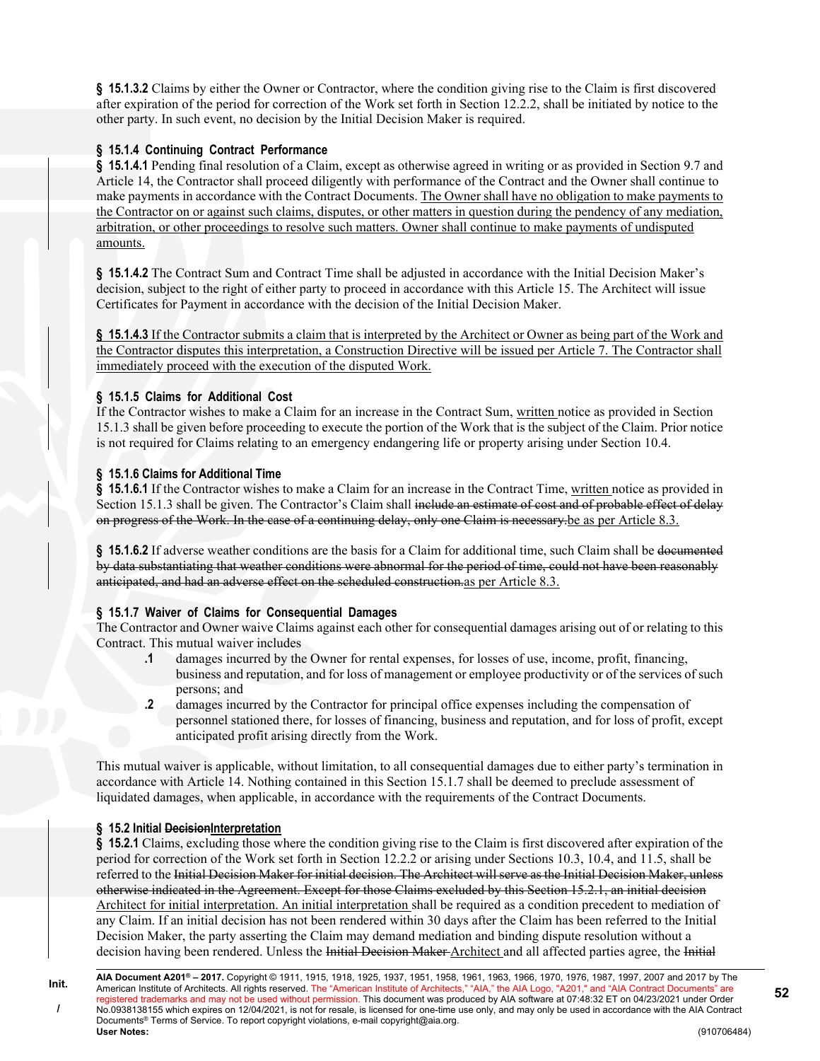**§ 15.1.3.2** Claims by either the Owner or Contractor, where the condition giving rise to the Claim is first discovered after expiration of the period for correction of the Work set forth in Section 12.2.2, shall be initiated by notice to the other party. In such event, no decision by the Initial Decision Maker is required.

# **§ 15.1.4 Continuing Contract Performance**

**§ 15.1.4.1** Pending final resolution of a Claim, except as otherwise agreed in writing or as provided in Section 9.7 and Article 14, the Contractor shall proceed diligently with performance of the Contract and the Owner shall continue to make payments in accordance with the Contract Documents. The Owner shall have no obligation to make payments to the Contractor on or against such claims, disputes, or other matters in question during the pendency of any mediation, arbitration, or other proceedings to resolve such matters. Owner shall continue to make payments of undisputed amounts.

**§ 15.1.4.2** The Contract Sum and Contract Time shall be adjusted in accordance with the Initial Decision Maker's decision, subject to the right of either party to proceed in accordance with this Article 15. The Architect will issue Certificates for Payment in accordance with the decision of the Initial Decision Maker.

**§ 15.1.4.3** If the Contractor submits a claim that is interpreted by the Architect or Owner as being part of the Work and the Contractor disputes this interpretation, a Construction Directive will be issued per Article 7. The Contractor shall immediately proceed with the execution of the disputed Work.

#### **§ 15.1.5 Claims for Additional Cost**

If the Contractor wishes to make a Claim for an increase in the Contract Sum, written notice as provided in Section 15.1.3 shall be given before proceeding to execute the portion of the Work that is the subject of the Claim. Prior notice is not required for Claims relating to an emergency endangering life or property arising under Section 10.4.

# **§ 15.1.6 Claims for Additional Time**

**§ 15.1.6.1** If the Contractor wishes to make a Claim for an increase in the Contract Time, written notice as provided in Section 15.1.3 shall be given. The Contractor's Claim shall include an estimate of cost and of probable effect of delay on progress of the Work. In the case of a continuing delay, only one Claim is necessary.be as per Article 8.3.

**§ 15.1.6.2** If adverse weather conditions are the basis for a Claim for additional time, such Claim shall be documented by data substantiating that weather conditions were abnormal for the period of time, could not have been reasonably anticipated, and had an adverse effect on the scheduled construction.as per Article 8.3.

#### **§ 15.1.7 Waiver of Claims for Consequential Damages**

The Contractor and Owner waive Claims against each other for consequential damages arising out of or relating to this Contract. This mutual waiver includes

- **.1** damages incurred by the Owner for rental expenses, for losses of use, income, profit, financing, business and reputation, and for loss of management or employee productivity or of the services of such persons; and
- **.2** damages incurred by the Contractor for principal office expenses including the compensation of personnel stationed there, for losses of financing, business and reputation, and for loss of profit, except anticipated profit arising directly from the Work.

This mutual waiver is applicable, without limitation, to all consequential damages due to either party's termination in accordance with Article 14. Nothing contained in this Section 15.1.7 shall be deemed to preclude assessment of liquidated damages, when applicable, in accordance with the requirements of the Contract Documents.

#### § 15.2 Initial DecisionInterpretation

**Init. /**

**§ 15.2.1** Claims, excluding those where the condition giving rise to the Claim is first discovered after expiration of the period for correction of the Work set forth in Section 12.2.2 or arising under Sections 10.3, 10.4, and 11.5, shall be referred to the Initial Decision Maker for initial decision. The Architect will serve as the Initial Decision Maker, unless otherwise indicated in the Agreement. Except for those Claims excluded by this Section 15.2.1, an initial decision Architect for initial interpretation. An initial interpretation shall be required as a condition precedent to mediation of any Claim. If an initial decision has not been rendered within 30 days after the Claim has been referred to the Initial Decision Maker, the party asserting the Claim may demand mediation and binding dispute resolution without a decision having been rendered. Unless the Initial Decision Maker Architect and all affected parties agree, the Initial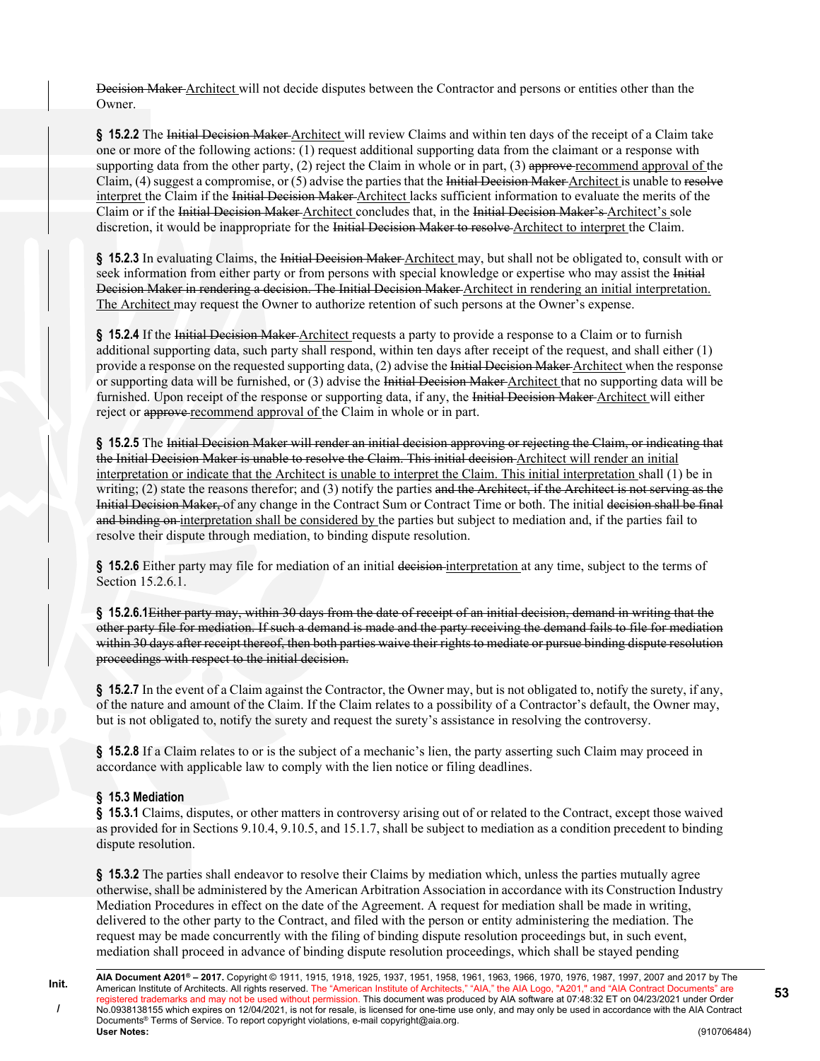Decision Maker Architect will not decide disputes between the Contractor and persons or entities other than the Owner.

**§ 15.2.2** The Initial Decision Maker Architect will review Claims and within ten days of the receipt of a Claim take one or more of the following actions: (1) request additional supporting data from the claimant or a response with supporting data from the other party,  $(2)$  reject the Claim in whole or in part,  $(3)$  approve-recommend approval of the Claim, (4) suggest a compromise, or (5) advise the parties that the Initial Decision Maker Architect is unable to resolve interpret the Claim if the Initial Decision Maker Architect lacks sufficient information to evaluate the merits of the Claim or if the Initial Decision Maker Architect concludes that, in the Initial Decision Maker's Architect's sole discretion, it would be inappropriate for the Initial Decision Maker to resolve Architect to interpret the Claim.

**§ 15.2.3** In evaluating Claims, the Initial Decision Maker Architect may, but shall not be obligated to, consult with or seek information from either party or from persons with special knowledge or expertise who may assist the Initial Decision Maker in rendering a decision. The Initial Decision Maker Architect in rendering an initial interpretation. The Architect may request the Owner to authorize retention of such persons at the Owner's expense.

**§ 15.2.4** If the Initial Decision Maker Architect requests a party to provide a response to a Claim or to furnish additional supporting data, such party shall respond, within ten days after receipt of the request, and shall either (1) provide a response on the requested supporting data, (2) advise the Initial Decision Maker Architect when the response or supporting data will be furnished, or (3) advise the Initial Decision Maker Architect that no supporting data will be furnished. Upon receipt of the response or supporting data, if any, the Initial Decision Maker Architect will either reject or approve recommend approval of the Claim in whole or in part.

**§ 15.2.5** The Initial Decision Maker will render an initial decision approving or rejecting the Claim, or indicating that the Initial Decision Maker is unable to resolve the Claim. This initial decision Architect will render an initial interpretation or indicate that the Architect is unable to interpret the Claim. This initial interpretation shall (1) be in writing;  $(2)$  state the reasons therefor; and  $(3)$  notify the parties and the Architect, if the Architect is not serving as the Initial Decision Maker, of any change in the Contract Sum or Contract Time or both. The initial decision shall be final and binding on interpretation shall be considered by the parties but subject to mediation and, if the parties fail to resolve their dispute through mediation, to binding dispute resolution.

§ 15.2.6 Either party may file for mediation of an initial decision interpretation at any time, subject to the terms of Section 15.2.6.1.

**§ 15.2.6.1**Either party may, within 30 days from the date of receipt of an initial decision, demand in writing that the other party file for mediation. If such a demand is made and the party receiving the demand fails to file for mediation within 30 days after receipt thereof, then both parties waive their rights to mediate or pursue binding dispute resolution proceedings with respect to the initial decision.

**§ 15.2.7** In the event of a Claim against the Contractor, the Owner may, but is not obligated to, notify the surety, if any, of the nature and amount of the Claim. If the Claim relates to a possibility of a Contractor's default, the Owner may, but is not obligated to, notify the surety and request the surety's assistance in resolving the controversy.

**§ 15.2.8** If a Claim relates to or is the subject of a mechanic's lien, the party asserting such Claim may proceed in accordance with applicable law to comply with the lien notice or filing deadlines.

#### **§ 15.3 Mediation**

**Init. /**

**§ 15.3.1** Claims, disputes, or other matters in controversy arising out of or related to the Contract, except those waived as provided for in Sections 9.10.4, 9.10.5, and 15.1.7, shall be subject to mediation as a condition precedent to binding dispute resolution.

**§ 15.3.2** The parties shall endeavor to resolve their Claims by mediation which, unless the parties mutually agree otherwise, shall be administered by the American Arbitration Association in accordance with its Construction Industry Mediation Procedures in effect on the date of the Agreement. A request for mediation shall be made in writing, delivered to the other party to the Contract, and filed with the person or entity administering the mediation. The request may be made concurrently with the filing of binding dispute resolution proceedings but, in such event, mediation shall proceed in advance of binding dispute resolution proceedings, which shall be stayed pending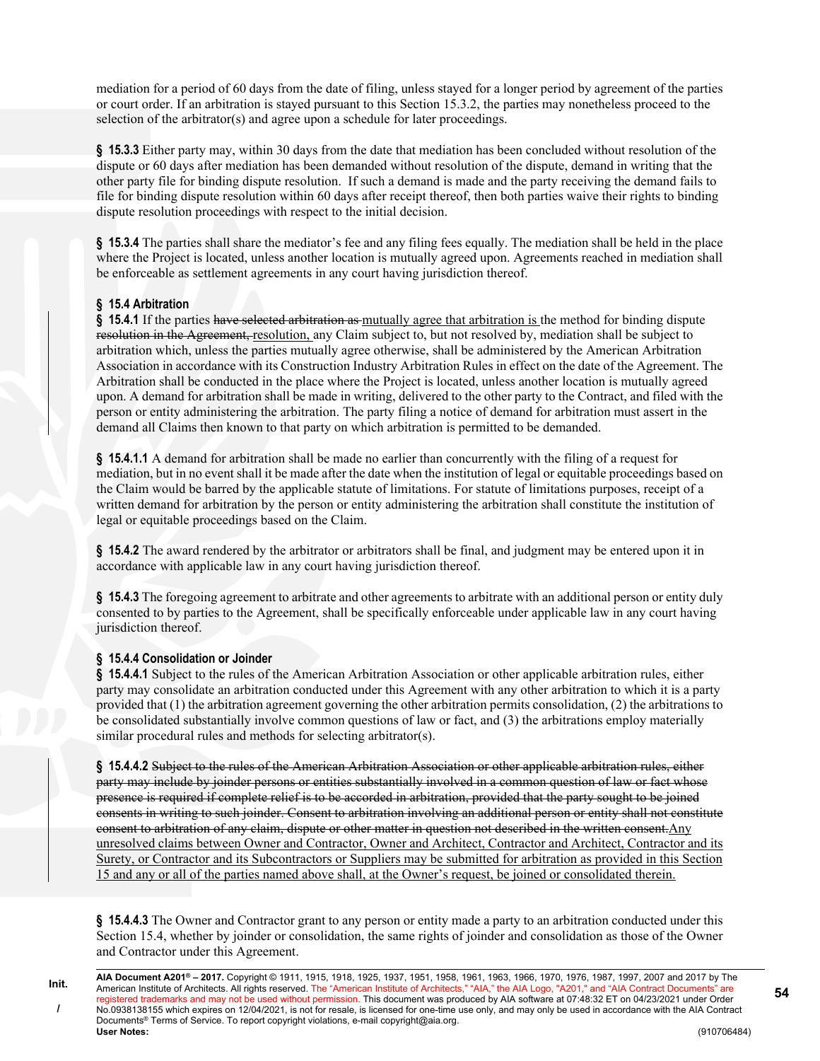mediation for a period of 60 days from the date of filing, unless stayed for a longer period by agreement of the parties or court order. If an arbitration is stayed pursuant to this Section 15.3.2, the parties may nonetheless proceed to the selection of the arbitrator(s) and agree upon a schedule for later proceedings.

**§ 15.3.3** Either party may, within 30 days from the date that mediation has been concluded without resolution of the dispute or 60 days after mediation has been demanded without resolution of the dispute, demand in writing that the other party file for binding dispute resolution. If such a demand is made and the party receiving the demand fails to file for binding dispute resolution within 60 days after receipt thereof, then both parties waive their rights to binding dispute resolution proceedings with respect to the initial decision.

**§ 15.3.4** The parties shall share the mediator's fee and any filing fees equally. The mediation shall be held in the place where the Project is located, unless another location is mutually agreed upon. Agreements reached in mediation shall be enforceable as settlement agreements in any court having jurisdiction thereof.

#### **§ 15.4 Arbitration**

**§ 15.4.1** If the parties have selected arbitration as mutually agree that arbitration is the method for binding dispute resolution in the Agreement, resolution, any Claim subject to, but not resolved by, mediation shall be subject to arbitration which, unless the parties mutually agree otherwise, shall be administered by the American Arbitration Association in accordance with its Construction Industry Arbitration Rules in effect on the date of the Agreement. The Arbitration shall be conducted in the place where the Project is located, unless another location is mutually agreed upon. A demand for arbitration shall be made in writing, delivered to the other party to the Contract, and filed with the person or entity administering the arbitration. The party filing a notice of demand for arbitration must assert in the demand all Claims then known to that party on which arbitration is permitted to be demanded.

**§ 15.4.1.1** A demand for arbitration shall be made no earlier than concurrently with the filing of a request for mediation, but in no event shall it be made after the date when the institution of legal or equitable proceedings based on the Claim would be barred by the applicable statute of limitations. For statute of limitations purposes, receipt of a written demand for arbitration by the person or entity administering the arbitration shall constitute the institution of legal or equitable proceedings based on the Claim.

**§ 15.4.2** The award rendered by the arbitrator or arbitrators shall be final, and judgment may be entered upon it in accordance with applicable law in any court having jurisdiction thereof.

**§ 15.4.3** The foregoing agreement to arbitrate and other agreements to arbitrate with an additional person or entity duly consented to by parties to the Agreement, shall be specifically enforceable under applicable law in any court having jurisdiction thereof.

# **§ 15.4.4 Consolidation or Joinder**

**§ 15.4.4.1** Subject to the rules of the American Arbitration Association or other applicable arbitration rules, either party may consolidate an arbitration conducted under this Agreement with any other arbitration to which it is a party provided that (1) the arbitration agreement governing the other arbitration permits consolidation, (2) the arbitrations to be consolidated substantially involve common questions of law or fact, and (3) the arbitrations employ materially similar procedural rules and methods for selecting arbitrator(s).

**§ 15.4.4.2** Subject to the rules of the American Arbitration Association or other applicable arbitration rules, either party may include by joinder persons or entities substantially involved in a common question of law or fact whose presence is required if complete relief is to be accorded in arbitration, provided that the party sought to be joined consents in writing to such joinder. Consent to arbitration involving an additional person or entity shall not constitute consent to arbitration of any claim, dispute or other matter in question not described in the written consent.Any unresolved claims between Owner and Contractor, Owner and Architect, Contractor and Architect, Contractor and its Surety, or Contractor and its Subcontractors or Suppliers may be submitted for arbitration as provided in this Section 15 and any or all of the parties named above shall, at the Owner's request, be joined or consolidated therein.

**§ 15.4.4.3** The Owner and Contractor grant to any person or entity made a party to an arbitration conducted under this Section 15.4, whether by joinder or consolidation, the same rights of joinder and consolidation as those of the Owner and Contractor under this Agreement.

**Init. /**

**AIA Document A201® – 2017.** Copyright © 1911, 1915, 1918, 1925, 1937, 1951, 1958, 1961, 1963, 1966, 1970, 1976, 1987, 1997, 2007 and 2017 by The American Institute of Architects. All rights reserved. The "American Institute of Architects," "AIA," the AIA Logo, "A201," and "AIA Contract Documents" are registered trademarks and may not be used without permission. This document was produced by AIA software at 07:48:32 ET on 04/23/2021 under Order No.0938138155 which expires on 12/04/2021, is not for resale, is licensed for one-time use only, and may only be used in accordance with the AIA Contract Documents<sup>®</sup> Terms of Service. To report copyright violations, e-mail copyright@aia.org.<br>User Notes: **User Notes:** (910706484)